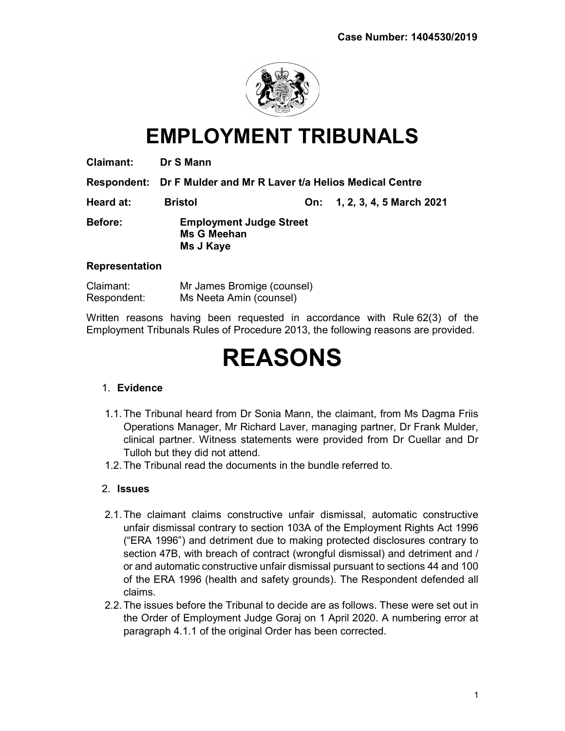

# EMPLOYMENT TRIBUNALS

Respondent: Dr F Mulder and Mr R Laver t/a Helios Medical Centre

Heard at: Bristol On: 1, 2, 3, 4, 5 March 2021 Before: Employment Judge Street Ms G Meehan Ms J Kaye

#### **Representation**

| Claimant:   | Mr James Bromige (counsel) |
|-------------|----------------------------|
| Respondent: | Ms Neeta Amin (counsel)    |

Written reasons having been requested in accordance with Rule 62(3) of the Employment Tribunals Rules of Procedure 2013, the following reasons are provided.

# REASONS

## 1. Evidence

- 1.1. The Tribunal heard from Dr Sonia Mann, the claimant, from Ms Dagma Friis Operations Manager, Mr Richard Laver, managing partner, Dr Frank Mulder, clinical partner. Witness statements were provided from Dr Cuellar and Dr Tulloh but they did not attend.
- 1.2. The Tribunal read the documents in the bundle referred to.

# 2. Issues

- 2.1. The claimant claims constructive unfair dismissal, automatic constructive unfair dismissal contrary to section 103A of the Employment Rights Act 1996 ("ERA 1996") and detriment due to making protected disclosures contrary to section 47B, with breach of contract (wrongful dismissal) and detriment and / or and automatic constructive unfair dismissal pursuant to sections 44 and 100 of the ERA 1996 (health and safety grounds). The Respondent defended all claims.
- 2.2. The issues before the Tribunal to decide are as follows. These were set out in the Order of Employment Judge Goraj on 1 April 2020. A numbering error at paragraph 4.1.1 of the original Order has been corrected.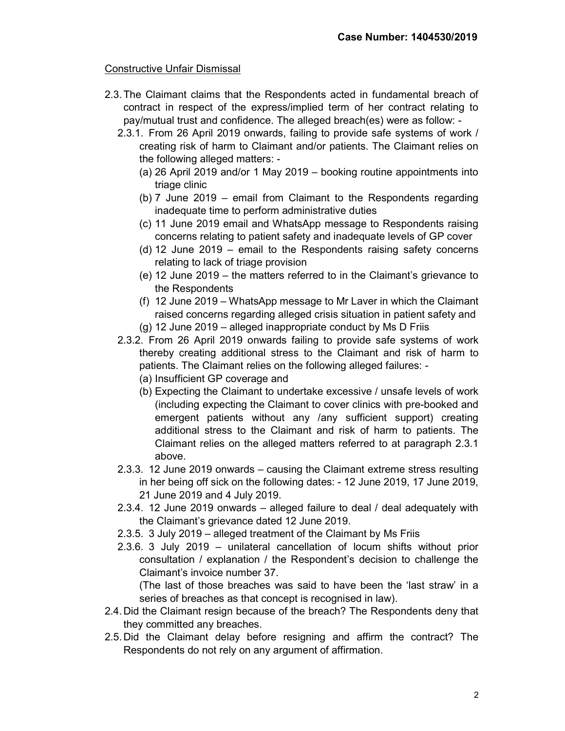# Constructive Unfair Dismissal

- 2.3. The Claimant claims that the Respondents acted in fundamental breach of contract in respect of the express/implied term of her contract relating to pay/mutual trust and confidence. The alleged breach(es) were as follow: -
	- 2.3.1. From 26 April 2019 onwards, failing to provide safe systems of work / creating risk of harm to Claimant and/or patients. The Claimant relies on the following alleged matters: -
		- (a) 26 April 2019 and/or 1 May 2019 booking routine appointments into triage clinic
		- (b) 7 June 2019 email from Claimant to the Respondents regarding inadequate time to perform administrative duties
		- (c) 11 June 2019 email and WhatsApp message to Respondents raising concerns relating to patient safety and inadequate levels of GP cover
		- (d) 12 June 2019 email to the Respondents raising safety concerns relating to lack of triage provision
		- (e) 12 June 2019 the matters referred to in the Claimant's grievance to the Respondents
		- (f) 12 June 2019 WhatsApp message to Mr Laver in which the Claimant raised concerns regarding alleged crisis situation in patient safety and (g) 12 June 2019 – alleged inappropriate conduct by Ms D Friis
	- 2.3.2. From 26 April 2019 onwards failing to provide safe systems of work thereby creating additional stress to the Claimant and risk of harm to patients. The Claimant relies on the following alleged failures: -
		- (a) Insufficient GP coverage and
		- (b) Expecting the Claimant to undertake excessive / unsafe levels of work (including expecting the Claimant to cover clinics with pre-booked and emergent patients without any /any sufficient support) creating additional stress to the Claimant and risk of harm to patients. The Claimant relies on the alleged matters referred to at paragraph 2.3.1 above.
	- 2.3.3. 12 June 2019 onwards causing the Claimant extreme stress resulting in her being off sick on the following dates: - 12 June 2019, 17 June 2019, 21 June 2019 and 4 July 2019.
	- 2.3.4. 12 June 2019 onwards alleged failure to deal / deal adequately with the Claimant's grievance dated 12 June 2019.
	- 2.3.5. 3 July 2019 alleged treatment of the Claimant by Ms Friis
	- 2.3.6. 3 July 2019 unilateral cancellation of locum shifts without prior consultation / explanation / the Respondent's decision to challenge the Claimant's invoice number 37.

(The last of those breaches was said to have been the 'last straw' in a series of breaches as that concept is recognised in law).

- 2.4. Did the Claimant resign because of the breach? The Respondents deny that they committed any breaches.
- 2.5. Did the Claimant delay before resigning and affirm the contract? The Respondents do not rely on any argument of affirmation.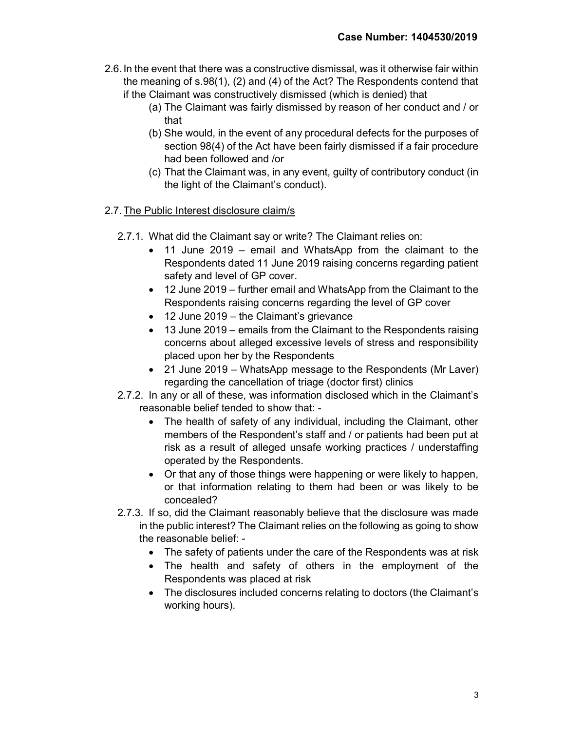- 2.6. In the event that there was a constructive dismissal, was it otherwise fair within the meaning of s.98(1), (2) and (4) of the Act? The Respondents contend that if the Claimant was constructively dismissed (which is denied) that
	- (a) The Claimant was fairly dismissed by reason of her conduct and / or that
	- (b) She would, in the event of any procedural defects for the purposes of section 98(4) of the Act have been fairly dismissed if a fair procedure had been followed and /or
	- (c) That the Claimant was, in any event, guilty of contributory conduct (in the light of the Claimant's conduct).

# 2.7. The Public Interest disclosure claim/s

- 2.7.1. What did the Claimant say or write? The Claimant relies on:
	- 11 June 2019 email and WhatsApp from the claimant to the Respondents dated 11 June 2019 raising concerns regarding patient safety and level of GP cover.
	- 12 June 2019 further email and WhatsApp from the Claimant to the Respondents raising concerns regarding the level of GP cover
	- 12 June 2019 the Claimant's grievance
	- 13 June 2019 emails from the Claimant to the Respondents raising concerns about alleged excessive levels of stress and responsibility placed upon her by the Respondents
	- 21 June 2019 WhatsApp message to the Respondents (Mr Laver) regarding the cancellation of triage (doctor first) clinics
- 2.7.2. In any or all of these, was information disclosed which in the Claimant's reasonable belief tended to show that: -
	- The health of safety of any individual, including the Claimant, other members of the Respondent's staff and / or patients had been put at risk as a result of alleged unsafe working practices / understaffing operated by the Respondents.
	- Or that any of those things were happening or were likely to happen, or that information relating to them had been or was likely to be concealed?
- 2.7.3. If so, did the Claimant reasonably believe that the disclosure was made in the public interest? The Claimant relies on the following as going to show the reasonable belief: -
	- The safety of patients under the care of the Respondents was at risk
	- The health and safety of others in the employment of the Respondents was placed at risk
	- The disclosures included concerns relating to doctors (the Claimant's working hours).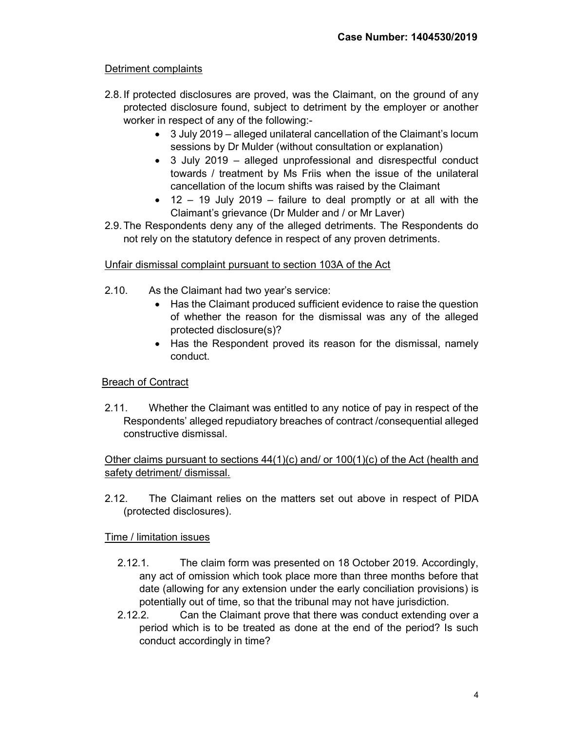# Detriment complaints

- 2.8. If protected disclosures are proved, was the Claimant, on the ground of any protected disclosure found, subject to detriment by the employer or another worker in respect of any of the following:-
	- 3 July 2019 alleged unilateral cancellation of the Claimant's locum sessions by Dr Mulder (without consultation or explanation)
	- 3 July 2019 alleged unprofessional and disrespectful conduct towards / treatment by Ms Friis when the issue of the unilateral cancellation of the locum shifts was raised by the Claimant
	- $\bullet$  12 19 July 2019 failure to deal promptly or at all with the Claimant's grievance (Dr Mulder and / or Mr Laver)
- 2.9. The Respondents deny any of the alleged detriments. The Respondents do not rely on the statutory defence in respect of any proven detriments.

# Unfair dismissal complaint pursuant to section 103A of the Act

- 2.10. As the Claimant had two year's service:
	- Has the Claimant produced sufficient evidence to raise the question of whether the reason for the dismissal was any of the alleged protected disclosure(s)?
	- Has the Respondent proved its reason for the dismissal, namely conduct.

## Breach of Contract

2.11. Whether the Claimant was entitled to any notice of pay in respect of the Respondents' alleged repudiatory breaches of contract /consequential alleged constructive dismissal.

# Other claims pursuant to sections 44(1)(c) and/ or 100(1)(c) of the Act (health and safety detriment/ dismissal.

2.12. The Claimant relies on the matters set out above in respect of PIDA (protected disclosures).

## Time / limitation issues

- 2.12.1. The claim form was presented on 18 October 2019. Accordingly, any act of omission which took place more than three months before that date (allowing for any extension under the early conciliation provisions) is potentially out of time, so that the tribunal may not have jurisdiction.
- 2.12.2. Can the Claimant prove that there was conduct extending over a period which is to be treated as done at the end of the period? Is such conduct accordingly in time?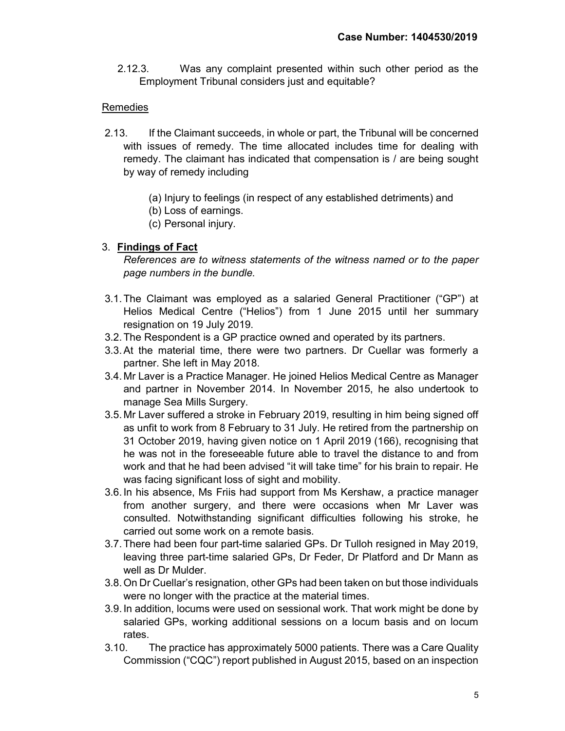2.12.3. Was any complaint presented within such other period as the Employment Tribunal considers just and equitable?

# Remedies

- 2.13. If the Claimant succeeds, in whole or part, the Tribunal will be concerned with issues of remedy. The time allocated includes time for dealing with remedy. The claimant has indicated that compensation is / are being sought by way of remedy including
	- (a) Injury to feelings (in respect of any established detriments) and
	- (b) Loss of earnings.
	- (c) Personal injury.

# 3. Findings of Fact

References are to witness statements of the witness named or to the paper page numbers in the bundle.

- 3.1. The Claimant was employed as a salaried General Practitioner ("GP") at Helios Medical Centre ("Helios") from 1 June 2015 until her summary resignation on 19 July 2019.
- 3.2. The Respondent is a GP practice owned and operated by its partners.
- 3.3. At the material time, there were two partners. Dr Cuellar was formerly a partner. She left in May 2018.
- 3.4. Mr Laver is a Practice Manager. He joined Helios Medical Centre as Manager and partner in November 2014. In November 2015, he also undertook to manage Sea Mills Surgery.
- 3.5. Mr Laver suffered a stroke in February 2019, resulting in him being signed off as unfit to work from 8 February to 31 July. He retired from the partnership on 31 October 2019, having given notice on 1 April 2019 (166), recognising that he was not in the foreseeable future able to travel the distance to and from work and that he had been advised "it will take time" for his brain to repair. He was facing significant loss of sight and mobility.
- 3.6. In his absence, Ms Friis had support from Ms Kershaw, a practice manager from another surgery, and there were occasions when Mr Laver was consulted. Notwithstanding significant difficulties following his stroke, he carried out some work on a remote basis.
- 3.7. There had been four part-time salaried GPs. Dr Tulloh resigned in May 2019, leaving three part-time salaried GPs, Dr Feder, Dr Platford and Dr Mann as well as Dr Mulder.
- 3.8. On Dr Cuellar's resignation, other GPs had been taken on but those individuals were no longer with the practice at the material times.
- 3.9. In addition, locums were used on sessional work. That work might be done by salaried GPs, working additional sessions on a locum basis and on locum rates.
- 3.10. The practice has approximately 5000 patients. There was a Care Quality Commission ("CQC") report published in August 2015, based on an inspection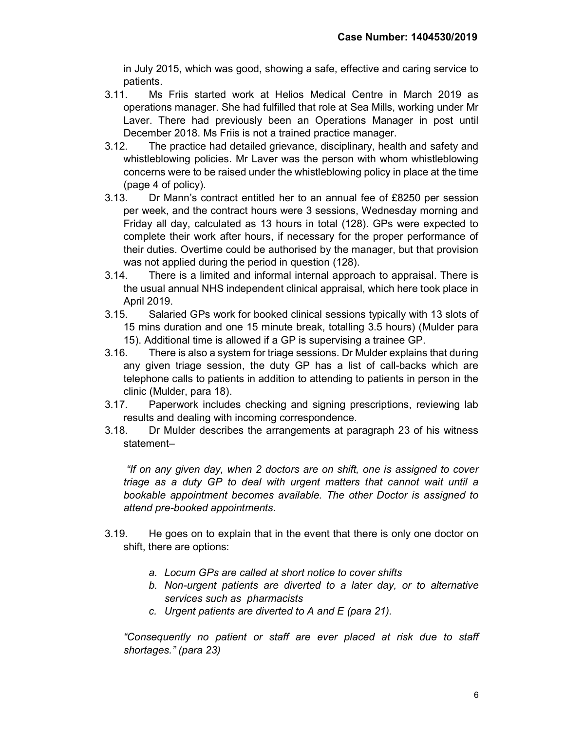in July 2015, which was good, showing a safe, effective and caring service to patients.

- 3.11. Ms Friis started work at Helios Medical Centre in March 2019 as operations manager. She had fulfilled that role at Sea Mills, working under Mr Laver. There had previously been an Operations Manager in post until December 2018. Ms Friis is not a trained practice manager.
- 3.12. The practice had detailed grievance, disciplinary, health and safety and whistleblowing policies. Mr Laver was the person with whom whistleblowing concerns were to be raised under the whistleblowing policy in place at the time (page 4 of policy).
- 3.13. Dr Mann's contract entitled her to an annual fee of £8250 per session per week, and the contract hours were 3 sessions, Wednesday morning and Friday all day, calculated as 13 hours in total (128). GPs were expected to complete their work after hours, if necessary for the proper performance of their duties. Overtime could be authorised by the manager, but that provision was not applied during the period in question (128).
- 3.14. There is a limited and informal internal approach to appraisal. There is the usual annual NHS independent clinical appraisal, which here took place in April 2019.
- 3.15. Salaried GPs work for booked clinical sessions typically with 13 slots of 15 mins duration and one 15 minute break, totalling 3.5 hours) (Mulder para 15). Additional time is allowed if a GP is supervising a trainee GP.
- 3.16. There is also a system for triage sessions. Dr Mulder explains that during any given triage session, the duty GP has a list of call-backs which are telephone calls to patients in addition to attending to patients in person in the clinic (Mulder, para 18).
- 3.17. Paperwork includes checking and signing prescriptions, reviewing lab results and dealing with incoming correspondence.
- 3.18. Dr Mulder describes the arrangements at paragraph 23 of his witness statement–

 "If on any given day, when 2 doctors are on shift, one is assigned to cover triage as a duty GP to deal with urgent matters that cannot wait until a bookable appointment becomes available. The other Doctor is assigned to attend pre-booked appointments.

- 3.19. He goes on to explain that in the event that there is only one doctor on shift, there are options:
	- a. Locum GPs are called at short notice to cover shifts
	- b. Non-urgent patients are diverted to a later day, or to alternative services such as pharmacists
	- c. Urgent patients are diverted to A and E (para 21).

"Consequently no patient or staff are ever placed at risk due to staff shortages." (para 23)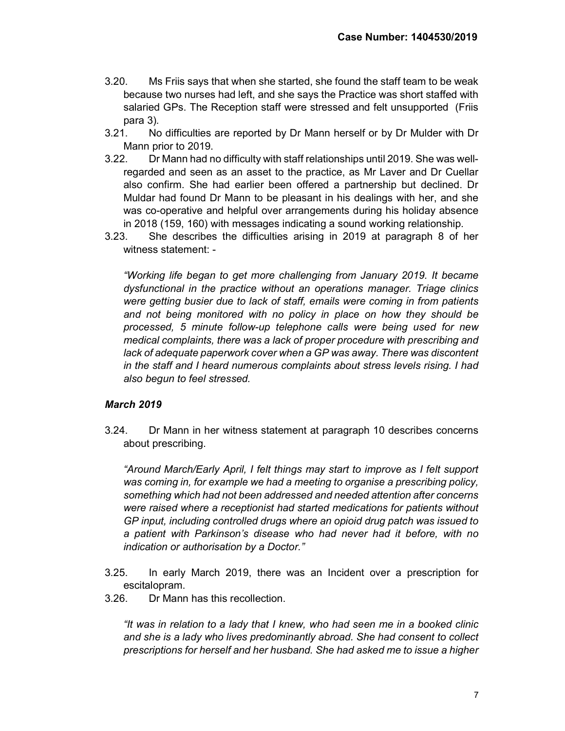- 3.20. Ms Friis says that when she started, she found the staff team to be weak because two nurses had left, and she says the Practice was short staffed with salaried GPs. The Reception staff were stressed and felt unsupported (Friis para 3).
- 3.21. No difficulties are reported by Dr Mann herself or by Dr Mulder with Dr Mann prior to 2019.
- 3.22. Dr Mann had no difficulty with staff relationships until 2019. She was wellregarded and seen as an asset to the practice, as Mr Laver and Dr Cuellar also confirm. She had earlier been offered a partnership but declined. Dr Muldar had found Dr Mann to be pleasant in his dealings with her, and she was co-operative and helpful over arrangements during his holiday absence in 2018 (159, 160) with messages indicating a sound working relationship.
- 3.23. She describes the difficulties arising in 2019 at paragraph 8 of her witness statement: -

"Working life began to get more challenging from January 2019. It became dysfunctional in the practice without an operations manager. Triage clinics were getting busier due to lack of staff, emails were coming in from patients and not being monitored with no policy in place on how they should be processed, 5 minute follow-up telephone calls were being used for new medical complaints, there was a lack of proper procedure with prescribing and lack of adequate paperwork cover when a GP was away. There was discontent in the staff and I heard numerous complaints about stress levels rising. I had also begun to feel stressed.

## March 2019

3.24. Dr Mann in her witness statement at paragraph 10 describes concerns about prescribing.

"Around March/Early April, I felt things may start to improve as I felt support was coming in, for example we had a meeting to organise a prescribing policy, something which had not been addressed and needed attention after concerns were raised where a receptionist had started medications for patients without GP input, including controlled drugs where an opioid drug patch was issued to a patient with Parkinson's disease who had never had it before, with no indication or authorisation by a Doctor."

- 3.25. In early March 2019, there was an Incident over a prescription for escitalopram.
- 3.26. Dr Mann has this recollection.

"It was in relation to a lady that I knew, who had seen me in a booked clinic and she is a lady who lives predominantly abroad. She had consent to collect prescriptions for herself and her husband. She had asked me to issue a higher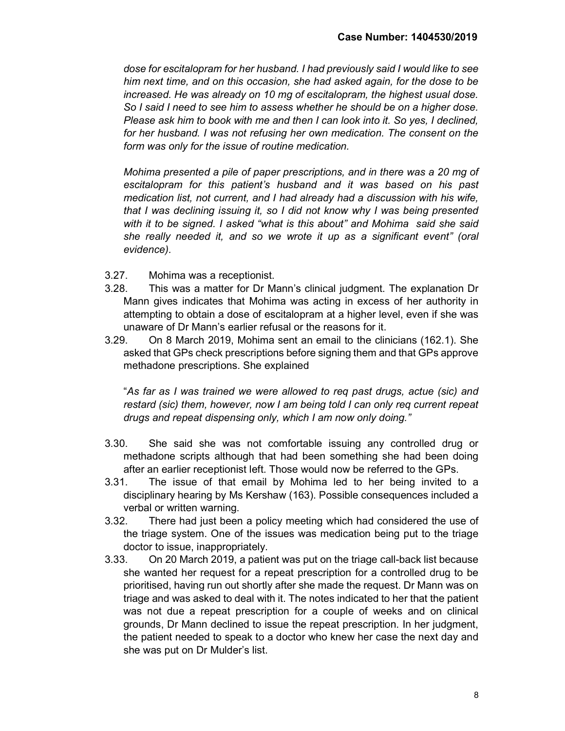dose for escitalopram for her husband. I had previously said I would like to see him next time, and on this occasion, she had asked again, for the dose to be increased. He was already on 10 mg of escitalopram, the highest usual dose. So I said I need to see him to assess whether he should be on a higher dose. Please ask him to book with me and then I can look into it. So yes, I declined, for her husband. I was not refusing her own medication. The consent on the form was only for the issue of routine medication.

Mohima presented a pile of paper prescriptions, and in there was a 20 mg of escitalopram for this patient's husband and it was based on his past medication list, not current, and I had already had a discussion with his wife, that I was declining issuing it, so I did not know why I was being presented with it to be signed. I asked "what is this about" and Mohima said she said she really needed it, and so we wrote it up as a significant event" (oral evidence).

- 3.27. Mohima was a receptionist.
- 3.28. This was a matter for Dr Mann's clinical judgment. The explanation Dr Mann gives indicates that Mohima was acting in excess of her authority in attempting to obtain a dose of escitalopram at a higher level, even if she was unaware of Dr Mann's earlier refusal or the reasons for it.
- 3.29. On 8 March 2019, Mohima sent an email to the clinicians (162.1). She asked that GPs check prescriptions before signing them and that GPs approve methadone prescriptions. She explained

"As far as I was trained we were allowed to req past drugs, actue (sic) and restard (sic) them, however, now I am being told I can only req current repeat drugs and repeat dispensing only, which I am now only doing."

- 3.30. She said she was not comfortable issuing any controlled drug or methadone scripts although that had been something she had been doing after an earlier receptionist left. Those would now be referred to the GPs.
- 3.31. The issue of that email by Mohima led to her being invited to a disciplinary hearing by Ms Kershaw (163). Possible consequences included a verbal or written warning.
- 3.32. There had just been a policy meeting which had considered the use of the triage system. One of the issues was medication being put to the triage doctor to issue, inappropriately.
- 3.33. On 20 March 2019, a patient was put on the triage call-back list because she wanted her request for a repeat prescription for a controlled drug to be prioritised, having run out shortly after she made the request. Dr Mann was on triage and was asked to deal with it. The notes indicated to her that the patient was not due a repeat prescription for a couple of weeks and on clinical grounds, Dr Mann declined to issue the repeat prescription. In her judgment, the patient needed to speak to a doctor who knew her case the next day and she was put on Dr Mulder's list.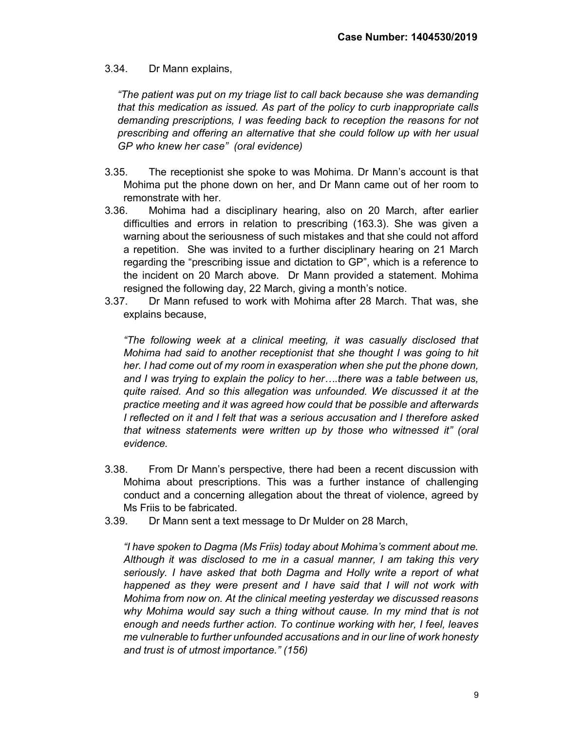# 3.34. Dr Mann explains,

"The patient was put on my triage list to call back because she was demanding that this medication as issued. As part of the policy to curb inappropriate calls demanding prescriptions, I was feeding back to reception the reasons for not prescribing and offering an alternative that she could follow up with her usual GP who knew her case" (oral evidence)

- 3.35. The receptionist she spoke to was Mohima. Dr Mann's account is that Mohima put the phone down on her, and Dr Mann came out of her room to remonstrate with her.
- 3.36. Mohima had a disciplinary hearing, also on 20 March, after earlier difficulties and errors in relation to prescribing (163.3). She was given a warning about the seriousness of such mistakes and that she could not afford a repetition. She was invited to a further disciplinary hearing on 21 March regarding the "prescribing issue and dictation to GP", which is a reference to the incident on 20 March above. Dr Mann provided a statement. Mohima resigned the following day, 22 March, giving a month's notice.
- 3.37. Dr Mann refused to work with Mohima after 28 March. That was, she explains because,

"The following week at a clinical meeting, it was casually disclosed that Mohima had said to another receptionist that she thought I was going to hit her. I had come out of my room in exasperation when she put the phone down, and I was trying to explain the policy to her….there was a table between us, quite raised. And so this allegation was unfounded. We discussed it at the practice meeting and it was agreed how could that be possible and afterwards I reflected on it and I felt that was a serious accusation and I therefore asked that witness statements were written up by those who witnessed it" (oral evidence.

- 3.38. From Dr Mann's perspective, there had been a recent discussion with Mohima about prescriptions. This was a further instance of challenging conduct and a concerning allegation about the threat of violence, agreed by Ms Friis to be fabricated.
- 3.39. Dr Mann sent a text message to Dr Mulder on 28 March,

"I have spoken to Dagma (Ms Friis) today about Mohima's comment about me. Although it was disclosed to me in a casual manner, I am taking this very seriously. I have asked that both Dagma and Holly write a report of what happened as they were present and I have said that I will not work with Mohima from now on. At the clinical meeting yesterday we discussed reasons why Mohima would say such a thing without cause. In my mind that is not enough and needs further action. To continue working with her, I feel, leaves me vulnerable to further unfounded accusations and in our line of work honesty and trust is of utmost importance." (156)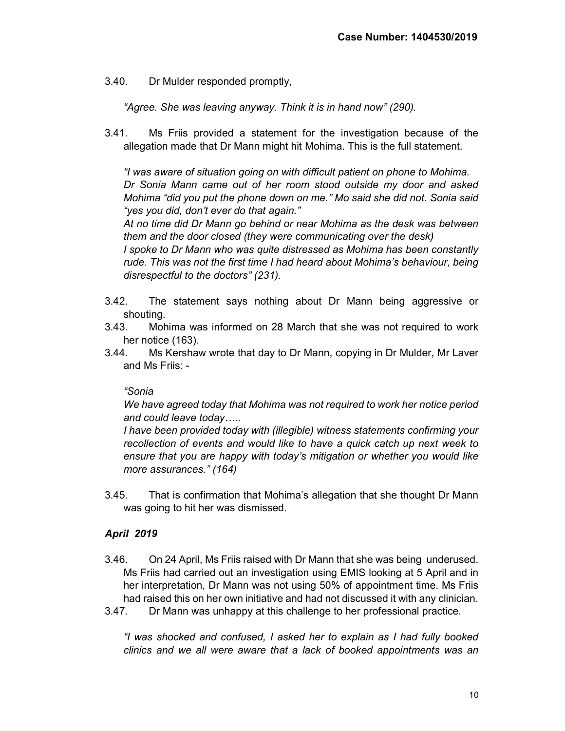3.40. Dr Mulder responded promptly,

"Agree. She was leaving anyway. Think it is in hand now" (290).

3.41. Ms Friis provided a statement for the investigation because of the allegation made that Dr Mann might hit Mohima. This is the full statement.

"I was aware of situation going on with difficult patient on phone to Mohima. Dr Sonia Mann came out of her room stood outside my door and asked Mohima "did you put the phone down on me." Mo said she did not. Sonia said "yes you did, don't ever do that again."

At no time did Dr Mann go behind or near Mohima as the desk was between them and the door closed (they were communicating over the desk)

I spoke to Dr Mann who was quite distressed as Mohima has been constantly rude. This was not the first time I had heard about Mohima's behaviour, being disrespectful to the doctors" (231).

- 3.42. The statement says nothing about Dr Mann being aggressive or shouting.
- 3.43. Mohima was informed on 28 March that she was not required to work her notice (163).
- 3.44. Ms Kershaw wrote that day to Dr Mann, copying in Dr Mulder, Mr Laver and Ms Friis: -

## "Sonia

We have agreed today that Mohima was not required to work her notice period and could leave today…..

I have been provided today with (illegible) witness statements confirming your recollection of events and would like to have a quick catch up next week to ensure that you are happy with today's mitigation or whether you would like more assurances." (164)

3.45. That is confirmation that Mohima's allegation that she thought Dr Mann was going to hit her was dismissed.

## April 2019

- 3.46. On 24 April, Ms Friis raised with Dr Mann that she was being underused. Ms Friis had carried out an investigation using EMIS looking at 5 April and in her interpretation, Dr Mann was not using 50% of appointment time. Ms Friis had raised this on her own initiative and had not discussed it with any clinician.
- 3.47. Dr Mann was unhappy at this challenge to her professional practice.

"I was shocked and confused, I asked her to explain as I had fully booked clinics and we all were aware that a lack of booked appointments was an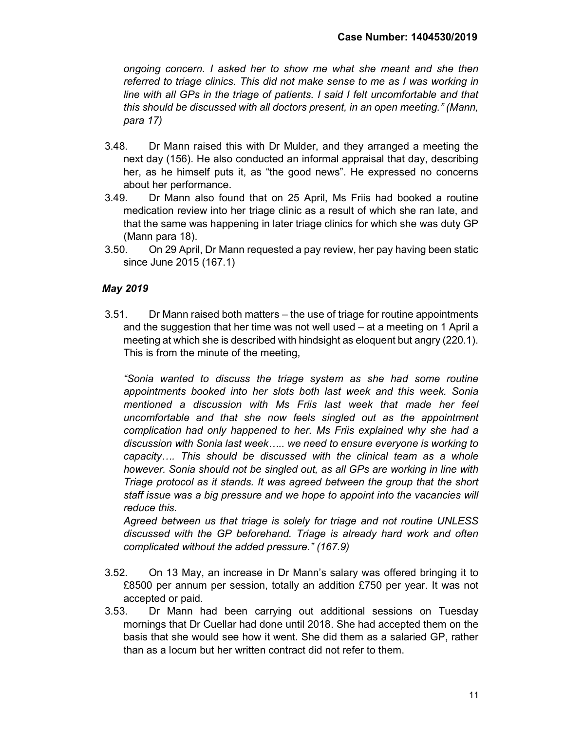ongoing concern. I asked her to show me what she meant and she then referred to triage clinics. This did not make sense to me as I was working in line with all GPs in the triage of patients. I said I felt uncomfortable and that this should be discussed with all doctors present, in an open meeting." (Mann, para 17)

- 3.48. Dr Mann raised this with Dr Mulder, and they arranged a meeting the next day (156). He also conducted an informal appraisal that day, describing her, as he himself puts it, as "the good news". He expressed no concerns about her performance.
- 3.49. Dr Mann also found that on 25 April, Ms Friis had booked a routine medication review into her triage clinic as a result of which she ran late, and that the same was happening in later triage clinics for which she was duty GP (Mann para 18).
- 3.50. On 29 April, Dr Mann requested a pay review, her pay having been static since June 2015 (167.1)

# May 2019

3.51. Dr Mann raised both matters – the use of triage for routine appointments and the suggestion that her time was not well used – at a meeting on 1 April a meeting at which she is described with hindsight as eloquent but angry (220.1). This is from the minute of the meeting,

"Sonia wanted to discuss the triage system as she had some routine appointments booked into her slots both last week and this week. Sonia mentioned a discussion with Ms Friis last week that made her feel uncomfortable and that she now feels singled out as the appointment complication had only happened to her. Ms Friis explained why she had a discussion with Sonia last week….. we need to ensure everyone is working to capacity…. This should be discussed with the clinical team as a whole however. Sonia should not be singled out, as all GPs are working in line with Triage protocol as it stands. It was agreed between the group that the short staff issue was a big pressure and we hope to appoint into the vacancies will reduce this.

Agreed between us that triage is solely for triage and not routine UNLESS discussed with the GP beforehand. Triage is already hard work and often complicated without the added pressure." (167.9)

- 3.52. On 13 May, an increase in Dr Mann's salary was offered bringing it to £8500 per annum per session, totally an addition £750 per year. It was not accepted or paid.
- 3.53. Dr Mann had been carrying out additional sessions on Tuesday mornings that Dr Cuellar had done until 2018. She had accepted them on the basis that she would see how it went. She did them as a salaried GP, rather than as a locum but her written contract did not refer to them.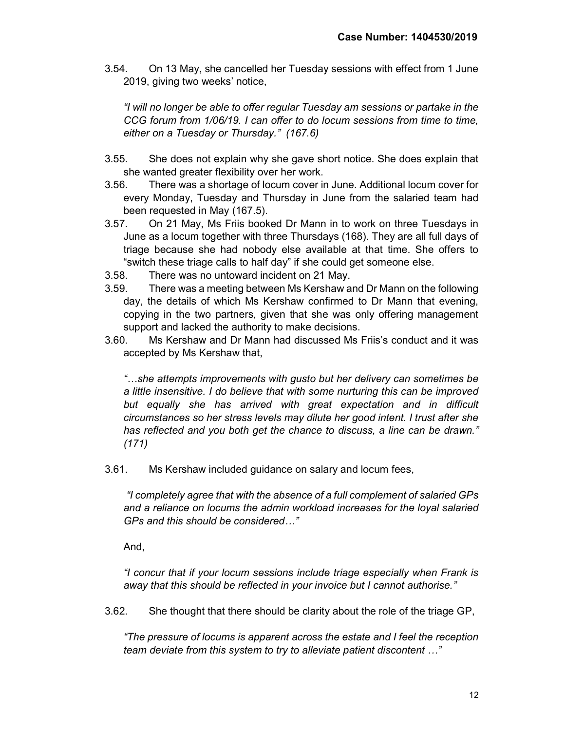3.54. On 13 May, she cancelled her Tuesday sessions with effect from 1 June 2019, giving two weeks' notice,

"I will no longer be able to offer regular Tuesday am sessions or partake in the CCG forum from 1/06/19. I can offer to do locum sessions from time to time, either on a Tuesday or Thursday." (167.6)

- 3.55. She does not explain why she gave short notice. She does explain that she wanted greater flexibility over her work.
- 3.56. There was a shortage of locum cover in June. Additional locum cover for every Monday, Tuesday and Thursday in June from the salaried team had been requested in May (167.5).
- 3.57. On 21 May, Ms Friis booked Dr Mann in to work on three Tuesdays in June as a locum together with three Thursdays (168). They are all full days of triage because she had nobody else available at that time. She offers to "switch these triage calls to half day" if she could get someone else.
- 3.58. There was no untoward incident on 21 May.
- 3.59. There was a meeting between Ms Kershaw and Dr Mann on the following day, the details of which Ms Kershaw confirmed to Dr Mann that evening, copying in the two partners, given that she was only offering management support and lacked the authority to make decisions.
- 3.60. Ms Kershaw and Dr Mann had discussed Ms Friis's conduct and it was accepted by Ms Kershaw that,

"…she attempts improvements with gusto but her delivery can sometimes be a little insensitive. I do believe that with some nurturing this can be improved but equally she has arrived with great expectation and in difficult circumstances so her stress levels may dilute her good intent. I trust after she has reflected and you both get the chance to discuss, a line can be drawn." (171)

3.61. Ms Kershaw included guidance on salary and locum fees,

"I completely agree that with the absence of a full complement of salaried GPs and a reliance on locums the admin workload increases for the loyal salaried GPs and this should be considered…"

And,

"I concur that if your locum sessions include triage especially when Frank is away that this should be reflected in your invoice but I cannot authorise."

3.62. She thought that there should be clarity about the role of the triage GP,

"The pressure of locums is apparent across the estate and I feel the reception team deviate from this system to try to alleviate patient discontent …"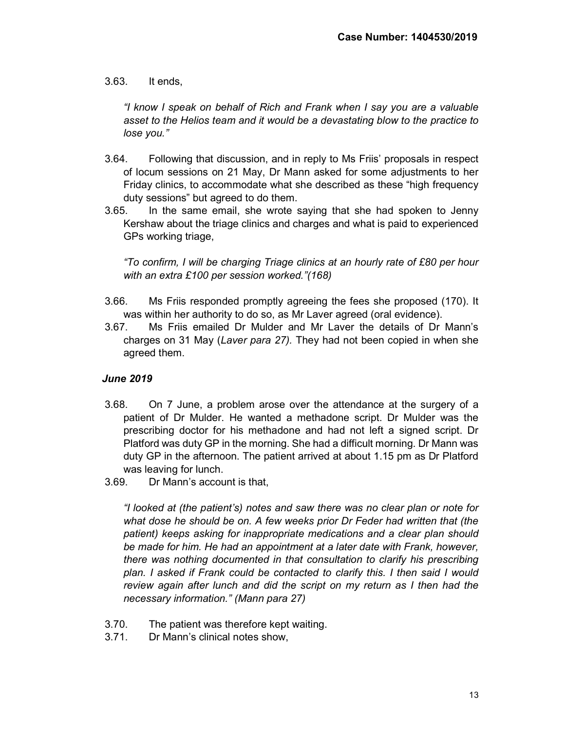#### 3.63. It ends,

"I know I speak on behalf of Rich and Frank when I say you are a valuable asset to the Helios team and it would be a devastating blow to the practice to lose you."

- 3.64. Following that discussion, and in reply to Ms Friis' proposals in respect of locum sessions on 21 May, Dr Mann asked for some adjustments to her Friday clinics, to accommodate what she described as these "high frequency duty sessions" but agreed to do them.
- 3.65. In the same email, she wrote saying that she had spoken to Jenny Kershaw about the triage clinics and charges and what is paid to experienced GPs working triage,

"To confirm, I will be charging Triage clinics at an hourly rate of £80 per hour with an extra £100 per session worked."(168)

- 3.66. Ms Friis responded promptly agreeing the fees she proposed (170). It was within her authority to do so, as Mr Laver agreed (oral evidence).
- 3.67. Ms Friis emailed Dr Mulder and Mr Laver the details of Dr Mann's charges on 31 May (Laver para 27). They had not been copied in when she agreed them.

## June 2019

- 3.68. On 7 June, a problem arose over the attendance at the surgery of a patient of Dr Mulder. He wanted a methadone script. Dr Mulder was the prescribing doctor for his methadone and had not left a signed script. Dr Platford was duty GP in the morning. She had a difficult morning. Dr Mann was duty GP in the afternoon. The patient arrived at about 1.15 pm as Dr Platford was leaving for lunch.
- 3.69. Dr Mann's account is that,

"I looked at (the patient's) notes and saw there was no clear plan or note for what dose he should be on. A few weeks prior Dr Feder had written that (the patient) keeps asking for inappropriate medications and a clear plan should be made for him. He had an appointment at a later date with Frank, however, there was nothing documented in that consultation to clarify his prescribing plan. I asked if Frank could be contacted to clarify this. I then said I would review again after lunch and did the script on my return as I then had the necessary information." (Mann para 27)

- 3.70. The patient was therefore kept waiting.
- 3.71. Dr Mann's clinical notes show,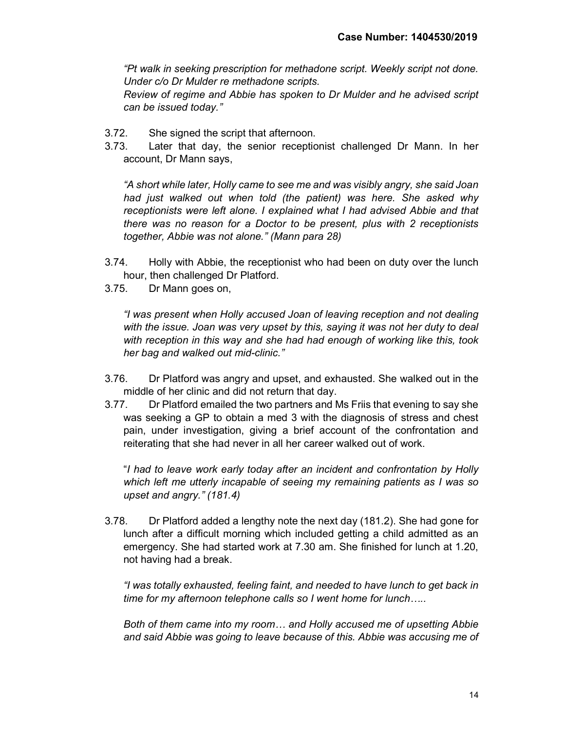"Pt walk in seeking prescription for methadone script. Weekly script not done. Under c/o Dr Mulder re methadone scripts.

Review of regime and Abbie has spoken to Dr Mulder and he advised script can be issued today."

- 3.72. She signed the script that afternoon.
- 3.73. Later that day, the senior receptionist challenged Dr Mann. In her account, Dr Mann says,

"A short while later, Holly came to see me and was visibly angry, she said Joan had just walked out when told (the patient) was here. She asked why receptionists were left alone. I explained what I had advised Abbie and that there was no reason for a Doctor to be present, plus with 2 receptionists together, Abbie was not alone." (Mann para 28)

- 3.74. Holly with Abbie, the receptionist who had been on duty over the lunch hour, then challenged Dr Platford.
- 3.75. Dr Mann goes on,

"I was present when Holly accused Joan of leaving reception and not dealing with the issue. Joan was very upset by this, saying it was not her duty to deal with reception in this way and she had had enough of working like this, took her bag and walked out mid-clinic."

- 3.76. Dr Platford was angry and upset, and exhausted. She walked out in the middle of her clinic and did not return that day.
- 3.77. Dr Platford emailed the two partners and Ms Friis that evening to say she was seeking a GP to obtain a med 3 with the diagnosis of stress and chest pain, under investigation, giving a brief account of the confrontation and reiterating that she had never in all her career walked out of work.

"I had to leave work early today after an incident and confrontation by Holly which left me utterly incapable of seeing my remaining patients as I was so upset and angry." (181.4)

3.78. Dr Platford added a lengthy note the next day (181.2). She had gone for lunch after a difficult morning which included getting a child admitted as an emergency. She had started work at 7.30 am. She finished for lunch at 1.20, not having had a break.

"I was totally exhausted, feeling faint, and needed to have lunch to get back in time for my afternoon telephone calls so I went home for lunch…..

Both of them came into my room… and Holly accused me of upsetting Abbie and said Abbie was going to leave because of this. Abbie was accusing me of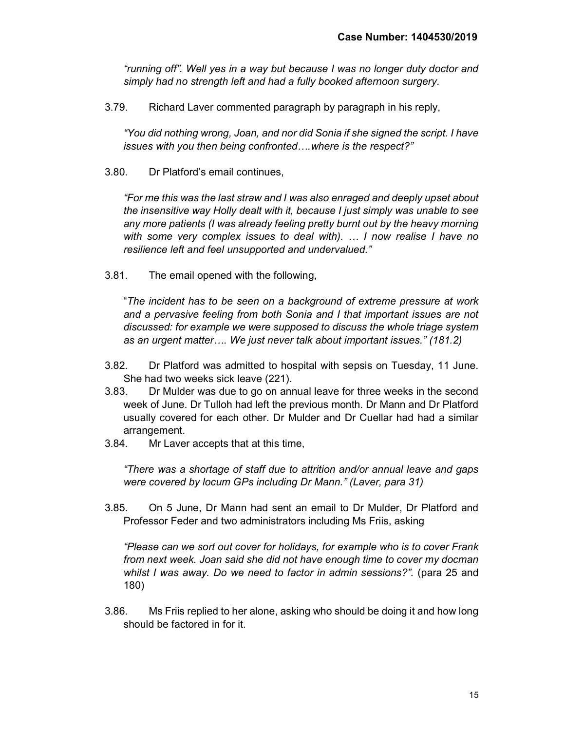"running off". Well yes in a way but because I was no longer duty doctor and simply had no strength left and had a fully booked afternoon surgery.

3.79. Richard Laver commented paragraph by paragraph in his reply,

"You did nothing wrong, Joan, and nor did Sonia if she signed the script. I have issues with you then being confronted….where is the respect?"

3.80. Dr Platford's email continues,

"For me this was the last straw and I was also enraged and deeply upset about the insensitive way Holly dealt with it, because I just simply was unable to see any more patients (I was already feeling pretty burnt out by the heavy morning with some very complex issues to deal with). … I now realise I have no resilience left and feel unsupported and undervalued."

3.81. The email opened with the following,

"The incident has to be seen on a background of extreme pressure at work and a pervasive feeling from both Sonia and I that important issues are not discussed: for example we were supposed to discuss the whole triage system as an urgent matter…. We just never talk about important issues." (181.2)

- 3.82. Dr Platford was admitted to hospital with sepsis on Tuesday, 11 June. She had two weeks sick leave (221).
- 3.83. Dr Mulder was due to go on annual leave for three weeks in the second week of June. Dr Tulloh had left the previous month. Dr Mann and Dr Platford usually covered for each other. Dr Mulder and Dr Cuellar had had a similar arrangement.
- 3.84. Mr Laver accepts that at this time,

"There was a shortage of staff due to attrition and/or annual leave and gaps were covered by locum GPs including Dr Mann." (Laver, para 31)

3.85. On 5 June, Dr Mann had sent an email to Dr Mulder, Dr Platford and Professor Feder and two administrators including Ms Friis, asking

"Please can we sort out cover for holidays, for example who is to cover Frank from next week. Joan said she did not have enough time to cover my docman whilst I was away. Do we need to factor in admin sessions?". (para 25 and 180)

3.86. Ms Friis replied to her alone, asking who should be doing it and how long should be factored in for it.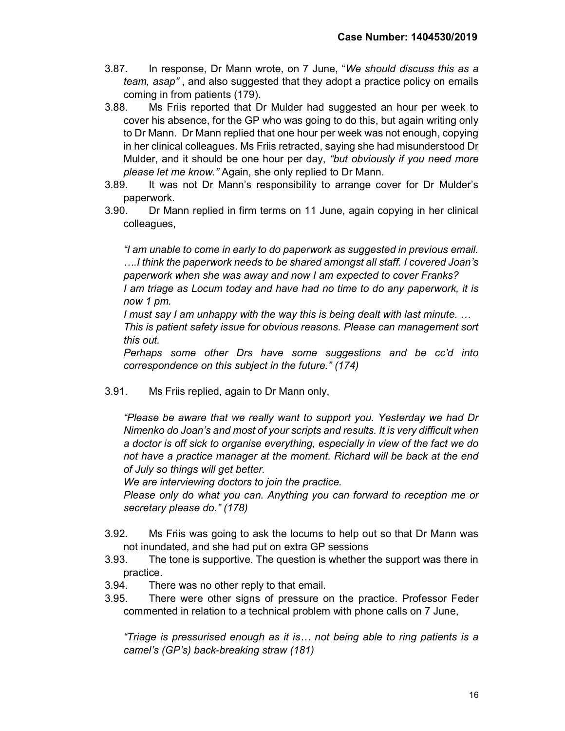- 3.87. In response, Dr Mann wrote, on 7 June, "We should discuss this as a team, asap" , and also suggested that they adopt a practice policy on emails coming in from patients (179).
- 3.88. Ms Friis reported that Dr Mulder had suggested an hour per week to cover his absence, for the GP who was going to do this, but again writing only to Dr Mann. Dr Mann replied that one hour per week was not enough, copying in her clinical colleagues. Ms Friis retracted, saying she had misunderstood Dr Mulder, and it should be one hour per day, "but obviously if you need more please let me know." Again, she only replied to Dr Mann.
- 3.89. It was not Dr Mann's responsibility to arrange cover for Dr Mulder's paperwork.
- 3.90. Dr Mann replied in firm terms on 11 June, again copying in her clinical colleagues,

"I am unable to come in early to do paperwork as suggested in previous email. ….I think the paperwork needs to be shared amongst all staff. I covered Joan's paperwork when she was away and now I am expected to cover Franks?

I am triage as Locum today and have had no time to do any paperwork, it is now 1 pm.

I must say I am unhappy with the way this is being dealt with last minute. … This is patient safety issue for obvious reasons. Please can management sort this out.

Perhaps some other Drs have some suggestions and be cc'd into correspondence on this subject in the future." (174)

3.91. Ms Friis replied, again to Dr Mann only,

"Please be aware that we really want to support you. Yesterday we had Dr Nimenko do Joan's and most of your scripts and results. It is very difficult when a doctor is off sick to organise everything, especially in view of the fact we do not have a practice manager at the moment. Richard will be back at the end of July so things will get better.

We are interviewing doctors to join the practice.

Please only do what you can. Anything you can forward to reception me or secretary please do." (178)

- 3.92. Ms Friis was going to ask the locums to help out so that Dr Mann was not inundated, and she had put on extra GP sessions
- 3.93. The tone is supportive. The question is whether the support was there in practice.
- 3.94. There was no other reply to that email.
- 3.95. There were other signs of pressure on the practice. Professor Feder commented in relation to a technical problem with phone calls on 7 June,

"Triage is pressurised enough as it is… not being able to ring patients is a camel's (GP's) back-breaking straw (181)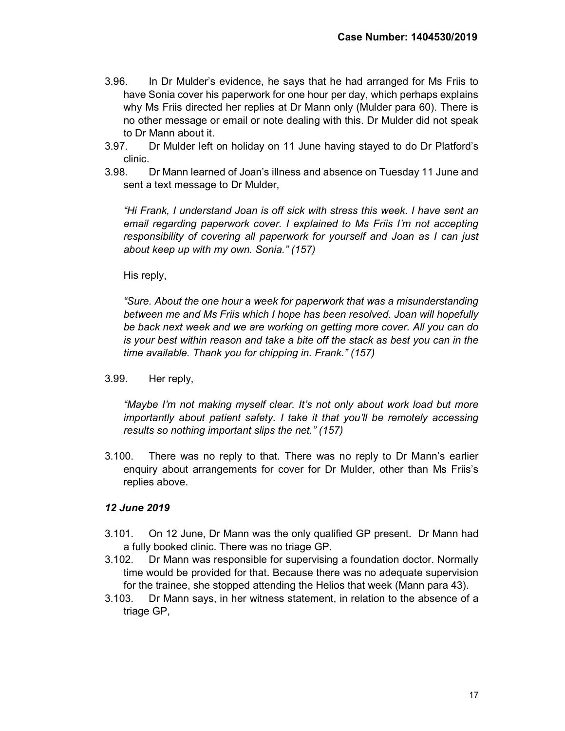- 3.96. In Dr Mulder's evidence, he says that he had arranged for Ms Friis to have Sonia cover his paperwork for one hour per day, which perhaps explains why Ms Friis directed her replies at Dr Mann only (Mulder para 60). There is no other message or email or note dealing with this. Dr Mulder did not speak to Dr Mann about it.
- 3.97. Dr Mulder left on holiday on 11 June having stayed to do Dr Platford's clinic.
- 3.98. Dr Mann learned of Joan's illness and absence on Tuesday 11 June and sent a text message to Dr Mulder,

"Hi Frank, I understand Joan is off sick with stress this week. I have sent an email regarding paperwork cover. I explained to Ms Friis I'm not accepting responsibility of covering all paperwork for yourself and Joan as I can just about keep up with my own. Sonia." (157)

## His reply,

"Sure. About the one hour a week for paperwork that was a misunderstanding between me and Ms Friis which I hope has been resolved. Joan will hopefully be back next week and we are working on getting more cover. All you can do is your best within reason and take a bite off the stack as best you can in the time available. Thank you for chipping in. Frank." (157)

3.99. Her reply,

"Maybe I'm not making myself clear. It's not only about work load but more importantly about patient safety. I take it that you'll be remotely accessing results so nothing important slips the net." (157)

3.100. There was no reply to that. There was no reply to Dr Mann's earlier enquiry about arrangements for cover for Dr Mulder, other than Ms Friis's replies above.

## 12 June 2019

- 3.101. On 12 June, Dr Mann was the only qualified GP present. Dr Mann had a fully booked clinic. There was no triage GP.
- 3.102. Dr Mann was responsible for supervising a foundation doctor. Normally time would be provided for that. Because there was no adequate supervision for the trainee, she stopped attending the Helios that week (Mann para 43).
- 3.103. Dr Mann says, in her witness statement, in relation to the absence of a triage GP,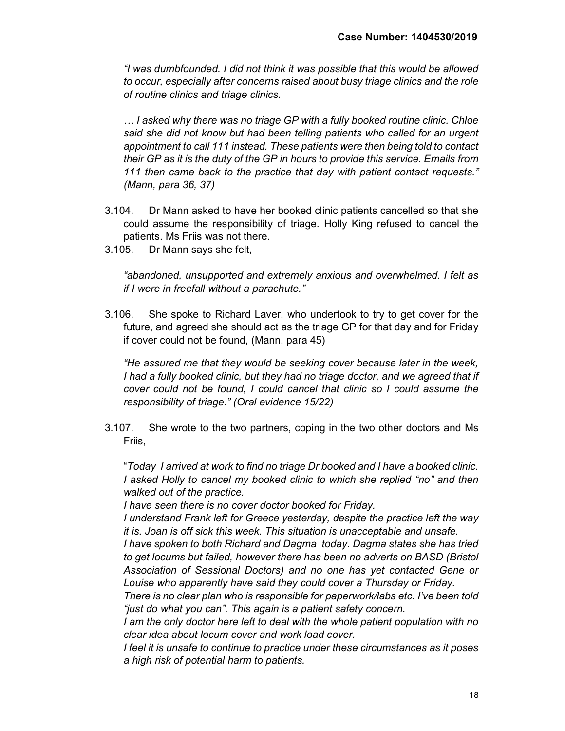"I was dumbfounded. I did not think it was possible that this would be allowed to occur, especially after concerns raised about busy triage clinics and the role of routine clinics and triage clinics.

… I asked why there was no triage GP with a fully booked routine clinic. Chloe said she did not know but had been telling patients who called for an urgent appointment to call 111 instead. These patients were then being told to contact their GP as it is the duty of the GP in hours to provide this service. Emails from 111 then came back to the practice that day with patient contact requests." (Mann, para 36, 37)

- 3.104. Dr Mann asked to have her booked clinic patients cancelled so that she could assume the responsibility of triage. Holly King refused to cancel the patients. Ms Friis was not there.
- 3.105. Dr Mann says she felt,

"abandoned, unsupported and extremely anxious and overwhelmed. I felt as if I were in freefall without a parachute."

3.106. She spoke to Richard Laver, who undertook to try to get cover for the future, and agreed she should act as the triage GP for that day and for Friday if cover could not be found, (Mann, para 45)

"He assured me that they would be seeking cover because later in the week, I had a fully booked clinic, but they had no triage doctor, and we agreed that if cover could not be found, I could cancel that clinic so I could assume the responsibility of triage." (Oral evidence 15/22)

3.107. She wrote to the two partners, coping in the two other doctors and Ms Friis,

"Today I arrived at work to find no triage Dr booked and I have a booked clinic. I asked Holly to cancel my booked clinic to which she replied "no" and then walked out of the practice.

I have seen there is no cover doctor booked for Friday.

I understand Frank left for Greece yesterday, despite the practice left the way it is. Joan is off sick this week. This situation is unacceptable and unsafe.

I have spoken to both Richard and Dagma today. Dagma states she has tried to get locums but failed, however there has been no adverts on BASD (Bristol Association of Sessional Doctors) and no one has yet contacted Gene or Louise who apparently have said they could cover a Thursday or Friday.

There is no clear plan who is responsible for paperwork/labs etc. I've been told "just do what you can". This again is a patient safety concern.

I am the only doctor here left to deal with the whole patient population with no clear idea about locum cover and work load cover.

I feel it is unsafe to continue to practice under these circumstances as it poses a high risk of potential harm to patients.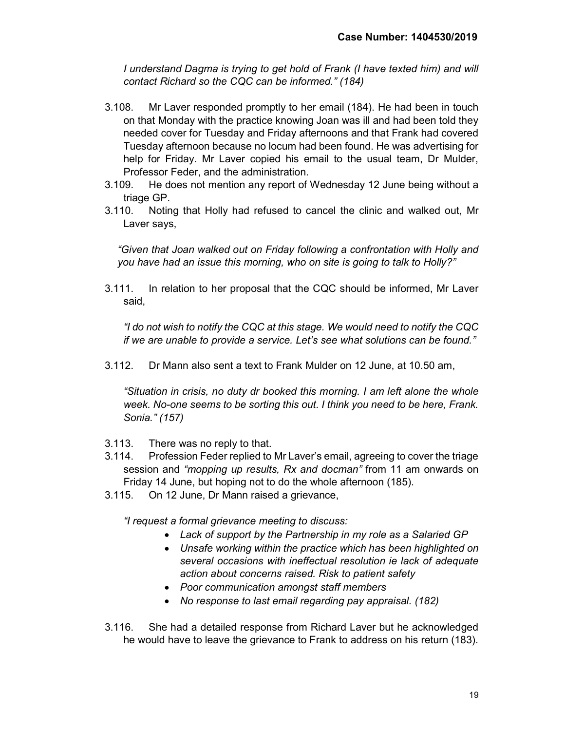I understand Dagma is trying to get hold of Frank (I have texted him) and will contact Richard so the CQC can be informed." (184)

- 3.108. Mr Laver responded promptly to her email (184). He had been in touch on that Monday with the practice knowing Joan was ill and had been told they needed cover for Tuesday and Friday afternoons and that Frank had covered Tuesday afternoon because no locum had been found. He was advertising for help for Friday. Mr Laver copied his email to the usual team, Dr Mulder, Professor Feder, and the administration.
- 3.109. He does not mention any report of Wednesday 12 June being without a triage GP.
- 3.110. Noting that Holly had refused to cancel the clinic and walked out, Mr Laver says,

"Given that Joan walked out on Friday following a confrontation with Holly and you have had an issue this morning, who on site is going to talk to Holly?"

3.111. In relation to her proposal that the CQC should be informed, Mr Laver said,

"I do not wish to notify the CQC at this stage. We would need to notify the CQC if we are unable to provide a service. Let's see what solutions can be found."

3.112. Dr Mann also sent a text to Frank Mulder on 12 June, at 10.50 am,

"Situation in crisis, no duty dr booked this morning. I am left alone the whole week. No-one seems to be sorting this out. I think you need to be here, Frank. Sonia." (157)

- 3.113. There was no reply to that.
- 3.114. Profession Feder replied to Mr Laver's email, agreeing to cover the triage session and "*mopping up results, Rx and docman*" from 11 am onwards on Friday 14 June, but hoping not to do the whole afternoon (185).
- 3.115. On 12 June, Dr Mann raised a grievance,

"I request a formal grievance meeting to discuss:

- Lack of support by the Partnership in my role as a Salaried GP
- Unsafe working within the practice which has been highlighted on several occasions with ineffectual resolution ie lack of adequate action about concerns raised. Risk to patient safety
- Poor communication amongst staff members
- No response to last email regarding pay appraisal. (182)
- 3.116. She had a detailed response from Richard Laver but he acknowledged he would have to leave the grievance to Frank to address on his return (183).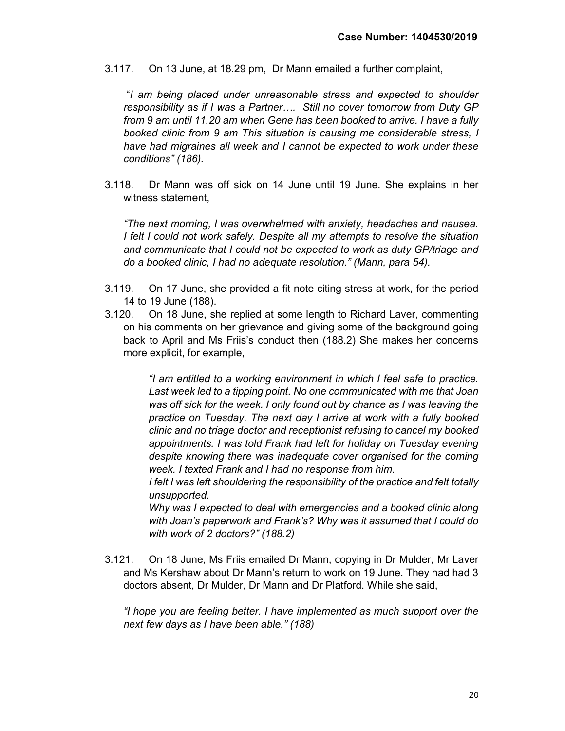3.117. On 13 June, at 18.29 pm, Dr Mann emailed a further complaint,

 "I am being placed under unreasonable stress and expected to shoulder responsibility as if I was a Partner…. Still no cover tomorrow from Duty GP from 9 am until 11.20 am when Gene has been booked to arrive. I have a fully booked clinic from 9 am This situation is causing me considerable stress, I have had migraines all week and I cannot be expected to work under these conditions" (186).

3.118. Dr Mann was off sick on 14 June until 19 June. She explains in her witness statement,

"The next morning, I was overwhelmed with anxiety, headaches and nausea. I felt I could not work safely. Despite all my attempts to resolve the situation and communicate that I could not be expected to work as duty GP/triage and do a booked clinic, I had no adequate resolution." (Mann, para 54).

- 3.119. On 17 June, she provided a fit note citing stress at work, for the period 14 to 19 June (188).
- 3.120. On 18 June, she replied at some length to Richard Laver, commenting on his comments on her grievance and giving some of the background going back to April and Ms Friis's conduct then (188.2) She makes her concerns more explicit, for example,

"I am entitled to a working environment in which I feel safe to practice. Last week led to a tipping point. No one communicated with me that Joan was off sick for the week. I only found out by chance as I was leaving the practice on Tuesday. The next day I arrive at work with a fully booked clinic and no triage doctor and receptionist refusing to cancel my booked appointments. I was told Frank had left for holiday on Tuesday evening despite knowing there was inadequate cover organised for the coming week. I texted Frank and I had no response from him.

I felt I was left shouldering the responsibility of the practice and felt totally unsupported.

Why was I expected to deal with emergencies and a booked clinic along with Joan's paperwork and Frank's? Why was it assumed that I could do with work of 2 doctors?" (188.2)

3.121. On 18 June, Ms Friis emailed Dr Mann, copying in Dr Mulder, Mr Laver and Ms Kershaw about Dr Mann's return to work on 19 June. They had had 3 doctors absent, Dr Mulder, Dr Mann and Dr Platford. While she said,

"I hope you are feeling better. I have implemented as much support over the next few days as I have been able." (188)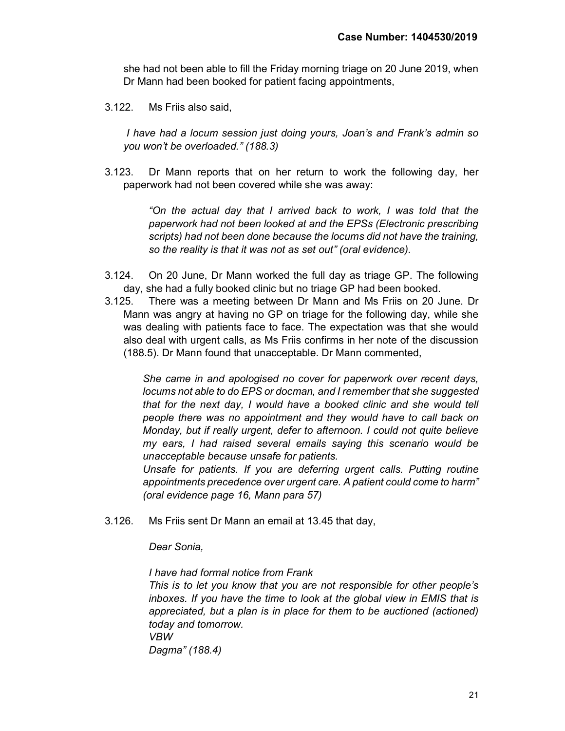she had not been able to fill the Friday morning triage on 20 June 2019, when Dr Mann had been booked for patient facing appointments,

3.122. Ms Friis also said,

I have had a locum session just doing yours, Joan's and Frank's admin so you won't be overloaded." (188.3)

3.123. Dr Mann reports that on her return to work the following day, her paperwork had not been covered while she was away:

> "On the actual day that I arrived back to work, I was told that the paperwork had not been looked at and the EPSs (Electronic prescribing scripts) had not been done because the locums did not have the training, so the reality is that it was not as set out" (oral evidence).

- 3.124. On 20 June, Dr Mann worked the full day as triage GP. The following day, she had a fully booked clinic but no triage GP had been booked.
- 3.125. There was a meeting between Dr Mann and Ms Friis on 20 June. Dr Mann was angry at having no GP on triage for the following day, while she was dealing with patients face to face. The expectation was that she would also deal with urgent calls, as Ms Friis confirms in her note of the discussion (188.5). Dr Mann found that unacceptable. Dr Mann commented,

She came in and apologised no cover for paperwork over recent days, locums not able to do EPS or docman, and I remember that she suggested that for the next day, I would have a booked clinic and she would tell people there was no appointment and they would have to call back on Monday, but if really urgent, defer to afternoon. I could not quite believe my ears, I had raised several emails saying this scenario would be unacceptable because unsafe for patients.

Unsafe for patients. If you are deferring urgent calls. Putting routine appointments precedence over urgent care. A patient could come to harm" (oral evidence page 16, Mann para 57)

3.126. Ms Friis sent Dr Mann an email at 13.45 that day,

Dear Sonia,

I have had formal notice from Frank

This is to let you know that you are not responsible for other people's inboxes. If you have the time to look at the global view in EMIS that is appreciated, but a plan is in place for them to be auctioned (actioned) today and tomorrow. VBW

Dagma" (188.4)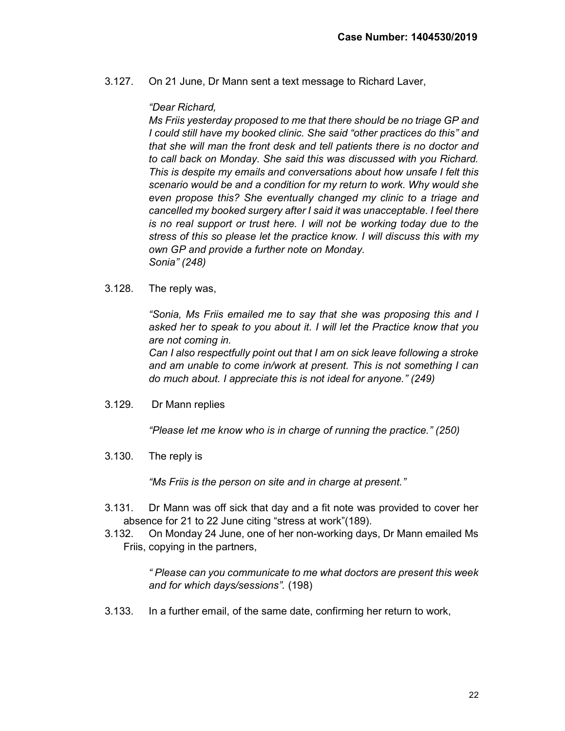3.127. On 21 June, Dr Mann sent a text message to Richard Laver,

#### "Dear Richard,

Ms Friis yesterday proposed to me that there should be no triage GP and I could still have my booked clinic. She said "other practices do this" and that she will man the front desk and tell patients there is no doctor and to call back on Monday. She said this was discussed with you Richard. This is despite my emails and conversations about how unsafe I felt this scenario would be and a condition for my return to work. Why would she even propose this? She eventually changed my clinic to a triage and cancelled my booked surgery after I said it was unacceptable. I feel there is no real support or trust here. I will not be working today due to the stress of this so please let the practice know. I will discuss this with my own GP and provide a further note on Monday. Sonia" (248)

3.128. The reply was,

"Sonia, Ms Friis emailed me to say that she was proposing this and I asked her to speak to you about it. I will let the Practice know that you are not coming in.

Can I also respectfully point out that I am on sick leave following a stroke and am unable to come in/work at present. This is not something I can do much about. I appreciate this is not ideal for anyone." (249)

3.129. Dr Mann replies

"Please let me know who is in charge of running the practice." (250)

3.130. The reply is

"Ms Friis is the person on site and in charge at present."

- 3.131. Dr Mann was off sick that day and a fit note was provided to cover her absence for 21 to 22 June citing "stress at work"(189).
- 3.132. On Monday 24 June, one of her non-working days, Dr Mann emailed Ms Friis, copying in the partners,

" Please can you communicate to me what doctors are present this week and for which days/sessions". (198)

3.133. In a further email, of the same date, confirming her return to work,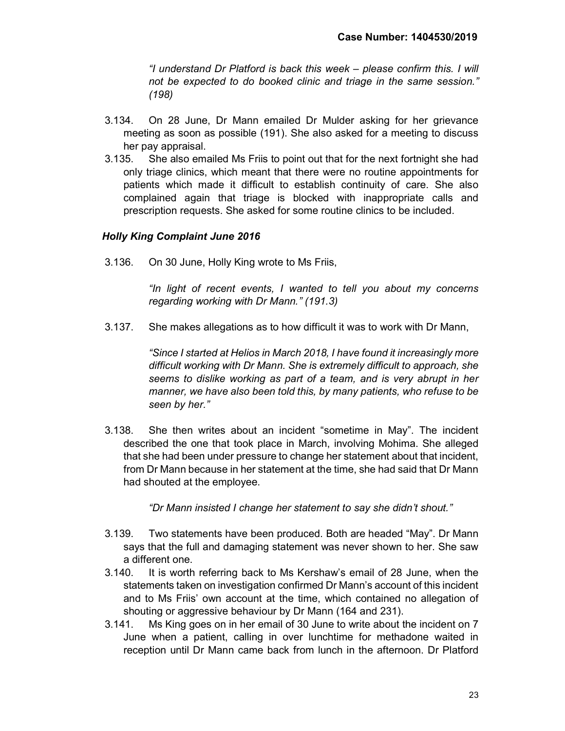"I understand Dr Platford is back this week – please confirm this. I will not be expected to do booked clinic and triage in the same session." (198)

- 3.134. On 28 June, Dr Mann emailed Dr Mulder asking for her grievance meeting as soon as possible (191). She also asked for a meeting to discuss her pay appraisal.
- 3.135. She also emailed Ms Friis to point out that for the next fortnight she had only triage clinics, which meant that there were no routine appointments for patients which made it difficult to establish continuity of care. She also complained again that triage is blocked with inappropriate calls and prescription requests. She asked for some routine clinics to be included.

# Holly King Complaint June 2016

3.136. On 30 June, Holly King wrote to Ms Friis,

"In light of recent events, I wanted to tell you about my concerns regarding working with Dr Mann." (191.3)

3.137. She makes allegations as to how difficult it was to work with Dr Mann,

"Since I started at Helios in March 2018, I have found it increasingly more difficult working with Dr Mann. She is extremely difficult to approach, she seems to dislike working as part of a team, and is very abrupt in her manner, we have also been told this, by many patients, who refuse to be seen by her."

3.138. She then writes about an incident "sometime in May". The incident described the one that took place in March, involving Mohima. She alleged that she had been under pressure to change her statement about that incident, from Dr Mann because in her statement at the time, she had said that Dr Mann had shouted at the employee.

"Dr Mann insisted I change her statement to say she didn't shout."

- 3.139. Two statements have been produced. Both are headed "May". Dr Mann says that the full and damaging statement was never shown to her. She saw a different one.
- 3.140. It is worth referring back to Ms Kershaw's email of 28 June, when the statements taken on investigation confirmed Dr Mann's account of this incident and to Ms Friis' own account at the time, which contained no allegation of shouting or aggressive behaviour by Dr Mann (164 and 231).
- 3.141. Ms King goes on in her email of 30 June to write about the incident on 7 June when a patient, calling in over lunchtime for methadone waited in reception until Dr Mann came back from lunch in the afternoon. Dr Platford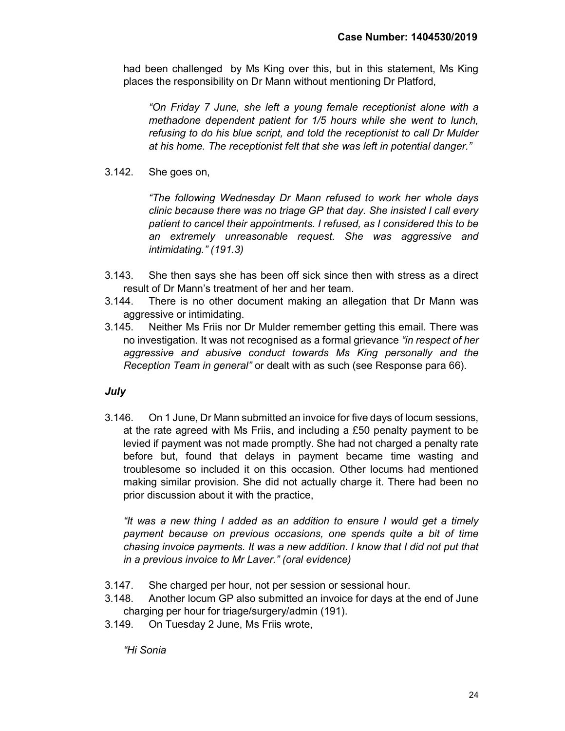had been challenged by Ms King over this, but in this statement, Ms King places the responsibility on Dr Mann without mentioning Dr Platford,

"On Friday 7 June, she left a young female receptionist alone with a methadone dependent patient for 1/5 hours while she went to lunch, refusing to do his blue script, and told the receptionist to call Dr Mulder at his home. The receptionist felt that she was left in potential danger."

3.142. She goes on,

"The following Wednesday Dr Mann refused to work her whole days clinic because there was no triage GP that day. She insisted I call every patient to cancel their appointments. I refused, as I considered this to be an extremely unreasonable request. She was aggressive and intimidating." (191.3)

- 3.143. She then says she has been off sick since then with stress as a direct result of Dr Mann's treatment of her and her team.
- 3.144. There is no other document making an allegation that Dr Mann was aggressive or intimidating.
- 3.145. Neither Ms Friis nor Dr Mulder remember getting this email. There was no investigation. It was not recognised as a formal grievance "in respect of her aggressive and abusive conduct towards Ms King personally and the Reception Team in general" or dealt with as such (see Response para 66).

# July

3.146. On 1 June, Dr Mann submitted an invoice for five days of locum sessions, at the rate agreed with Ms Friis, and including a £50 penalty payment to be levied if payment was not made promptly. She had not charged a penalty rate before but, found that delays in payment became time wasting and troublesome so included it on this occasion. Other locums had mentioned making similar provision. She did not actually charge it. There had been no prior discussion about it with the practice,

"It was a new thing I added as an addition to ensure I would get a timely payment because on previous occasions, one spends quite a bit of time chasing invoice payments. It was a new addition. I know that I did not put that in a previous invoice to Mr Laver." (oral evidence)

- 3.147. She charged per hour, not per session or sessional hour.
- 3.148. Another locum GP also submitted an invoice for days at the end of June charging per hour for triage/surgery/admin (191).
- 3.149. On Tuesday 2 June, Ms Friis wrote,

"Hi Sonia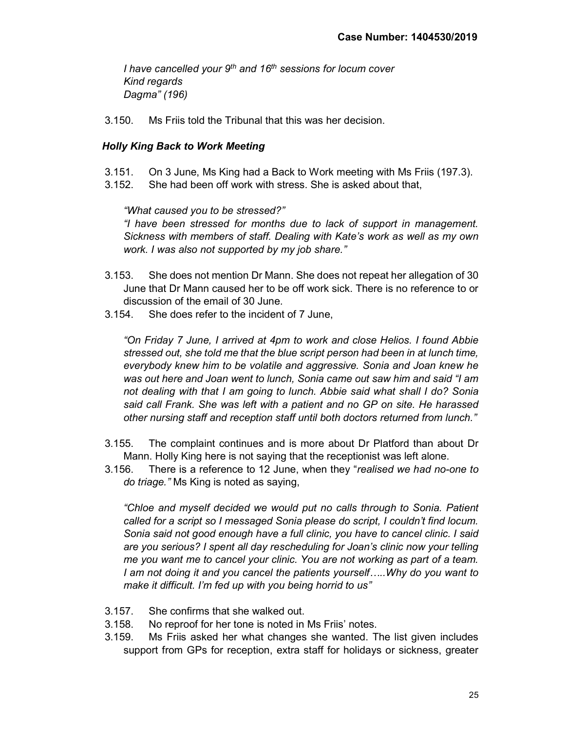I have cancelled your  $9<sup>th</sup>$  and 16<sup>th</sup> sessions for locum cover Kind regards Dagma" (196)

3.150. Ms Friis told the Tribunal that this was her decision.

#### Holly King Back to Work Meeting

- 3.151. On 3 June, Ms King had a Back to Work meeting with Ms Friis (197.3).
- 3.152. She had been off work with stress. She is asked about that,

"What caused you to be stressed?"

"I have been stressed for months due to lack of support in management. Sickness with members of staff. Dealing with Kate's work as well as my own work. I was also not supported by my job share."

- 3.153. She does not mention Dr Mann. She does not repeat her allegation of 30 June that Dr Mann caused her to be off work sick. There is no reference to or discussion of the email of 30 June.
- 3.154. She does refer to the incident of 7 June,

"On Friday 7 June, I arrived at 4pm to work and close Helios. I found Abbie stressed out, she told me that the blue script person had been in at lunch time, everybody knew him to be volatile and aggressive. Sonia and Joan knew he was out here and Joan went to lunch, Sonia came out saw him and said "I am not dealing with that I am going to lunch. Abbie said what shall I do? Sonia said call Frank. She was left with a patient and no GP on site. He harassed other nursing staff and reception staff until both doctors returned from lunch."

- 3.155. The complaint continues and is more about Dr Platford than about Dr Mann. Holly King here is not saying that the receptionist was left alone.
- 3.156. There is a reference to 12 June, when they "realised we had no-one to do triage." Ms King is noted as saying,

"Chloe and myself decided we would put no calls through to Sonia. Patient called for a script so I messaged Sonia please do script, I couldn't find locum. Sonia said not good enough have a full clinic, you have to cancel clinic. I said are you serious? I spent all day rescheduling for Joan's clinic now your telling me you want me to cancel your clinic. You are not working as part of a team. I am not doing it and you cancel the patients yourself…..Why do you want to make it difficult. I'm fed up with you being horrid to us"

- 3.157. She confirms that she walked out.
- 3.158. No reproof for her tone is noted in Ms Friis' notes.
- 3.159. Ms Friis asked her what changes she wanted. The list given includes support from GPs for reception, extra staff for holidays or sickness, greater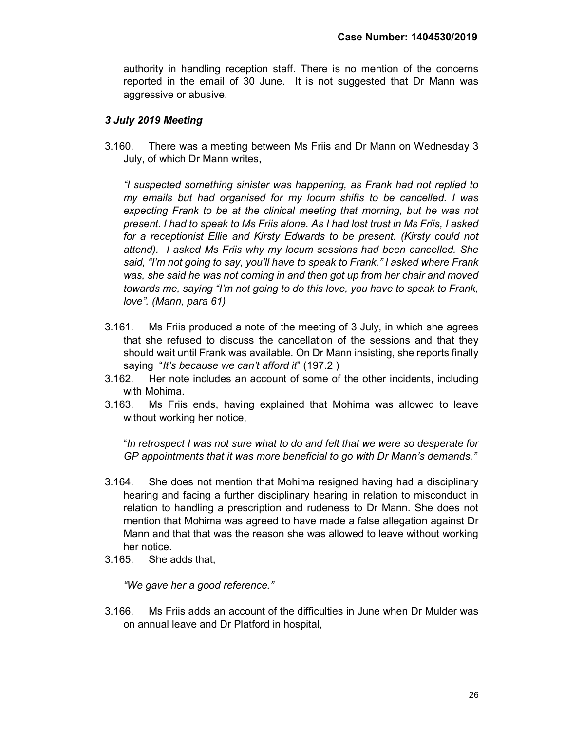authority in handling reception staff. There is no mention of the concerns reported in the email of 30 June. It is not suggested that Dr Mann was aggressive or abusive.

# 3 July 2019 Meeting

3.160. There was a meeting between Ms Friis and Dr Mann on Wednesday 3 July, of which Dr Mann writes,

"I suspected something sinister was happening, as Frank had not replied to my emails but had organised for my locum shifts to be cancelled. I was expecting Frank to be at the clinical meeting that morning, but he was not present. I had to speak to Ms Friis alone. As I had lost trust in Ms Friis, I asked for a receptionist Ellie and Kirsty Edwards to be present. (Kirsty could not attend). I asked Ms Friis why my locum sessions had been cancelled. She said, "I'm not going to say, you'll have to speak to Frank." I asked where Frank was, she said he was not coming in and then got up from her chair and moved towards me, saying "I'm not going to do this love, you have to speak to Frank, love". (Mann, para 61)

- 3.161. Ms Friis produced a note of the meeting of 3 July, in which she agrees that she refused to discuss the cancellation of the sessions and that they should wait until Frank was available. On Dr Mann insisting, she reports finally saying "It's because we can't afford it" (197.2)
- 3.162. Her note includes an account of some of the other incidents, including with Mohima.
- 3.163. Ms Friis ends, having explained that Mohima was allowed to leave without working her notice,

"In retrospect I was not sure what to do and felt that we were so desperate for GP appointments that it was more beneficial to go with Dr Mann's demands."

- 3.164. She does not mention that Mohima resigned having had a disciplinary hearing and facing a further disciplinary hearing in relation to misconduct in relation to handling a prescription and rudeness to Dr Mann. She does not mention that Mohima was agreed to have made a false allegation against Dr Mann and that that was the reason she was allowed to leave without working her notice.
- 3.165. She adds that,

"We gave her a good reference."

3.166. Ms Friis adds an account of the difficulties in June when Dr Mulder was on annual leave and Dr Platford in hospital,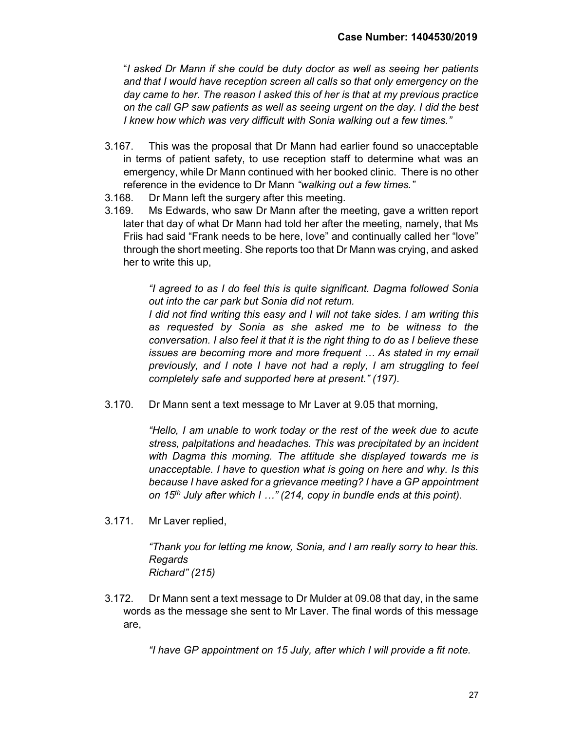"I asked Dr Mann if she could be duty doctor as well as seeing her patients and that I would have reception screen all calls so that only emergency on the day came to her. The reason I asked this of her is that at my previous practice on the call GP saw patients as well as seeing urgent on the day. I did the best I knew how which was very difficult with Sonia walking out a few times."

- 3.167. This was the proposal that Dr Mann had earlier found so unacceptable in terms of patient safety, to use reception staff to determine what was an emergency, while Dr Mann continued with her booked clinic. There is no other reference in the evidence to Dr Mann "walking out a few times."
- 3.168. Dr Mann left the surgery after this meeting.
- 3.169. Ms Edwards, who saw Dr Mann after the meeting, gave a written report later that day of what Dr Mann had told her after the meeting, namely, that Ms Friis had said "Frank needs to be here, love" and continually called her "love" through the short meeting. She reports too that Dr Mann was crying, and asked her to write this up,

"I agreed to as I do feel this is quite significant. Dagma followed Sonia out into the car park but Sonia did not return.

I did not find writing this easy and I will not take sides. I am writing this as requested by Sonia as she asked me to be witness to the conversation. I also feel it that it is the right thing to do as I believe these issues are becoming more and more frequent … As stated in my email previously, and I note I have not had a reply, I am struggling to feel completely safe and supported here at present." (197).

3.170. Dr Mann sent a text message to Mr Laver at 9.05 that morning,

"Hello, I am unable to work today or the rest of the week due to acute stress, palpitations and headaches. This was precipitated by an incident with Dagma this morning. The attitude she displayed towards me is unacceptable. I have to question what is going on here and why. Is this because I have asked for a grievance meeting? I have a GP appointment on  $15<sup>th</sup>$  July after which I ..." (214, copy in bundle ends at this point).

3.171. Mr Laver replied,

"Thank you for letting me know, Sonia, and I am really sorry to hear this. Regards Richard" (215)

3.172. Dr Mann sent a text message to Dr Mulder at 09.08 that day, in the same words as the message she sent to Mr Laver. The final words of this message are,

"I have GP appointment on 15 July, after which I will provide a fit note.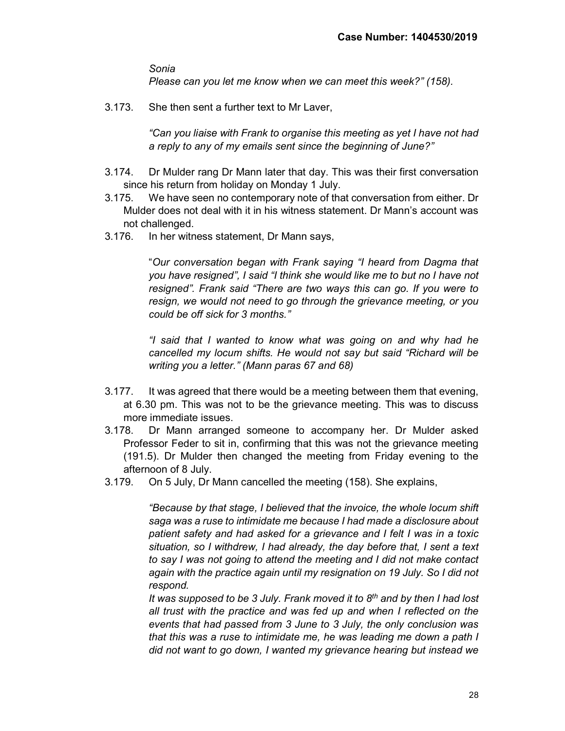Sonia

Please can you let me know when we can meet this week?" (158).

3.173. She then sent a further text to Mr Laver,

"Can you liaise with Frank to organise this meeting as yet I have not had a reply to any of my emails sent since the beginning of June?"

- 3.174. Dr Mulder rang Dr Mann later that day. This was their first conversation since his return from holiday on Monday 1 July.
- 3.175. We have seen no contemporary note of that conversation from either. Dr Mulder does not deal with it in his witness statement. Dr Mann's account was not challenged.
- 3.176. In her witness statement, Dr Mann says,

"Our conversation began with Frank saying "I heard from Dagma that you have resigned", I said "I think she would like me to but no I have not resigned". Frank said "There are two ways this can go. If you were to resign, we would not need to go through the grievance meeting, or you could be off sick for 3 months."

"I said that I wanted to know what was going on and why had he cancelled my locum shifts. He would not say but said "Richard will be writing you a letter." (Mann paras 67 and 68)

- 3.177. It was agreed that there would be a meeting between them that evening, at 6.30 pm. This was not to be the grievance meeting. This was to discuss more immediate issues.
- 3.178. Dr Mann arranged someone to accompany her. Dr Mulder asked Professor Feder to sit in, confirming that this was not the grievance meeting (191.5). Dr Mulder then changed the meeting from Friday evening to the afternoon of 8 July.
- 3.179. On 5 July, Dr Mann cancelled the meeting (158). She explains,

"Because by that stage, I believed that the invoice, the whole locum shift saga was a ruse to intimidate me because I had made a disclosure about patient safety and had asked for a grievance and I felt I was in a toxic situation, so I withdrew, I had already, the day before that, I sent a text to say I was not going to attend the meeting and I did not make contact again with the practice again until my resignation on 19 July. So I did not respond.

It was supposed to be 3 July. Frank moved it to  $8<sup>th</sup>$  and by then I had lost all trust with the practice and was fed up and when I reflected on the events that had passed from 3 June to 3 July, the only conclusion was that this was a ruse to intimidate me, he was leading me down a path I did not want to go down, I wanted my grievance hearing but instead we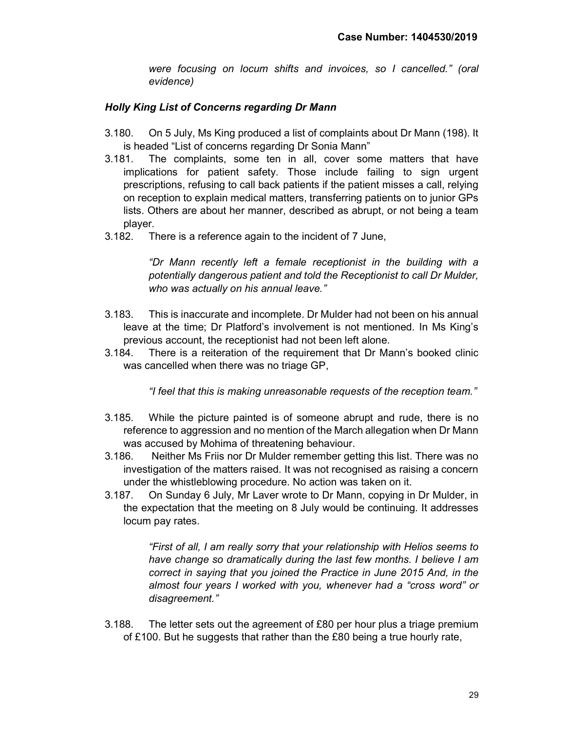were focusing on locum shifts and invoices, so I cancelled." (oral evidence)

# Holly King List of Concerns regarding Dr Mann

- 3.180. On 5 July, Ms King produced a list of complaints about Dr Mann (198). It is headed "List of concerns regarding Dr Sonia Mann"
- 3.181. The complaints, some ten in all, cover some matters that have implications for patient safety. Those include failing to sign urgent prescriptions, refusing to call back patients if the patient misses a call, relying on reception to explain medical matters, transferring patients on to junior GPs lists. Others are about her manner, described as abrupt, or not being a team player.
- 3.182. There is a reference again to the incident of 7 June,

"Dr Mann recently left a female receptionist in the building with a potentially dangerous patient and told the Receptionist to call Dr Mulder, who was actually on his annual leave."

- 3.183. This is inaccurate and incomplete. Dr Mulder had not been on his annual leave at the time; Dr Platford's involvement is not mentioned. In Ms King's previous account, the receptionist had not been left alone.
- 3.184. There is a reiteration of the requirement that Dr Mann's booked clinic was cancelled when there was no triage GP,

"I feel that this is making unreasonable requests of the reception team."

- 3.185. While the picture painted is of someone abrupt and rude, there is no reference to aggression and no mention of the March allegation when Dr Mann was accused by Mohima of threatening behaviour.
- 3.186. Neither Ms Friis nor Dr Mulder remember getting this list. There was no investigation of the matters raised. It was not recognised as raising a concern under the whistleblowing procedure. No action was taken on it.
- 3.187. On Sunday 6 July, Mr Laver wrote to Dr Mann, copying in Dr Mulder, in the expectation that the meeting on 8 July would be continuing. It addresses locum pay rates.

"First of all, I am really sorry that your relationship with Helios seems to have change so dramatically during the last few months. I believe I am correct in saying that you joined the Practice in June 2015 And, in the almost four years I worked with you, whenever had a "cross word" or disagreement."

3.188. The letter sets out the agreement of £80 per hour plus a triage premium of £100. But he suggests that rather than the £80 being a true hourly rate,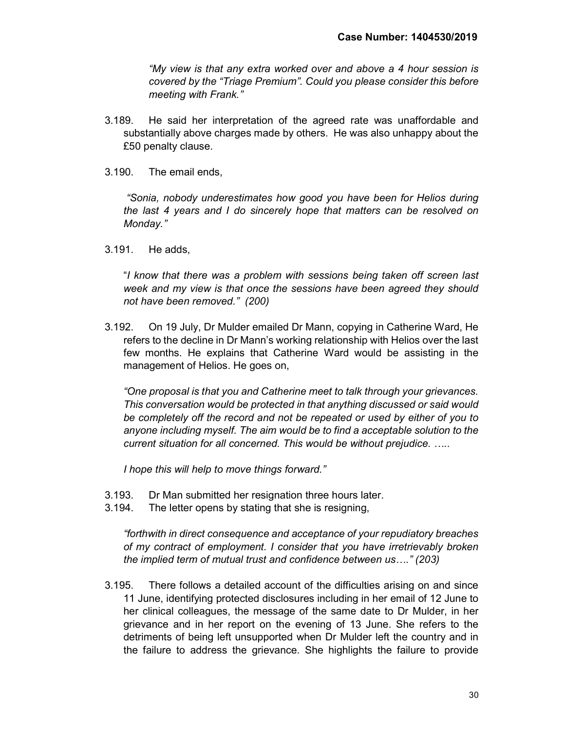"My view is that any extra worked over and above a 4 hour session is covered by the "Triage Premium". Could you please consider this before meeting with Frank."

- 3.189. He said her interpretation of the agreed rate was unaffordable and substantially above charges made by others. He was also unhappy about the £50 penalty clause.
- 3.190. The email ends,

"Sonia, nobody underestimates how good you have been for Helios during the last 4 years and I do sincerely hope that matters can be resolved on Monday."

3.191. He adds,

"I know that there was a problem with sessions being taken off screen last week and my view is that once the sessions have been agreed they should not have been removed." (200)

3.192. On 19 July, Dr Mulder emailed Dr Mann, copying in Catherine Ward, He refers to the decline in Dr Mann's working relationship with Helios over the last few months. He explains that Catherine Ward would be assisting in the management of Helios. He goes on,

"One proposal is that you and Catherine meet to talk through your grievances. This conversation would be protected in that anything discussed or said would be completely off the record and not be repeated or used by either of you to anyone including myself. The aim would be to find a acceptable solution to the current situation for all concerned. This would be without prejudice. …..

I hope this will help to move things forward."

- 3.193. Dr Man submitted her resignation three hours later.
- 3.194. The letter opens by stating that she is resigning,

"forthwith in direct consequence and acceptance of your repudiatory breaches of my contract of employment. I consider that you have irretrievably broken the implied term of mutual trust and confidence between us…." (203)

3.195. There follows a detailed account of the difficulties arising on and since 11 June, identifying protected disclosures including in her email of 12 June to her clinical colleagues, the message of the same date to Dr Mulder, in her grievance and in her report on the evening of 13 June. She refers to the detriments of being left unsupported when Dr Mulder left the country and in the failure to address the grievance. She highlights the failure to provide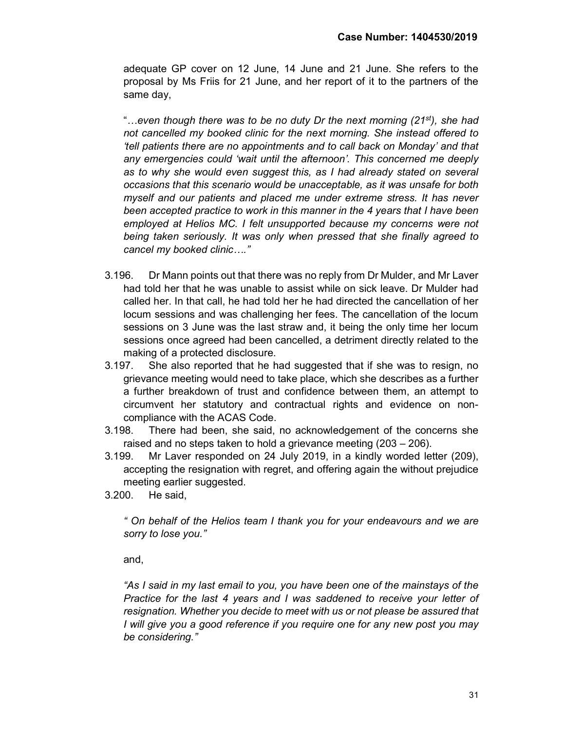adequate GP cover on 12 June, 14 June and 21 June. She refers to the proposal by Ms Friis for 21 June, and her report of it to the partners of the same day,

"...even though there was to be no duty Dr the next morning (21st), she had not cancelled my booked clinic for the next morning. She instead offered to 'tell patients there are no appointments and to call back on Monday' and that any emergencies could 'wait until the afternoon'. This concerned me deeply as to why she would even suggest this, as I had already stated on several occasions that this scenario would be unacceptable, as it was unsafe for both myself and our patients and placed me under extreme stress. It has never been accepted practice to work in this manner in the 4 years that I have been employed at Helios MC. I felt unsupported because my concerns were not being taken seriously. It was only when pressed that she finally agreed to cancel my booked clinic…."

- 3.196. Dr Mann points out that there was no reply from Dr Mulder, and Mr Laver had told her that he was unable to assist while on sick leave. Dr Mulder had called her. In that call, he had told her he had directed the cancellation of her locum sessions and was challenging her fees. The cancellation of the locum sessions on 3 June was the last straw and, it being the only time her locum sessions once agreed had been cancelled, a detriment directly related to the making of a protected disclosure.
- 3.197. She also reported that he had suggested that if she was to resign, no grievance meeting would need to take place, which she describes as a further a further breakdown of trust and confidence between them, an attempt to circumvent her statutory and contractual rights and evidence on noncompliance with the ACAS Code.
- 3.198. There had been, she said, no acknowledgement of the concerns she raised and no steps taken to hold a grievance meeting (203 – 206).
- 3.199. Mr Laver responded on 24 July 2019, in a kindly worded letter (209), accepting the resignation with regret, and offering again the without prejudice meeting earlier suggested.
- 3.200. He said,

" On behalf of the Helios team I thank you for your endeavours and we are sorry to lose you."

and,

"As I said in my last email to you, you have been one of the mainstays of the Practice for the last 4 years and I was saddened to receive your letter of resignation. Whether you decide to meet with us or not please be assured that I will give you a good reference if you require one for any new post you may be considering."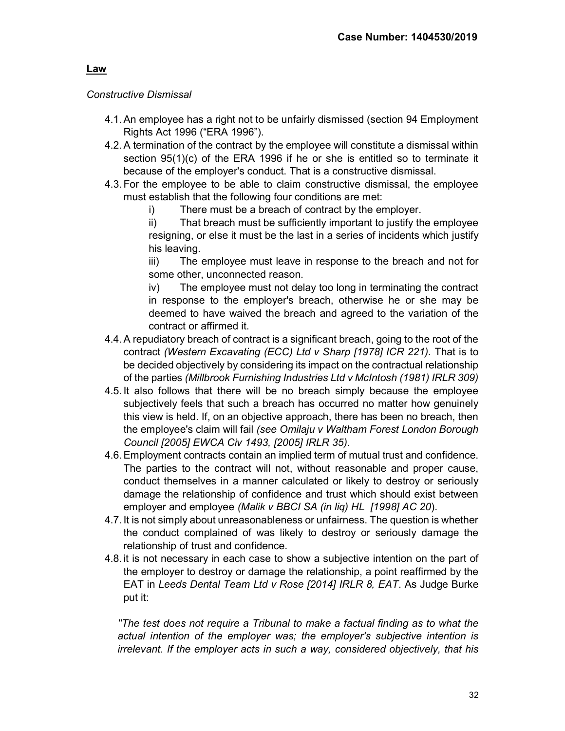# Law

# Constructive Dismissal

- 4.1. An employee has a right not to be unfairly dismissed (section 94 Employment Rights Act 1996 ("ERA 1996").
- 4.2. A termination of the contract by the employee will constitute a dismissal within section 95(1)(c) of the ERA 1996 if he or she is entitled so to terminate it because of the employer's conduct. That is a constructive dismissal.
- 4.3. For the employee to be able to claim constructive dismissal, the employee must establish that the following four conditions are met:
	- i) There must be a breach of contract by the employer.
	- ii) That breach must be sufficiently important to justify the employee resigning, or else it must be the last in a series of incidents which justify his leaving.

iii) The employee must leave in response to the breach and not for some other, unconnected reason.

iv) The employee must not delay too long in terminating the contract in response to the employer's breach, otherwise he or she may be deemed to have waived the breach and agreed to the variation of the contract or affirmed it.

- 4.4. A repudiatory breach of contract is a significant breach, going to the root of the contract (Western Excavating (ECC) Ltd v Sharp [1978] ICR 221). That is to be decided objectively by considering its impact on the contractual relationship of the parties (Millbrook Furnishing Industries Ltd v McIntosh (1981) IRLR 309)
- 4.5. It also follows that there will be no breach simply because the employee subjectively feels that such a breach has occurred no matter how genuinely this view is held. If, on an objective approach, there has been no breach, then the employee's claim will fail (see Omilaju v Waltham Forest London Borough Council [2005] EWCA Civ 1493, [2005] IRLR 35).
- 4.6. Employment contracts contain an implied term of mutual trust and confidence. The parties to the contract will not, without reasonable and proper cause, conduct themselves in a manner calculated or likely to destroy or seriously damage the relationship of confidence and trust which should exist between employer and employee (Malik v BBCI SA (in liq) HL [1998] AC 20).
- 4.7. It is not simply about unreasonableness or unfairness. The question is whether the conduct complained of was likely to destroy or seriously damage the relationship of trust and confidence.
- 4.8. it is not necessary in each case to show a subjective intention on the part of the employer to destroy or damage the relationship, a point reaffirmed by the EAT in Leeds Dental Team Ltd v Rose [2014] IRLR 8, EAT. As Judge Burke put it:

''The test does not require a Tribunal to make a factual finding as to what the actual intention of the employer was; the employer's subjective intention is irrelevant. If the employer acts in such a way, considered objectively, that his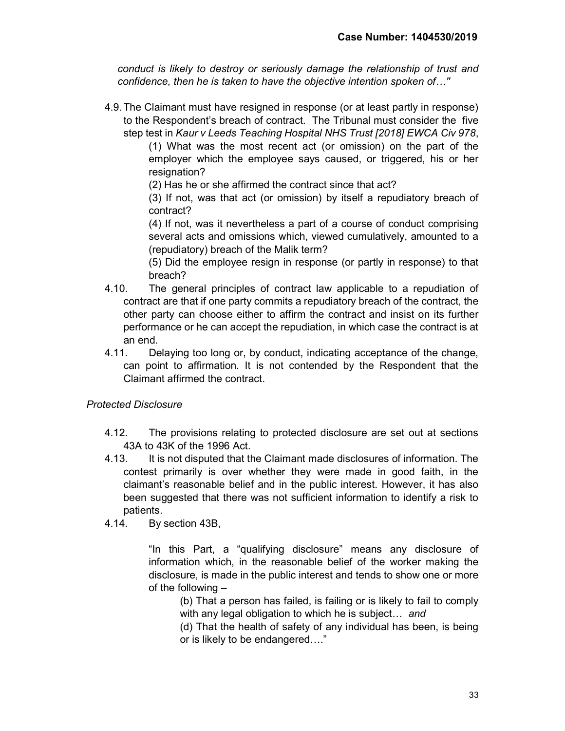conduct is likely to destroy or seriously damage the relationship of trust and confidence, then he is taken to have the objective intention spoken of…''

4.9. The Claimant must have resigned in response (or at least partly in response) to the Respondent's breach of contract. The Tribunal must consider the five step test in Kaur v Leeds Teaching Hospital NHS Trust [2018] EWCA Civ 978,

(1) What was the most recent act (or omission) on the part of the employer which the employee says caused, or triggered, his or her resignation?

(2) Has he or she affirmed the contract since that act?

(3) If not, was that act (or omission) by itself a repudiatory breach of contract?

(4) If not, was it nevertheless a part of a course of conduct comprising several acts and omissions which, viewed cumulatively, amounted to a (repudiatory) breach of the Malik term?

(5) Did the employee resign in response (or partly in response) to that breach?

- 4.10. The general principles of contract law applicable to a repudiation of contract are that if one party commits a repudiatory breach of the contract, the other party can choose either to affirm the contract and insist on its further performance or he can accept the repudiation, in which case the contract is at an end.
- 4.11. Delaying too long or, by conduct, indicating acceptance of the change, can point to affirmation. It is not contended by the Respondent that the Claimant affirmed the contract.

# Protected Disclosure

- 4.12. The provisions relating to protected disclosure are set out at sections 43A to 43K of the 1996 Act.
- 4.13. It is not disputed that the Claimant made disclosures of information. The contest primarily is over whether they were made in good faith, in the claimant's reasonable belief and in the public interest. However, it has also been suggested that there was not sufficient information to identify a risk to patients.
- 4.14. By section 43B,

"In this Part, a "qualifying disclosure" means any disclosure of information which, in the reasonable belief of the worker making the disclosure, is made in the public interest and tends to show one or more of the following –

(b) That a person has failed, is failing or is likely to fail to comply with any legal obligation to which he is subject... and

(d) That the health of safety of any individual has been, is being or is likely to be endangered…."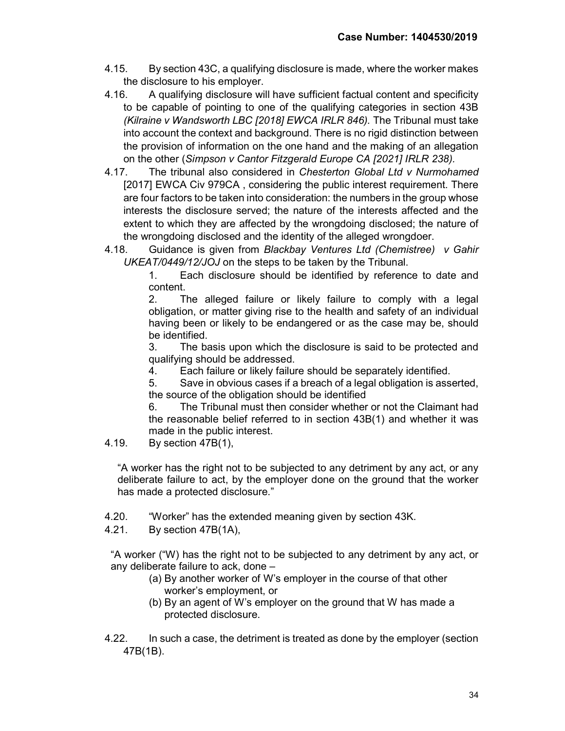- 4.15. By section 43C, a qualifying disclosure is made, where the worker makes the disclosure to his employer.
- 4.16. A qualifying disclosure will have sufficient factual content and specificity to be capable of pointing to one of the qualifying categories in section 43B (Kilraine v Wandsworth LBC [2018] EWCA IRLR 846). The Tribunal must take into account the context and background. There is no rigid distinction between the provision of information on the one hand and the making of an allegation on the other (Simpson v Cantor Fitzgerald Europe CA [2021] IRLR 238).
- 4.17. The tribunal also considered in Chesterton Global Ltd v Nurmohamed [2017] EWCA Civ 979CA , considering the public interest requirement. There are four factors to be taken into consideration: the numbers in the group whose interests the disclosure served; the nature of the interests affected and the extent to which they are affected by the wrongdoing disclosed; the nature of the wrongdoing disclosed and the identity of the alleged wrongdoer.
- 4.18. Guidance is given from Blackbay Ventures Ltd (Chemistree) v Gahir UKEAT/0449/12/JOJ on the steps to be taken by the Tribunal.

1. Each disclosure should be identified by reference to date and content.

2. The alleged failure or likely failure to comply with a legal obligation, or matter giving rise to the health and safety of an individual having been or likely to be endangered or as the case may be, should be identified.

3. The basis upon which the disclosure is said to be protected and qualifying should be addressed.

4. Each failure or likely failure should be separately identified.

5. Save in obvious cases if a breach of a legal obligation is asserted, the source of the obligation should be identified

6. The Tribunal must then consider whether or not the Claimant had the reasonable belief referred to in section 43B(1) and whether it was made in the public interest.

4.19. By section 47B(1),

"A worker has the right not to be subjected to any detriment by any act, or any deliberate failure to act, by the employer done on the ground that the worker has made a protected disclosure."

4.20. "Worker" has the extended meaning given by section 43K.

4.21. By section 47B(1A),

"A worker ("W) has the right not to be subjected to any detriment by any act, or any deliberate failure to ack, done –

- (a) By another worker of W's employer in the course of that other worker's employment, or
- (b) By an agent of W's employer on the ground that W has made a protected disclosure.
- 4.22. In such a case, the detriment is treated as done by the employer (section 47B(1B).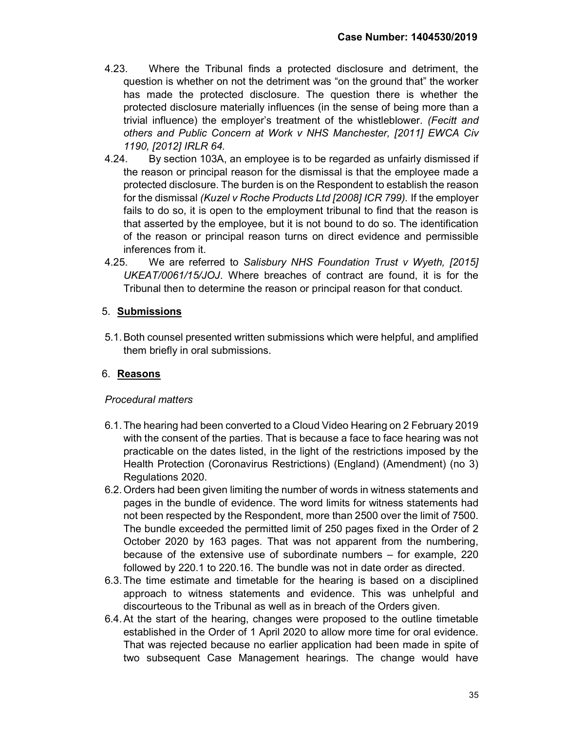- 4.23. Where the Tribunal finds a protected disclosure and detriment, the question is whether on not the detriment was "on the ground that" the worker has made the protected disclosure. The question there is whether the protected disclosure materially influences (in the sense of being more than a trivial influence) the employer's treatment of the whistleblower. (Fecitt and others and Public Concern at Work v NHS Manchester, [2011] EWCA Civ 1190, [2012] IRLR 64.
- 4.24. By section 103A, an employee is to be regarded as unfairly dismissed if the reason or principal reason for the dismissal is that the employee made a protected disclosure. The burden is on the Respondent to establish the reason for the dismissal (Kuzel v Roche Products Ltd [2008] ICR 799). If the employer fails to do so, it is open to the employment tribunal to find that the reason is that asserted by the employee, but it is not bound to do so. The identification of the reason or principal reason turns on direct evidence and permissible inferences from it.
- 4.25. We are referred to Salisbury NHS Foundation Trust v Wyeth, [2015] UKEAT/0061/15/JOJ. Where breaches of contract are found, it is for the Tribunal then to determine the reason or principal reason for that conduct.

# 5. Submissions

5.1. Both counsel presented written submissions which were helpful, and amplified them briefly in oral submissions.

# 6. Reasons

# Procedural matters

- 6.1. The hearing had been converted to a Cloud Video Hearing on 2 February 2019 with the consent of the parties. That is because a face to face hearing was not practicable on the dates listed, in the light of the restrictions imposed by the Health Protection (Coronavirus Restrictions) (England) (Amendment) (no 3) Regulations 2020.
- 6.2. Orders had been given limiting the number of words in witness statements and pages in the bundle of evidence. The word limits for witness statements had not been respected by the Respondent, more than 2500 over the limit of 7500. The bundle exceeded the permitted limit of 250 pages fixed in the Order of 2 October 2020 by 163 pages. That was not apparent from the numbering, because of the extensive use of subordinate numbers – for example, 220 followed by 220.1 to 220.16. The bundle was not in date order as directed.
- 6.3. The time estimate and timetable for the hearing is based on a disciplined approach to witness statements and evidence. This was unhelpful and discourteous to the Tribunal as well as in breach of the Orders given.
- 6.4. At the start of the hearing, changes were proposed to the outline timetable established in the Order of 1 April 2020 to allow more time for oral evidence. That was rejected because no earlier application had been made in spite of two subsequent Case Management hearings. The change would have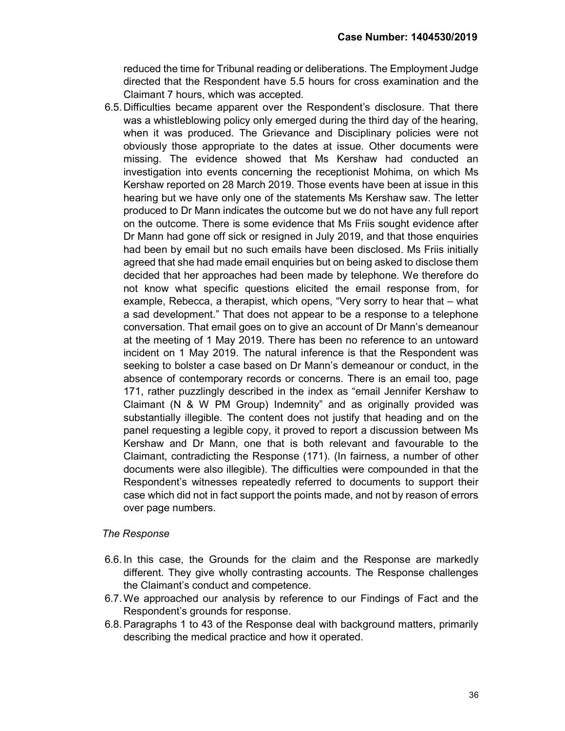reduced the time for Tribunal reading or deliberations. The Employment Judge directed that the Respondent have 5.5 hours for cross examination and the Claimant 7 hours, which was accepted.

6.5. Difficulties became apparent over the Respondent's disclosure. That there was a whistleblowing policy only emerged during the third day of the hearing, when it was produced. The Grievance and Disciplinary policies were not obviously those appropriate to the dates at issue. Other documents were missing. The evidence showed that Ms Kershaw had conducted an investigation into events concerning the receptionist Mohima, on which Ms Kershaw reported on 28 March 2019. Those events have been at issue in this hearing but we have only one of the statements Ms Kershaw saw. The letter produced to Dr Mann indicates the outcome but we do not have any full report on the outcome. There is some evidence that Ms Friis sought evidence after Dr Mann had gone off sick or resigned in July 2019, and that those enquiries had been by email but no such emails have been disclosed. Ms Friis initially agreed that she had made email enquiries but on being asked to disclose them decided that her approaches had been made by telephone. We therefore do not know what specific questions elicited the email response from, for example, Rebecca, a therapist, which opens, "Very sorry to hear that – what a sad development." That does not appear to be a response to a telephone conversation. That email goes on to give an account of Dr Mann's demeanour at the meeting of 1 May 2019. There has been no reference to an untoward incident on 1 May 2019. The natural inference is that the Respondent was seeking to bolster a case based on Dr Mann's demeanour or conduct, in the absence of contemporary records or concerns. There is an email too, page 171, rather puzzlingly described in the index as "email Jennifer Kershaw to Claimant (N & W PM Group) Indemnity" and as originally provided was substantially illegible. The content does not justify that heading and on the panel requesting a legible copy, it proved to report a discussion between Ms Kershaw and Dr Mann, one that is both relevant and favourable to the Claimant, contradicting the Response (171). (In fairness, a number of other documents were also illegible). The difficulties were compounded in that the Respondent's witnesses repeatedly referred to documents to support their case which did not in fact support the points made, and not by reason of errors over page numbers.

## The Response

- 6.6. In this case, the Grounds for the claim and the Response are markedly different. They give wholly contrasting accounts. The Response challenges the Claimant's conduct and competence.
- 6.7. We approached our analysis by reference to our Findings of Fact and the Respondent's grounds for response.
- 6.8. Paragraphs 1 to 43 of the Response deal with background matters, primarily describing the medical practice and how it operated.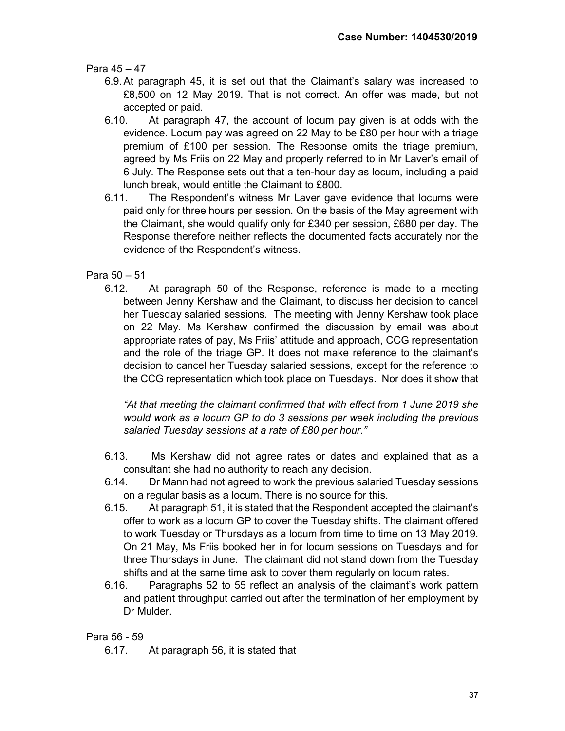Para 45 – 47

- 6.9. At paragraph 45, it is set out that the Claimant's salary was increased to £8,500 on 12 May 2019. That is not correct. An offer was made, but not accepted or paid.
- 6.10. At paragraph 47, the account of locum pay given is at odds with the evidence. Locum pay was agreed on 22 May to be £80 per hour with a triage premium of £100 per session. The Response omits the triage premium, agreed by Ms Friis on 22 May and properly referred to in Mr Laver's email of 6 July. The Response sets out that a ten-hour day as locum, including a paid lunch break, would entitle the Claimant to £800.
- 6.11. The Respondent's witness Mr Laver gave evidence that locums were paid only for three hours per session. On the basis of the May agreement with the Claimant, she would qualify only for £340 per session, £680 per day. The Response therefore neither reflects the documented facts accurately nor the evidence of the Respondent's witness.
- Para 50 51
	- 6.12. At paragraph 50 of the Response, reference is made to a meeting between Jenny Kershaw and the Claimant, to discuss her decision to cancel her Tuesday salaried sessions. The meeting with Jenny Kershaw took place on 22 May. Ms Kershaw confirmed the discussion by email was about appropriate rates of pay, Ms Friis' attitude and approach, CCG representation and the role of the triage GP. It does not make reference to the claimant's decision to cancel her Tuesday salaried sessions, except for the reference to the CCG representation which took place on Tuesdays. Nor does it show that

"At that meeting the claimant confirmed that with effect from 1 June 2019 she would work as a locum GP to do 3 sessions per week including the previous salaried Tuesday sessions at a rate of £80 per hour."

- 6.13. Ms Kershaw did not agree rates or dates and explained that as a consultant she had no authority to reach any decision.
- 6.14. Dr Mann had not agreed to work the previous salaried Tuesday sessions on a regular basis as a locum. There is no source for this.
- 6.15. At paragraph 51, it is stated that the Respondent accepted the claimant's offer to work as a locum GP to cover the Tuesday shifts. The claimant offered to work Tuesday or Thursdays as a locum from time to time on 13 May 2019. On 21 May, Ms Friis booked her in for locum sessions on Tuesdays and for three Thursdays in June. The claimant did not stand down from the Tuesday shifts and at the same time ask to cover them regularly on locum rates.
- 6.16. Paragraphs 52 to 55 reflect an analysis of the claimant's work pattern and patient throughput carried out after the termination of her employment by Dr Mulder.

## Para 56 - 59

6.17. At paragraph 56, it is stated that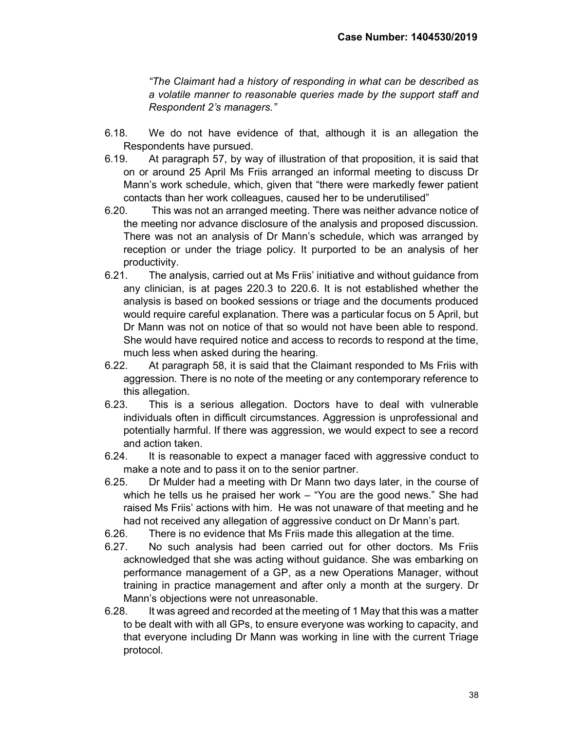"The Claimant had a history of responding in what can be described as a volatile manner to reasonable queries made by the support staff and Respondent 2's managers."

- 6.18. We do not have evidence of that, although it is an allegation the Respondents have pursued.
- 6.19. At paragraph 57, by way of illustration of that proposition, it is said that on or around 25 April Ms Friis arranged an informal meeting to discuss Dr Mann's work schedule, which, given that "there were markedly fewer patient contacts than her work colleagues, caused her to be underutilised"
- 6.20. This was not an arranged meeting. There was neither advance notice of the meeting nor advance disclosure of the analysis and proposed discussion. There was not an analysis of Dr Mann's schedule, which was arranged by reception or under the triage policy. It purported to be an analysis of her productivity.
- 6.21. The analysis, carried out at Ms Friis' initiative and without guidance from any clinician, is at pages 220.3 to 220.6. It is not established whether the analysis is based on booked sessions or triage and the documents produced would require careful explanation. There was a particular focus on 5 April, but Dr Mann was not on notice of that so would not have been able to respond. She would have required notice and access to records to respond at the time, much less when asked during the hearing.
- 6.22. At paragraph 58, it is said that the Claimant responded to Ms Friis with aggression. There is no note of the meeting or any contemporary reference to this allegation.
- 6.23. This is a serious allegation. Doctors have to deal with vulnerable individuals often in difficult circumstances. Aggression is unprofessional and potentially harmful. If there was aggression, we would expect to see a record and action taken.
- 6.24. It is reasonable to expect a manager faced with aggressive conduct to make a note and to pass it on to the senior partner.
- 6.25. Dr Mulder had a meeting with Dr Mann two days later, in the course of which he tells us he praised her work – "You are the good news." She had raised Ms Friis' actions with him. He was not unaware of that meeting and he had not received any allegation of aggressive conduct on Dr Mann's part.
- 6.26. There is no evidence that Ms Friis made this allegation at the time.
- 6.27. No such analysis had been carried out for other doctors. Ms Friis acknowledged that she was acting without guidance. She was embarking on performance management of a GP, as a new Operations Manager, without training in practice management and after only a month at the surgery. Dr Mann's objections were not unreasonable.
- 6.28. It was agreed and recorded at the meeting of 1 May that this was a matter to be dealt with with all GPs, to ensure everyone was working to capacity, and that everyone including Dr Mann was working in line with the current Triage protocol.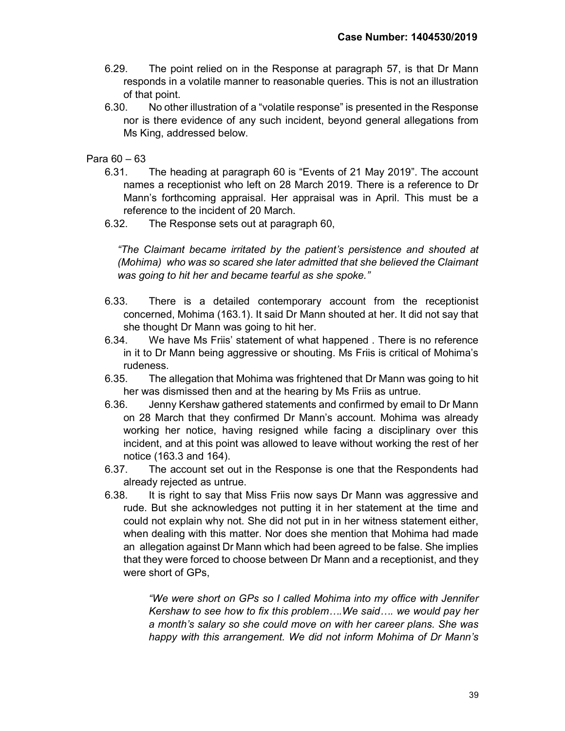- 6.29. The point relied on in the Response at paragraph 57, is that Dr Mann responds in a volatile manner to reasonable queries. This is not an illustration of that point.
- 6.30. No other illustration of a "volatile response" is presented in the Response nor is there evidence of any such incident, beyond general allegations from Ms King, addressed below.

# Para 60 – 63

- 6.31. The heading at paragraph 60 is "Events of 21 May 2019". The account names a receptionist who left on 28 March 2019. There is a reference to Dr Mann's forthcoming appraisal. Her appraisal was in April. This must be a reference to the incident of 20 March.
- 6.32. The Response sets out at paragraph 60,

"The Claimant became irritated by the patient's persistence and shouted at (Mohima) who was so scared she later admitted that she believed the Claimant was going to hit her and became tearful as she spoke."

- 6.33. There is a detailed contemporary account from the receptionist concerned, Mohima (163.1). It said Dr Mann shouted at her. It did not say that she thought Dr Mann was going to hit her.
- 6.34. We have Ms Friis' statement of what happened . There is no reference in it to Dr Mann being aggressive or shouting. Ms Friis is critical of Mohima's rudeness.
- 6.35. The allegation that Mohima was frightened that Dr Mann was going to hit her was dismissed then and at the hearing by Ms Friis as untrue.
- 6.36. Jenny Kershaw gathered statements and confirmed by email to Dr Mann on 28 March that they confirmed Dr Mann's account. Mohima was already working her notice, having resigned while facing a disciplinary over this incident, and at this point was allowed to leave without working the rest of her notice (163.3 and 164).
- 6.37. The account set out in the Response is one that the Respondents had already rejected as untrue.
- 6.38. It is right to say that Miss Friis now says Dr Mann was aggressive and rude. But she acknowledges not putting it in her statement at the time and could not explain why not. She did not put in in her witness statement either, when dealing with this matter. Nor does she mention that Mohima had made an allegation against Dr Mann which had been agreed to be false. She implies that they were forced to choose between Dr Mann and a receptionist, and they were short of GPs,

"We were short on GPs so I called Mohima into my office with Jennifer Kershaw to see how to fix this problem….We said…. we would pay her a month's salary so she could move on with her career plans. She was happy with this arrangement. We did not inform Mohima of Dr Mann's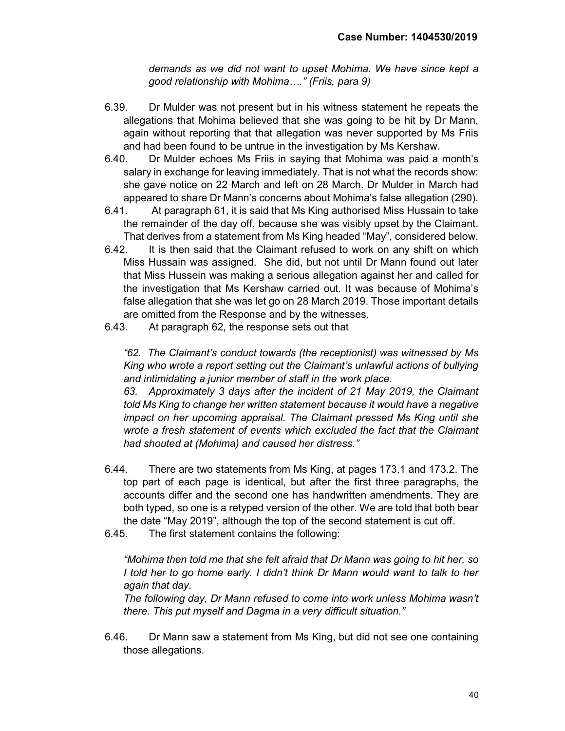demands as we did not want to upset Mohima. We have since kept a good relationship with Mohima…." (Friis, para 9)

- 6.39. Dr Mulder was not present but in his witness statement he repeats the allegations that Mohima believed that she was going to be hit by Dr Mann, again without reporting that that allegation was never supported by Ms Friis and had been found to be untrue in the investigation by Ms Kershaw.
- 6.40. Dr Mulder echoes Ms Friis in saying that Mohima was paid a month's salary in exchange for leaving immediately. That is not what the records show: she gave notice on 22 March and left on 28 March. Dr Mulder in March had appeared to share Dr Mann's concerns about Mohima's false allegation (290).
- 6.41. At paragraph 61, it is said that Ms King authorised Miss Hussain to take the remainder of the day off, because she was visibly upset by the Claimant. That derives from a statement from Ms King headed "May", considered below.
- 6.42. It is then said that the Claimant refused to work on any shift on which Miss Hussain was assigned. She did, but not until Dr Mann found out later that Miss Hussein was making a serious allegation against her and called for the investigation that Ms Kershaw carried out. It was because of Mohima's false allegation that she was let go on 28 March 2019. Those important details are omitted from the Response and by the witnesses.
- 6.43. At paragraph 62, the response sets out that

"62. The Claimant's conduct towards (the receptionist) was witnessed by Ms King who wrote a report setting out the Claimant's unlawful actions of bullying and intimidating a junior member of staff in the work place.

63. Approximately 3 days after the incident of 21 May 2019, the Claimant told Ms King to change her written statement because it would have a negative impact on her upcoming appraisal. The Claimant pressed Ms King until she wrote a fresh statement of events which excluded the fact that the Claimant had shouted at (Mohima) and caused her distress."

- 6.44. There are two statements from Ms King, at pages 173.1 and 173.2. The top part of each page is identical, but after the first three paragraphs, the accounts differ and the second one has handwritten amendments. They are both typed, so one is a retyped version of the other. We are told that both bear the date "May 2019", although the top of the second statement is cut off.
- 6.45. The first statement contains the following:

"Mohima then told me that she felt afraid that Dr Mann was going to hit her, so I told her to go home early. I didn't think Dr Mann would want to talk to her again that day.

The following day, Dr Mann refused to come into work unless Mohima wasn't there. This put myself and Dagma in a very difficult situation."

6.46. Dr Mann saw a statement from Ms King, but did not see one containing those allegations.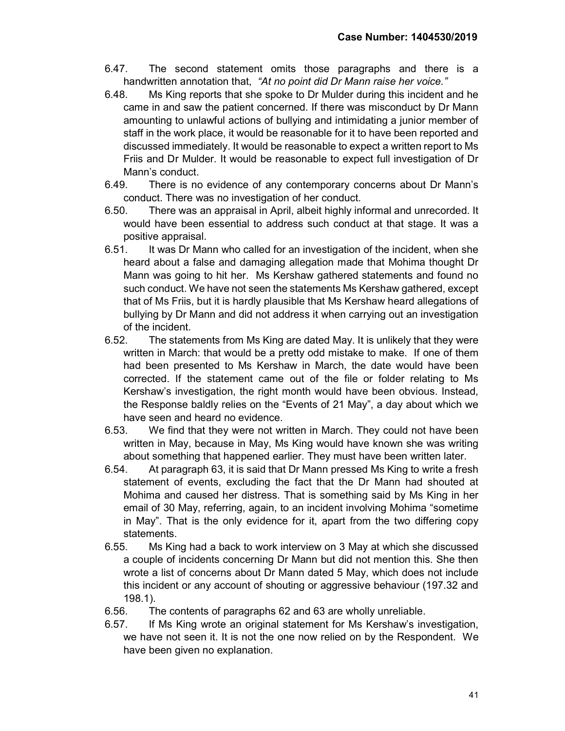- 6.47. The second statement omits those paragraphs and there is a handwritten annotation that, "At no point did Dr Mann raise her voice."
- 6.48. Ms King reports that she spoke to Dr Mulder during this incident and he came in and saw the patient concerned. If there was misconduct by Dr Mann amounting to unlawful actions of bullying and intimidating a junior member of staff in the work place, it would be reasonable for it to have been reported and discussed immediately. It would be reasonable to expect a written report to Ms Friis and Dr Mulder. It would be reasonable to expect full investigation of Dr Mann's conduct.
- 6.49. There is no evidence of any contemporary concerns about Dr Mann's conduct. There was no investigation of her conduct.
- 6.50. There was an appraisal in April, albeit highly informal and unrecorded. It would have been essential to address such conduct at that stage. It was a positive appraisal.
- 6.51. It was Dr Mann who called for an investigation of the incident, when she heard about a false and damaging allegation made that Mohima thought Dr Mann was going to hit her. Ms Kershaw gathered statements and found no such conduct. We have not seen the statements Ms Kershaw gathered, except that of Ms Friis, but it is hardly plausible that Ms Kershaw heard allegations of bullying by Dr Mann and did not address it when carrying out an investigation of the incident.
- 6.52. The statements from Ms King are dated May. It is unlikely that they were written in March: that would be a pretty odd mistake to make. If one of them had been presented to Ms Kershaw in March, the date would have been corrected. If the statement came out of the file or folder relating to Ms Kershaw's investigation, the right month would have been obvious. Instead, the Response baldly relies on the "Events of 21 May", a day about which we have seen and heard no evidence.
- 6.53. We find that they were not written in March. They could not have been written in May, because in May, Ms King would have known she was writing about something that happened earlier. They must have been written later.
- 6.54. At paragraph 63, it is said that Dr Mann pressed Ms King to write a fresh statement of events, excluding the fact that the Dr Mann had shouted at Mohima and caused her distress. That is something said by Ms King in her email of 30 May, referring, again, to an incident involving Mohima "sometime in May". That is the only evidence for it, apart from the two differing copy statements.
- 6.55. Ms King had a back to work interview on 3 May at which she discussed a couple of incidents concerning Dr Mann but did not mention this. She then wrote a list of concerns about Dr Mann dated 5 May, which does not include this incident or any account of shouting or aggressive behaviour (197.32 and 198.1).
- 6.56. The contents of paragraphs 62 and 63 are wholly unreliable.
- 6.57. If Ms King wrote an original statement for Ms Kershaw's investigation, we have not seen it. It is not the one now relied on by the Respondent. We have been given no explanation.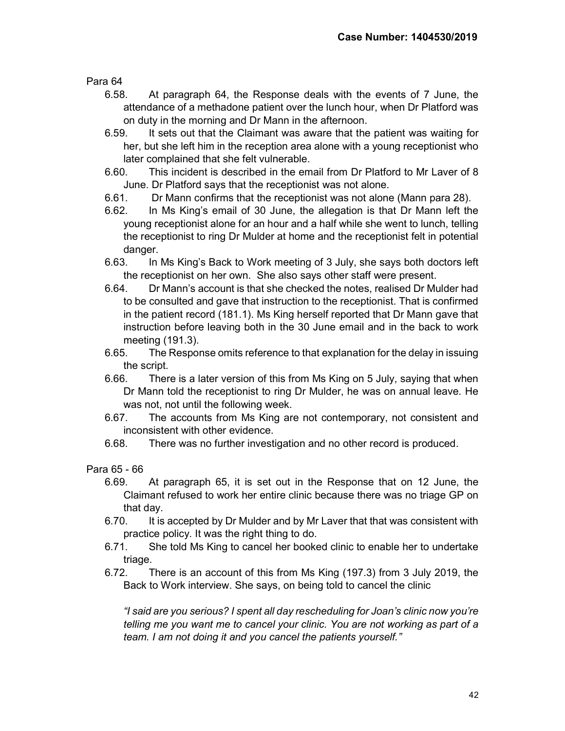Para 64

- 6.58. At paragraph 64, the Response deals with the events of 7 June, the attendance of a methadone patient over the lunch hour, when Dr Platford was on duty in the morning and Dr Mann in the afternoon.
- 6.59. It sets out that the Claimant was aware that the patient was waiting for her, but she left him in the reception area alone with a young receptionist who later complained that she felt vulnerable.
- 6.60. This incident is described in the email from Dr Platford to Mr Laver of 8 June. Dr Platford says that the receptionist was not alone.
- 6.61. Dr Mann confirms that the receptionist was not alone (Mann para 28).
- 6.62. In Ms King's email of 30 June, the allegation is that Dr Mann left the young receptionist alone for an hour and a half while she went to lunch, telling the receptionist to ring Dr Mulder at home and the receptionist felt in potential danger.
- 6.63. In Ms King's Back to Work meeting of 3 July, she says both doctors left the receptionist on her own. She also says other staff were present.
- 6.64. Dr Mann's account is that she checked the notes, realised Dr Mulder had to be consulted and gave that instruction to the receptionist. That is confirmed in the patient record (181.1). Ms King herself reported that Dr Mann gave that instruction before leaving both in the 30 June email and in the back to work meeting (191.3).
- 6.65. The Response omits reference to that explanation for the delay in issuing the script.
- 6.66. There is a later version of this from Ms King on 5 July, saying that when Dr Mann told the receptionist to ring Dr Mulder, he was on annual leave. He was not, not until the following week.
- 6.67. The accounts from Ms King are not contemporary, not consistent and inconsistent with other evidence.
- 6.68. There was no further investigation and no other record is produced.

Para 65 - 66

- 6.69. At paragraph 65, it is set out in the Response that on 12 June, the Claimant refused to work her entire clinic because there was no triage GP on that day.
- 6.70. It is accepted by Dr Mulder and by Mr Laver that that was consistent with practice policy. It was the right thing to do.
- 6.71. She told Ms King to cancel her booked clinic to enable her to undertake triage.
- 6.72. There is an account of this from Ms King (197.3) from 3 July 2019, the Back to Work interview. She says, on being told to cancel the clinic

"I said are you serious? I spent all day rescheduling for Joan's clinic now you're telling me you want me to cancel your clinic. You are not working as part of a team. I am not doing it and you cancel the patients yourself."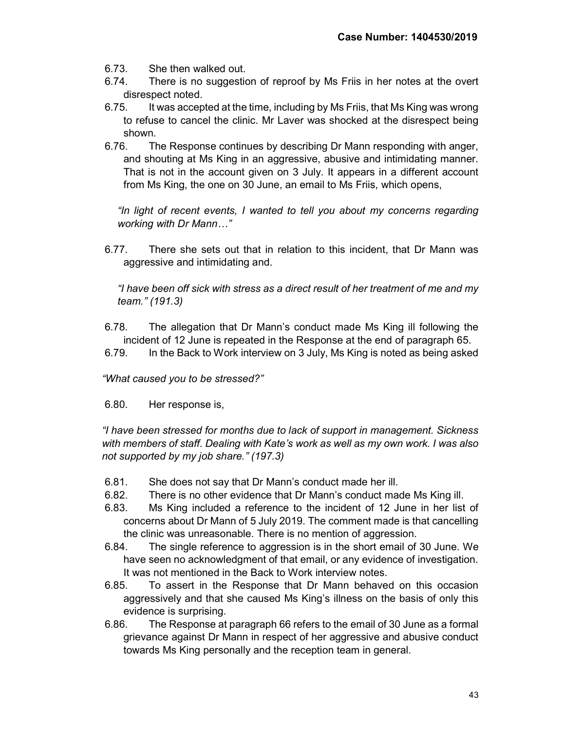- 6.73. She then walked out.
- 6.74. There is no suggestion of reproof by Ms Friis in her notes at the overt disrespect noted.
- 6.75. It was accepted at the time, including by Ms Friis, that Ms King was wrong to refuse to cancel the clinic. Mr Laver was shocked at the disrespect being shown.
- 6.76. The Response continues by describing Dr Mann responding with anger, and shouting at Ms King in an aggressive, abusive and intimidating manner. That is not in the account given on 3 July. It appears in a different account from Ms King, the one on 30 June, an email to Ms Friis, which opens,

"In light of recent events, I wanted to tell you about my concerns regarding working with Dr Mann…"

6.77. There she sets out that in relation to this incident, that Dr Mann was aggressive and intimidating and.

"I have been off sick with stress as a direct result of her treatment of me and my team." (191.3)

- 6.78. The allegation that Dr Mann's conduct made Ms King ill following the incident of 12 June is repeated in the Response at the end of paragraph 65.
- 6.79. In the Back to Work interview on 3 July, Ms King is noted as being asked

"What caused you to be stressed?"

6.80. Her response is,

"I have been stressed for months due to lack of support in management. Sickness with members of staff. Dealing with Kate's work as well as my own work. I was also not supported by my job share." (197.3)

- 6.81. She does not say that Dr Mann's conduct made her ill.
- 6.82. There is no other evidence that Dr Mann's conduct made Ms King ill.
- 6.83. Ms King included a reference to the incident of 12 June in her list of concerns about Dr Mann of 5 July 2019. The comment made is that cancelling the clinic was unreasonable. There is no mention of aggression.
- 6.84. The single reference to aggression is in the short email of 30 June. We have seen no acknowledgment of that email, or any evidence of investigation. It was not mentioned in the Back to Work interview notes.
- 6.85. To assert in the Response that Dr Mann behaved on this occasion aggressively and that she caused Ms King's illness on the basis of only this evidence is surprising.
- 6.86. The Response at paragraph 66 refers to the email of 30 June as a formal grievance against Dr Mann in respect of her aggressive and abusive conduct towards Ms King personally and the reception team in general.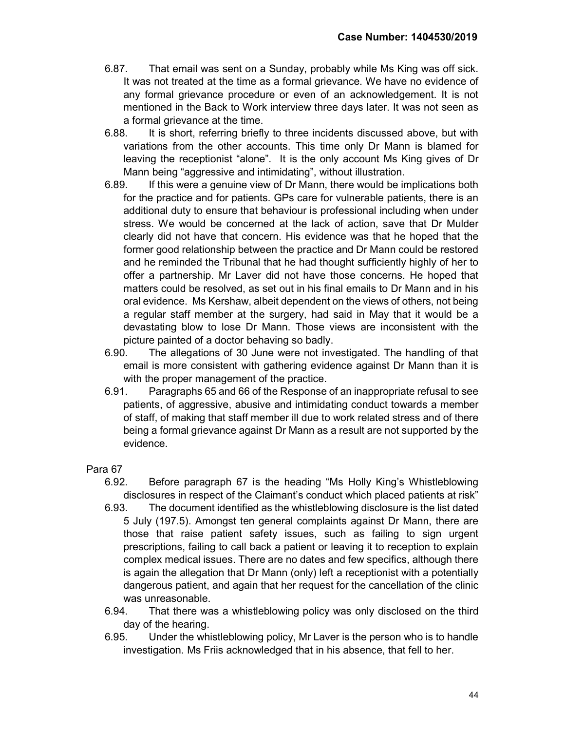- 6.87. That email was sent on a Sunday, probably while Ms King was off sick. It was not treated at the time as a formal grievance. We have no evidence of any formal grievance procedure or even of an acknowledgement. It is not mentioned in the Back to Work interview three days later. It was not seen as a formal grievance at the time.
- 6.88. It is short, referring briefly to three incidents discussed above, but with variations from the other accounts. This time only Dr Mann is blamed for leaving the receptionist "alone". It is the only account Ms King gives of Dr Mann being "aggressive and intimidating", without illustration.
- 6.89. If this were a genuine view of Dr Mann, there would be implications both for the practice and for patients. GPs care for vulnerable patients, there is an additional duty to ensure that behaviour is professional including when under stress. We would be concerned at the lack of action, save that Dr Mulder clearly did not have that concern. His evidence was that he hoped that the former good relationship between the practice and Dr Mann could be restored and he reminded the Tribunal that he had thought sufficiently highly of her to offer a partnership. Mr Laver did not have those concerns. He hoped that matters could be resolved, as set out in his final emails to Dr Mann and in his oral evidence. Ms Kershaw, albeit dependent on the views of others, not being a regular staff member at the surgery, had said in May that it would be a devastating blow to lose Dr Mann. Those views are inconsistent with the picture painted of a doctor behaving so badly.
- 6.90. The allegations of 30 June were not investigated. The handling of that email is more consistent with gathering evidence against Dr Mann than it is with the proper management of the practice.
- 6.91. Paragraphs 65 and 66 of the Response of an inappropriate refusal to see patients, of aggressive, abusive and intimidating conduct towards a member of staff, of making that staff member ill due to work related stress and of there being a formal grievance against Dr Mann as a result are not supported by the evidence.

- 6.92. Before paragraph 67 is the heading "Ms Holly King's Whistleblowing disclosures in respect of the Claimant's conduct which placed patients at risk"
- 6.93. The document identified as the whistleblowing disclosure is the list dated 5 July (197.5). Amongst ten general complaints against Dr Mann, there are those that raise patient safety issues, such as failing to sign urgent prescriptions, failing to call back a patient or leaving it to reception to explain complex medical issues. There are no dates and few specifics, although there is again the allegation that Dr Mann (only) left a receptionist with a potentially dangerous patient, and again that her request for the cancellation of the clinic was unreasonable.
- 6.94. That there was a whistleblowing policy was only disclosed on the third day of the hearing.
- 6.95. Under the whistleblowing policy, Mr Laver is the person who is to handle investigation. Ms Friis acknowledged that in his absence, that fell to her.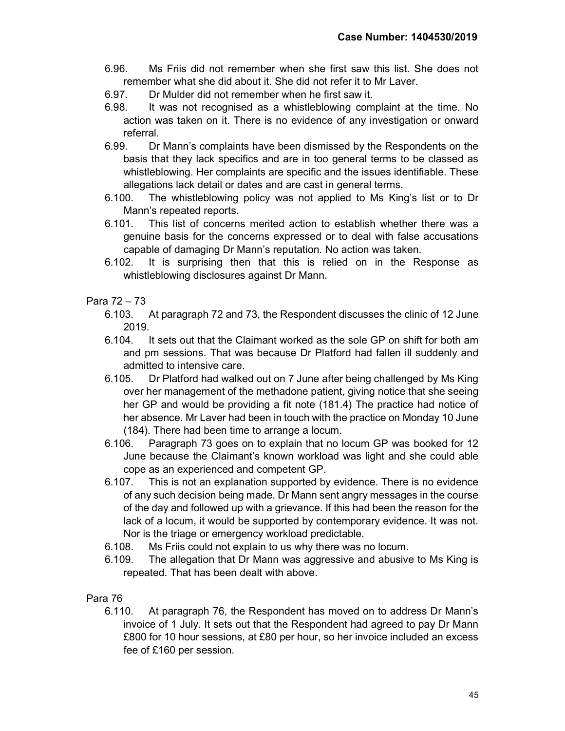- 6.96. Ms Friis did not remember when she first saw this list. She does not remember what she did about it. She did not refer it to Mr Laver.
- 6.97. Dr Mulder did not remember when he first saw it.
- 6.98. It was not recognised as a whistleblowing complaint at the time. No action was taken on it. There is no evidence of any investigation or onward referral.
- 6.99. Dr Mann's complaints have been dismissed by the Respondents on the basis that they lack specifics and are in too general terms to be classed as whistleblowing. Her complaints are specific and the issues identifiable. These allegations lack detail or dates and are cast in general terms.
- 6.100. The whistleblowing policy was not applied to Ms King's list or to Dr Mann's repeated reports.
- 6.101. This list of concerns merited action to establish whether there was a genuine basis for the concerns expressed or to deal with false accusations capable of damaging Dr Mann's reputation. No action was taken.
- 6.102. It is surprising then that this is relied on in the Response as whistleblowing disclosures against Dr Mann.

# Para 72 – 73

- 6.103. At paragraph 72 and 73, the Respondent discusses the clinic of 12 June 2019.
- 6.104. It sets out that the Claimant worked as the sole GP on shift for both am and pm sessions. That was because Dr Platford had fallen ill suddenly and admitted to intensive care.
- 6.105. Dr Platford had walked out on 7 June after being challenged by Ms King over her management of the methadone patient, giving notice that she seeing her GP and would be providing a fit note (181.4) The practice had notice of her absence. Mr Laver had been in touch with the practice on Monday 10 June (184). There had been time to arrange a locum.
- 6.106. Paragraph 73 goes on to explain that no locum GP was booked for 12 June because the Claimant's known workload was light and she could able cope as an experienced and competent GP.
- 6.107. This is not an explanation supported by evidence. There is no evidence of any such decision being made. Dr Mann sent angry messages in the course of the day and followed up with a grievance. If this had been the reason for the lack of a locum, it would be supported by contemporary evidence. It was not. Nor is the triage or emergency workload predictable.
- 6.108. Ms Friis could not explain to us why there was no locum.
- 6.109. The allegation that Dr Mann was aggressive and abusive to Ms King is repeated. That has been dealt with above.

# Para 76

6.110. At paragraph 76, the Respondent has moved on to address Dr Mann's invoice of 1 July. It sets out that the Respondent had agreed to pay Dr Mann £800 for 10 hour sessions, at £80 per hour, so her invoice included an excess fee of £160 per session.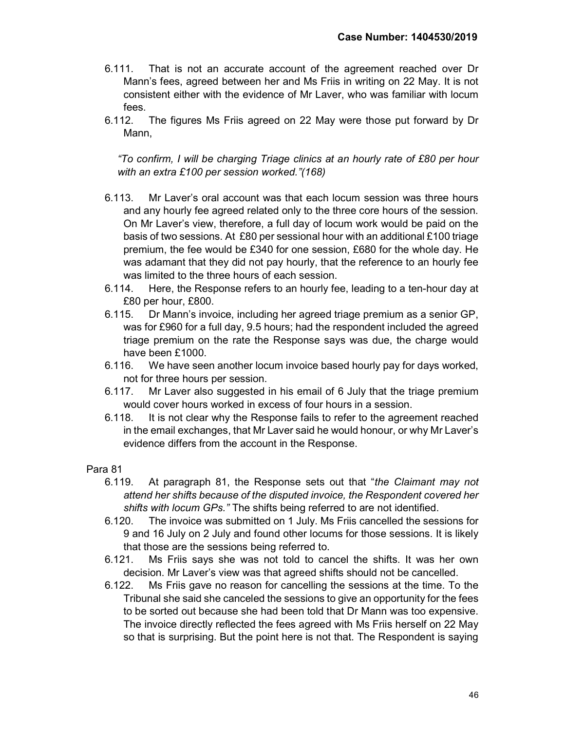- 6.111. That is not an accurate account of the agreement reached over Dr Mann's fees, agreed between her and Ms Friis in writing on 22 May. It is not consistent either with the evidence of Mr Laver, who was familiar with locum fees.
- 6.112. The figures Ms Friis agreed on 22 May were those put forward by Dr Mann,

"To confirm, I will be charging Triage clinics at an hourly rate of £80 per hour with an extra £100 per session worked."(168)

- 6.113. Mr Laver's oral account was that each locum session was three hours and any hourly fee agreed related only to the three core hours of the session. On Mr Laver's view, therefore, a full day of locum work would be paid on the basis of two sessions. At £80 per sessional hour with an additional £100 triage premium, the fee would be £340 for one session, £680 for the whole day. He was adamant that they did not pay hourly, that the reference to an hourly fee was limited to the three hours of each session.
- 6.114. Here, the Response refers to an hourly fee, leading to a ten-hour day at £80 per hour, £800.
- 6.115. Dr Mann's invoice, including her agreed triage premium as a senior GP, was for £960 for a full day, 9.5 hours; had the respondent included the agreed triage premium on the rate the Response says was due, the charge would have been £1000.
- 6.116. We have seen another locum invoice based hourly pay for days worked, not for three hours per session.
- 6.117. Mr Laver also suggested in his email of 6 July that the triage premium would cover hours worked in excess of four hours in a session.
- 6.118. It is not clear why the Response fails to refer to the agreement reached in the email exchanges, that Mr Laver said he would honour, or why Mr Laver's evidence differs from the account in the Response.

- 6.119. At paragraph 81, the Response sets out that "the Claimant may not attend her shifts because of the disputed invoice, the Respondent covered her shifts with locum GPs." The shifts being referred to are not identified.
- 6.120. The invoice was submitted on 1 July. Ms Friis cancelled the sessions for 9 and 16 July on 2 July and found other locums for those sessions. It is likely that those are the sessions being referred to.
- 6.121. Ms Friis says she was not told to cancel the shifts. It was her own decision. Mr Laver's view was that agreed shifts should not be cancelled.
- 6.122. Ms Friis gave no reason for cancelling the sessions at the time. To the Tribunal she said she canceled the sessions to give an opportunity for the fees to be sorted out because she had been told that Dr Mann was too expensive. The invoice directly reflected the fees agreed with Ms Friis herself on 22 May so that is surprising. But the point here is not that. The Respondent is saying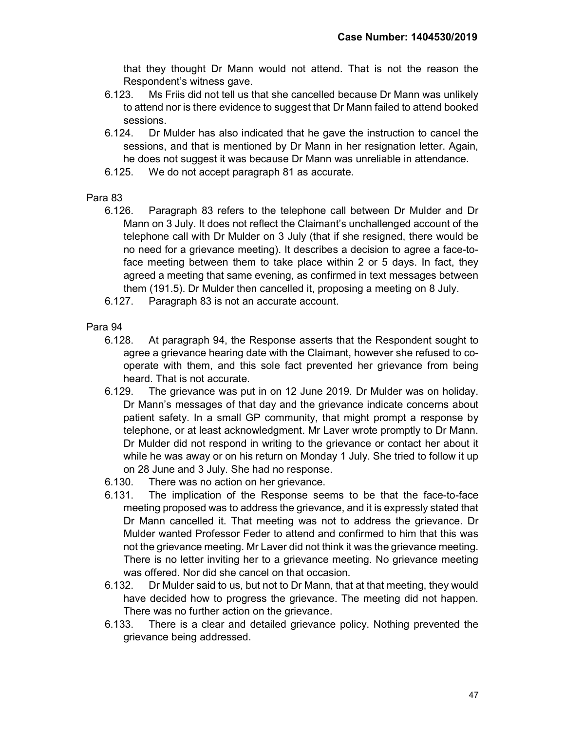that they thought Dr Mann would not attend. That is not the reason the Respondent's witness gave.

- 6.123. Ms Friis did not tell us that she cancelled because Dr Mann was unlikely to attend nor is there evidence to suggest that Dr Mann failed to attend booked sessions.
- 6.124. Dr Mulder has also indicated that he gave the instruction to cancel the sessions, and that is mentioned by Dr Mann in her resignation letter. Again, he does not suggest it was because Dr Mann was unreliable in attendance.
- 6.125. We do not accept paragraph 81 as accurate.

#### Para 83

- 6.126. Paragraph 83 refers to the telephone call between Dr Mulder and Dr Mann on 3 July. It does not reflect the Claimant's unchallenged account of the telephone call with Dr Mulder on 3 July (that if she resigned, there would be no need for a grievance meeting). It describes a decision to agree a face-toface meeting between them to take place within 2 or 5 days. In fact, they agreed a meeting that same evening, as confirmed in text messages between them (191.5). Dr Mulder then cancelled it, proposing a meeting on 8 July.
- 6.127. Paragraph 83 is not an accurate account.

- 6.128. At paragraph 94, the Response asserts that the Respondent sought to agree a grievance hearing date with the Claimant, however she refused to cooperate with them, and this sole fact prevented her grievance from being heard. That is not accurate.
- 6.129. The grievance was put in on 12 June 2019. Dr Mulder was on holiday. Dr Mann's messages of that day and the grievance indicate concerns about patient safety. In a small GP community, that might prompt a response by telephone, or at least acknowledgment. Mr Laver wrote promptly to Dr Mann. Dr Mulder did not respond in writing to the grievance or contact her about it while he was away or on his return on Monday 1 July. She tried to follow it up on 28 June and 3 July. She had no response.
- 6.130. There was no action on her grievance.
- 6.131. The implication of the Response seems to be that the face-to-face meeting proposed was to address the grievance, and it is expressly stated that Dr Mann cancelled it. That meeting was not to address the grievance. Dr Mulder wanted Professor Feder to attend and confirmed to him that this was not the grievance meeting. Mr Laver did not think it was the grievance meeting. There is no letter inviting her to a grievance meeting. No grievance meeting was offered. Nor did she cancel on that occasion.
- 6.132. Dr Mulder said to us, but not to Dr Mann, that at that meeting, they would have decided how to progress the grievance. The meeting did not happen. There was no further action on the grievance.
- 6.133. There is a clear and detailed grievance policy. Nothing prevented the grievance being addressed.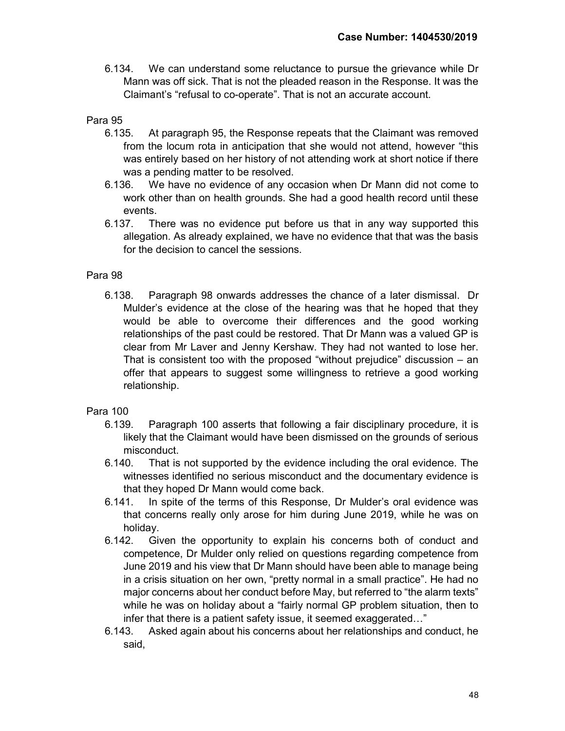6.134. We can understand some reluctance to pursue the grievance while Dr Mann was off sick. That is not the pleaded reason in the Response. It was the Claimant's "refusal to co-operate". That is not an accurate account.

# Para 95

- 6.135. At paragraph 95, the Response repeats that the Claimant was removed from the locum rota in anticipation that she would not attend, however "this was entirely based on her history of not attending work at short notice if there was a pending matter to be resolved.
- 6.136. We have no evidence of any occasion when Dr Mann did not come to work other than on health grounds. She had a good health record until these events.
- 6.137. There was no evidence put before us that in any way supported this allegation. As already explained, we have no evidence that that was the basis for the decision to cancel the sessions.

# Para 98

6.138. Paragraph 98 onwards addresses the chance of a later dismissal. Dr Mulder's evidence at the close of the hearing was that he hoped that they would be able to overcome their differences and the good working relationships of the past could be restored. That Dr Mann was a valued GP is clear from Mr Laver and Jenny Kershaw. They had not wanted to lose her. That is consistent too with the proposed "without prejudice" discussion – an offer that appears to suggest some willingness to retrieve a good working relationship.

- 6.139. Paragraph 100 asserts that following a fair disciplinary procedure, it is likely that the Claimant would have been dismissed on the grounds of serious misconduct.
- 6.140. That is not supported by the evidence including the oral evidence. The witnesses identified no serious misconduct and the documentary evidence is that they hoped Dr Mann would come back.
- 6.141. In spite of the terms of this Response, Dr Mulder's oral evidence was that concerns really only arose for him during June 2019, while he was on holiday.
- 6.142. Given the opportunity to explain his concerns both of conduct and competence, Dr Mulder only relied on questions regarding competence from June 2019 and his view that Dr Mann should have been able to manage being in a crisis situation on her own, "pretty normal in a small practice". He had no major concerns about her conduct before May, but referred to "the alarm texts" while he was on holiday about a "fairly normal GP problem situation, then to infer that there is a patient safety issue, it seemed exaggerated…"
- 6.143. Asked again about his concerns about her relationships and conduct, he said,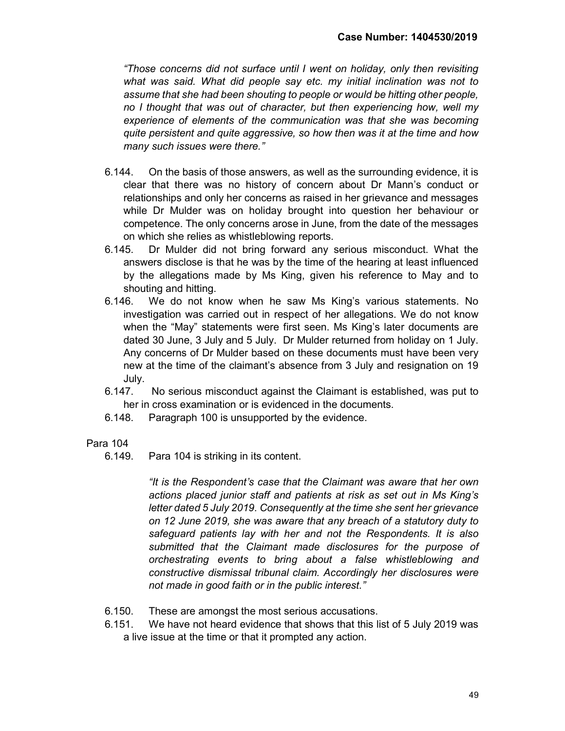"Those concerns did not surface until I went on holiday, only then revisiting what was said. What did people say etc. my initial inclination was not to assume that she had been shouting to people or would be hitting other people, no I thought that was out of character, but then experiencing how, well my experience of elements of the communication was that she was becoming quite persistent and quite aggressive, so how then was it at the time and how many such issues were there."

- 6.144. On the basis of those answers, as well as the surrounding evidence, it is clear that there was no history of concern about Dr Mann's conduct or relationships and only her concerns as raised in her grievance and messages while Dr Mulder was on holiday brought into question her behaviour or competence. The only concerns arose in June, from the date of the messages on which she relies as whistleblowing reports.
- 6.145. Dr Mulder did not bring forward any serious misconduct. What the answers disclose is that he was by the time of the hearing at least influenced by the allegations made by Ms King, given his reference to May and to shouting and hitting.
- 6.146. We do not know when he saw Ms King's various statements. No investigation was carried out in respect of her allegations. We do not know when the "May" statements were first seen. Ms King's later documents are dated 30 June, 3 July and 5 July. Dr Mulder returned from holiday on 1 July. Any concerns of Dr Mulder based on these documents must have been very new at the time of the claimant's absence from 3 July and resignation on 19 July.
- 6.147. No serious misconduct against the Claimant is established, was put to her in cross examination or is evidenced in the documents.
- 6.148. Paragraph 100 is unsupported by the evidence.

# Para 104

6.149. Para 104 is striking in its content.

"It is the Respondent's case that the Claimant was aware that her own actions placed junior staff and patients at risk as set out in Ms King's letter dated 5 July 2019. Consequently at the time she sent her grievance on 12 June 2019, she was aware that any breach of a statutory duty to safeguard patients lay with her and not the Respondents. It is also submitted that the Claimant made disclosures for the purpose of orchestrating events to bring about a false whistleblowing and constructive dismissal tribunal claim. Accordingly her disclosures were not made in good faith or in the public interest."

- 6.150. These are amongst the most serious accusations.
- 6.151. We have not heard evidence that shows that this list of 5 July 2019 was a live issue at the time or that it prompted any action.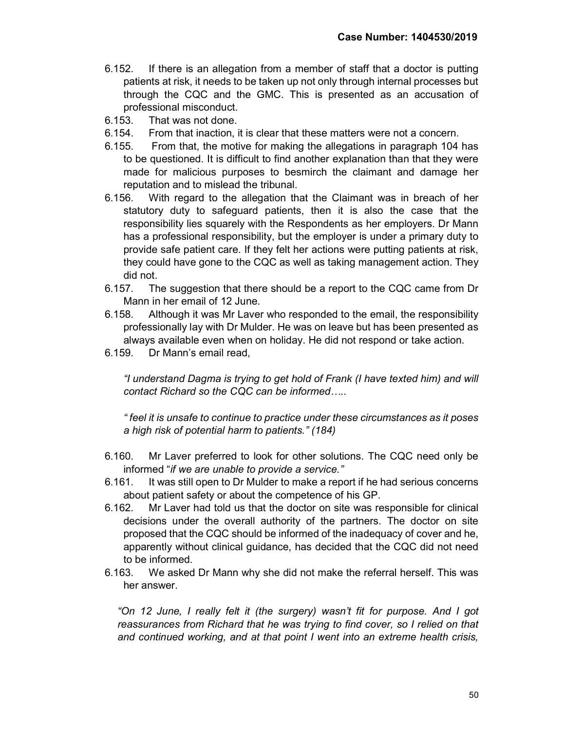- 6.152. If there is an allegation from a member of staff that a doctor is putting patients at risk, it needs to be taken up not only through internal processes but through the CQC and the GMC. This is presented as an accusation of professional misconduct.
- 6.153. That was not done.
- 6.154. From that inaction, it is clear that these matters were not a concern.
- 6.155. From that, the motive for making the allegations in paragraph 104 has to be questioned. It is difficult to find another explanation than that they were made for malicious purposes to besmirch the claimant and damage her reputation and to mislead the tribunal.
- 6.156. With regard to the allegation that the Claimant was in breach of her statutory duty to safeguard patients, then it is also the case that the responsibility lies squarely with the Respondents as her employers. Dr Mann has a professional responsibility, but the employer is under a primary duty to provide safe patient care. If they felt her actions were putting patients at risk, they could have gone to the CQC as well as taking management action. They did not.
- 6.157. The suggestion that there should be a report to the CQC came from Dr Mann in her email of 12 June.
- 6.158. Although it was Mr Laver who responded to the email, the responsibility professionally lay with Dr Mulder. He was on leave but has been presented as always available even when on holiday. He did not respond or take action.
- 6.159. Dr Mann's email read,

"I understand Dagma is trying to get hold of Frank (I have texted him) and will contact Richard so the CQC can be informed…..

" feel it is unsafe to continue to practice under these circumstances as it poses a high risk of potential harm to patients." (184)

- 6.160. Mr Laver preferred to look for other solutions. The CQC need only be informed "if we are unable to provide a service."
- 6.161. It was still open to Dr Mulder to make a report if he had serious concerns about patient safety or about the competence of his GP.
- 6.162. Mr Laver had told us that the doctor on site was responsible for clinical decisions under the overall authority of the partners. The doctor on site proposed that the CQC should be informed of the inadequacy of cover and he, apparently without clinical guidance, has decided that the CQC did not need to be informed.
- 6.163. We asked Dr Mann why she did not make the referral herself. This was her answer.

"On 12 June, I really felt it (the surgery) wasn't fit for purpose. And I got reassurances from Richard that he was trying to find cover, so I relied on that and continued working, and at that point I went into an extreme health crisis,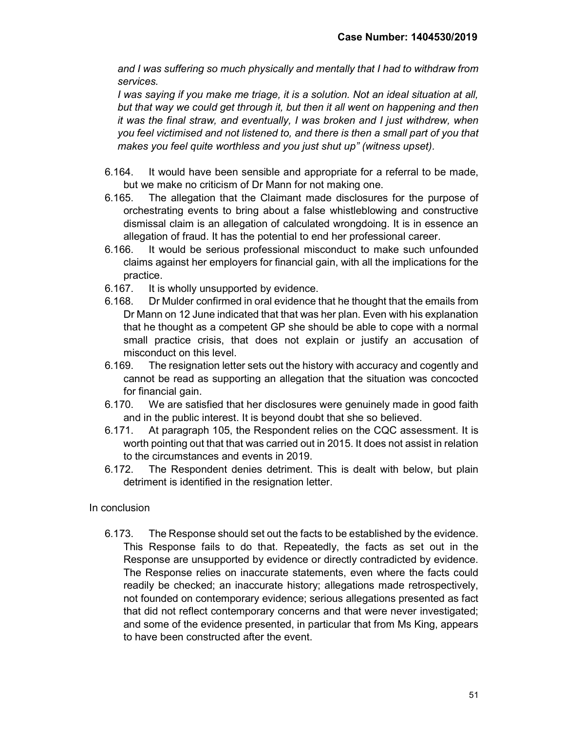and I was suffering so much physically and mentally that I had to withdraw from services.

I was saying if you make me triage, it is a solution. Not an ideal situation at all, but that way we could get through it, but then it all went on happening and then it was the final straw, and eventually, I was broken and I just withdrew, when you feel victimised and not listened to, and there is then a small part of you that makes you feel quite worthless and you just shut up" (witness upset).

- 6.164. It would have been sensible and appropriate for a referral to be made, but we make no criticism of Dr Mann for not making one.
- 6.165. The allegation that the Claimant made disclosures for the purpose of orchestrating events to bring about a false whistleblowing and constructive dismissal claim is an allegation of calculated wrongdoing. It is in essence an allegation of fraud. It has the potential to end her professional career.
- 6.166. It would be serious professional misconduct to make such unfounded claims against her employers for financial gain, with all the implications for the practice.
- 6.167. It is wholly unsupported by evidence.
- 6.168. Dr Mulder confirmed in oral evidence that he thought that the emails from Dr Mann on 12 June indicated that that was her plan. Even with his explanation that he thought as a competent GP she should be able to cope with a normal small practice crisis, that does not explain or justify an accusation of misconduct on this level.
- 6.169. The resignation letter sets out the history with accuracy and cogently and cannot be read as supporting an allegation that the situation was concocted for financial gain.
- 6.170. We are satisfied that her disclosures were genuinely made in good faith and in the public interest. It is beyond doubt that she so believed.
- 6.171. At paragraph 105, the Respondent relies on the CQC assessment. It is worth pointing out that that was carried out in 2015. It does not assist in relation to the circumstances and events in 2019.
- 6.172. The Respondent denies detriment. This is dealt with below, but plain detriment is identified in the resignation letter.

## In conclusion

6.173. The Response should set out the facts to be established by the evidence. This Response fails to do that. Repeatedly, the facts as set out in the Response are unsupported by evidence or directly contradicted by evidence. The Response relies on inaccurate statements, even where the facts could readily be checked; an inaccurate history; allegations made retrospectively, not founded on contemporary evidence; serious allegations presented as fact that did not reflect contemporary concerns and that were never investigated; and some of the evidence presented, in particular that from Ms King, appears to have been constructed after the event.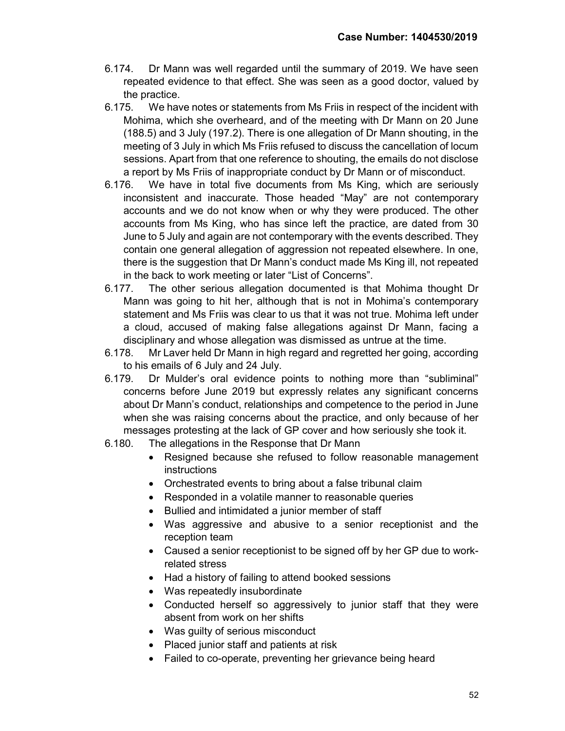- 6.174. Dr Mann was well regarded until the summary of 2019. We have seen repeated evidence to that effect. She was seen as a good doctor, valued by the practice.
- 6.175. We have notes or statements from Ms Friis in respect of the incident with Mohima, which she overheard, and of the meeting with Dr Mann on 20 June (188.5) and 3 July (197.2). There is one allegation of Dr Mann shouting, in the meeting of 3 July in which Ms Friis refused to discuss the cancellation of locum sessions. Apart from that one reference to shouting, the emails do not disclose a report by Ms Friis of inappropriate conduct by Dr Mann or of misconduct.
- 6.176. We have in total five documents from Ms King, which are seriously inconsistent and inaccurate. Those headed "May" are not contemporary accounts and we do not know when or why they were produced. The other accounts from Ms King, who has since left the practice, are dated from 30 June to 5 July and again are not contemporary with the events described. They contain one general allegation of aggression not repeated elsewhere. In one, there is the suggestion that Dr Mann's conduct made Ms King ill, not repeated in the back to work meeting or later "List of Concerns".
- 6.177. The other serious allegation documented is that Mohima thought Dr Mann was going to hit her, although that is not in Mohima's contemporary statement and Ms Friis was clear to us that it was not true. Mohima left under a cloud, accused of making false allegations against Dr Mann, facing a disciplinary and whose allegation was dismissed as untrue at the time.
- 6.178. Mr Laver held Dr Mann in high regard and regretted her going, according to his emails of 6 July and 24 July.
- 6.179. Dr Mulder's oral evidence points to nothing more than "subliminal" concerns before June 2019 but expressly relates any significant concerns about Dr Mann's conduct, relationships and competence to the period in June when she was raising concerns about the practice, and only because of her messages protesting at the lack of GP cover and how seriously she took it.
- 6.180. The allegations in the Response that Dr Mann
	- Resigned because she refused to follow reasonable management instructions
	- Orchestrated events to bring about a false tribunal claim
	- Responded in a volatile manner to reasonable queries
	- Bullied and intimidated a junior member of staff
	- Was aggressive and abusive to a senior receptionist and the reception team
	- Caused a senior receptionist to be signed off by her GP due to workrelated stress
	- Had a history of failing to attend booked sessions
	- Was repeatedly insubordinate
	- Conducted herself so aggressively to junior staff that they were absent from work on her shifts
	- Was guilty of serious misconduct
	- Placed junior staff and patients at risk
	- Failed to co-operate, preventing her grievance being heard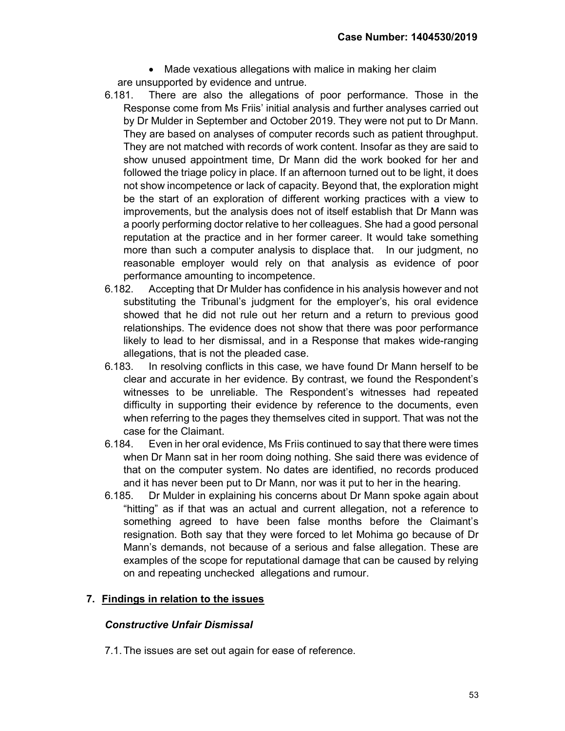• Made vexatious allegations with malice in making her claim are unsupported by evidence and untrue.

- 6.181. There are also the allegations of poor performance. Those in the Response come from Ms Friis' initial analysis and further analyses carried out by Dr Mulder in September and October 2019. They were not put to Dr Mann. They are based on analyses of computer records such as patient throughput. They are not matched with records of work content. Insofar as they are said to show unused appointment time, Dr Mann did the work booked for her and followed the triage policy in place. If an afternoon turned out to be light, it does not show incompetence or lack of capacity. Beyond that, the exploration might be the start of an exploration of different working practices with a view to improvements, but the analysis does not of itself establish that Dr Mann was a poorly performing doctor relative to her colleagues. She had a good personal reputation at the practice and in her former career. It would take something more than such a computer analysis to displace that. In our judgment, no reasonable employer would rely on that analysis as evidence of poor performance amounting to incompetence.
- 6.182. Accepting that Dr Mulder has confidence in his analysis however and not substituting the Tribunal's judgment for the employer's, his oral evidence showed that he did not rule out her return and a return to previous good relationships. The evidence does not show that there was poor performance likely to lead to her dismissal, and in a Response that makes wide-ranging allegations, that is not the pleaded case.
- 6.183. In resolving conflicts in this case, we have found Dr Mann herself to be clear and accurate in her evidence. By contrast, we found the Respondent's witnesses to be unreliable. The Respondent's witnesses had repeated difficulty in supporting their evidence by reference to the documents, even when referring to the pages they themselves cited in support. That was not the case for the Claimant.
- 6.184. Even in her oral evidence, Ms Friis continued to say that there were times when Dr Mann sat in her room doing nothing. She said there was evidence of that on the computer system. No dates are identified, no records produced and it has never been put to Dr Mann, nor was it put to her in the hearing.
- 6.185. Dr Mulder in explaining his concerns about Dr Mann spoke again about "hitting" as if that was an actual and current allegation, not a reference to something agreed to have been false months before the Claimant's resignation. Both say that they were forced to let Mohima go because of Dr Mann's demands, not because of a serious and false allegation. These are examples of the scope for reputational damage that can be caused by relying on and repeating unchecked allegations and rumour.

## 7. Findings in relation to the issues

## Constructive Unfair Dismissal

7.1. The issues are set out again for ease of reference.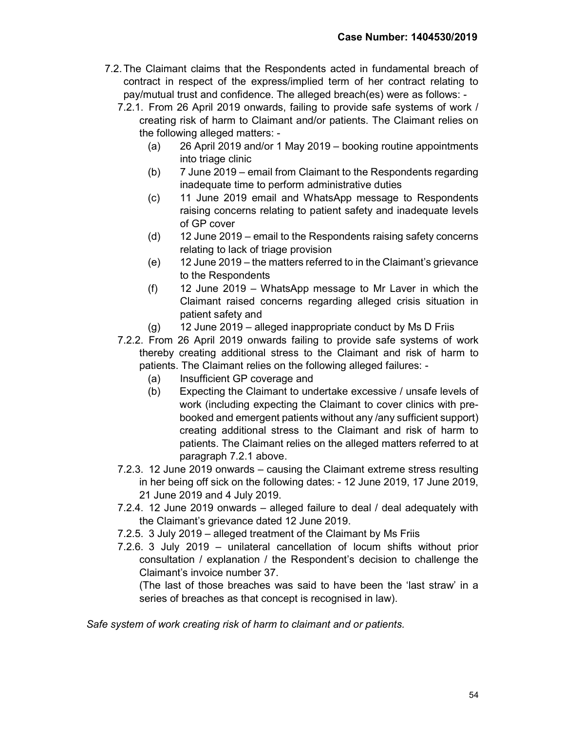- 7.2. The Claimant claims that the Respondents acted in fundamental breach of contract in respect of the express/implied term of her contract relating to pay/mutual trust and confidence. The alleged breach(es) were as follows: -
	- 7.2.1. From 26 April 2019 onwards, failing to provide safe systems of work / creating risk of harm to Claimant and/or patients. The Claimant relies on the following alleged matters: -
		- (a) 26 April 2019 and/or 1 May 2019 booking routine appointments into triage clinic
		- (b) 7 June 2019 email from Claimant to the Respondents regarding inadequate time to perform administrative duties
		- (c) 11 June 2019 email and WhatsApp message to Respondents raising concerns relating to patient safety and inadequate levels of GP cover
		- (d) 12 June 2019 email to the Respondents raising safety concerns relating to lack of triage provision
		- (e) 12 June 2019 the matters referred to in the Claimant's grievance to the Respondents
		- (f) 12 June 2019 WhatsApp message to Mr Laver in which the Claimant raised concerns regarding alleged crisis situation in patient safety and
		- $(q)$  12 June 2019 alleged inappropriate conduct by Ms D Friis
	- 7.2.2. From 26 April 2019 onwards failing to provide safe systems of work thereby creating additional stress to the Claimant and risk of harm to patients. The Claimant relies on the following alleged failures: -
		- (a) Insufficient GP coverage and
		- (b) Expecting the Claimant to undertake excessive / unsafe levels of work (including expecting the Claimant to cover clinics with prebooked and emergent patients without any /any sufficient support) creating additional stress to the Claimant and risk of harm to patients. The Claimant relies on the alleged matters referred to at paragraph 7.2.1 above.
	- 7.2.3. 12 June 2019 onwards causing the Claimant extreme stress resulting in her being off sick on the following dates: - 12 June 2019, 17 June 2019, 21 June 2019 and 4 July 2019.
	- 7.2.4. 12 June 2019 onwards alleged failure to deal / deal adequately with the Claimant's grievance dated 12 June 2019.
	- 7.2.5. 3 July 2019 alleged treatment of the Claimant by Ms Friis
	- 7.2.6. 3 July 2019 unilateral cancellation of locum shifts without prior consultation / explanation / the Respondent's decision to challenge the Claimant's invoice number 37.

(The last of those breaches was said to have been the 'last straw' in a series of breaches as that concept is recognised in law).

Safe system of work creating risk of harm to claimant and or patients.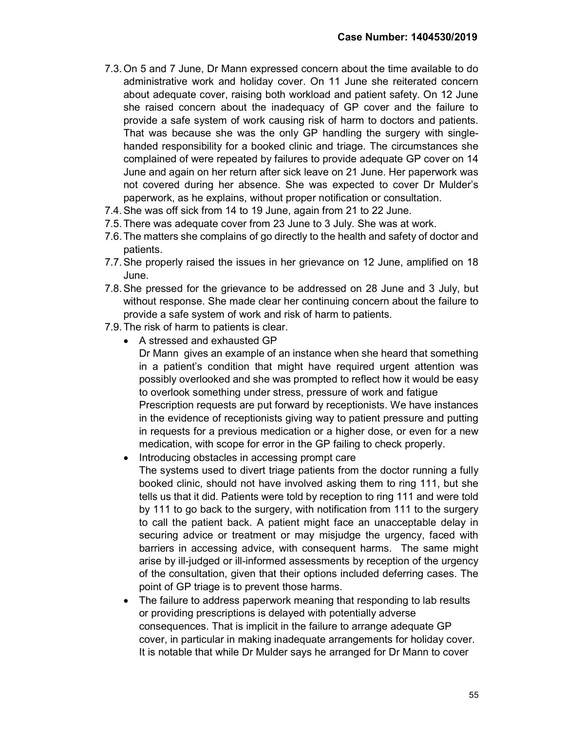- 7.3. On 5 and 7 June, Dr Mann expressed concern about the time available to do administrative work and holiday cover. On 11 June she reiterated concern about adequate cover, raising both workload and patient safety. On 12 June she raised concern about the inadequacy of GP cover and the failure to provide a safe system of work causing risk of harm to doctors and patients. That was because she was the only GP handling the surgery with singlehanded responsibility for a booked clinic and triage. The circumstances she complained of were repeated by failures to provide adequate GP cover on 14 June and again on her return after sick leave on 21 June. Her paperwork was not covered during her absence. She was expected to cover Dr Mulder's paperwork, as he explains, without proper notification or consultation.
- 7.4. She was off sick from 14 to 19 June, again from 21 to 22 June.
- 7.5. There was adequate cover from 23 June to 3 July. She was at work.
- 7.6. The matters she complains of go directly to the health and safety of doctor and patients.
- 7.7. She properly raised the issues in her grievance on 12 June, amplified on 18 June.
- 7.8. She pressed for the grievance to be addressed on 28 June and 3 July, but without response. She made clear her continuing concern about the failure to provide a safe system of work and risk of harm to patients.
- 7.9. The risk of harm to patients is clear.
	- A stressed and exhausted GP

Dr Mann gives an example of an instance when she heard that something in a patient's condition that might have required urgent attention was possibly overlooked and she was prompted to reflect how it would be easy to overlook something under stress, pressure of work and fatigue Prescription requests are put forward by receptionists. We have instances in the evidence of receptionists giving way to patient pressure and putting in requests for a previous medication or a higher dose, or even for a new

- medication, with scope for error in the GP failing to check properly.
- Introducing obstacles in accessing prompt care

The systems used to divert triage patients from the doctor running a fully booked clinic, should not have involved asking them to ring 111, but she tells us that it did. Patients were told by reception to ring 111 and were told by 111 to go back to the surgery, with notification from 111 to the surgery to call the patient back. A patient might face an unacceptable delay in securing advice or treatment or may misjudge the urgency, faced with barriers in accessing advice, with consequent harms. The same might arise by ill-judged or ill-informed assessments by reception of the urgency of the consultation, given that their options included deferring cases. The point of GP triage is to prevent those harms.

• The failure to address paperwork meaning that responding to lab results or providing prescriptions is delayed with potentially adverse consequences. That is implicit in the failure to arrange adequate GP cover, in particular in making inadequate arrangements for holiday cover. It is notable that while Dr Mulder says he arranged for Dr Mann to cover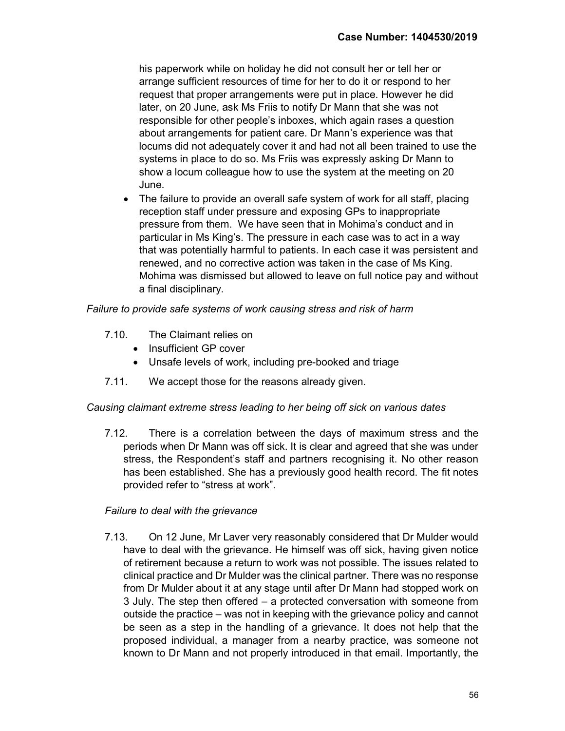his paperwork while on holiday he did not consult her or tell her or arrange sufficient resources of time for her to do it or respond to her request that proper arrangements were put in place. However he did later, on 20 June, ask Ms Friis to notify Dr Mann that she was not responsible for other people's inboxes, which again rases a question about arrangements for patient care. Dr Mann's experience was that locums did not adequately cover it and had not all been trained to use the systems in place to do so. Ms Friis was expressly asking Dr Mann to show a locum colleague how to use the system at the meeting on 20 June.

• The failure to provide an overall safe system of work for all staff, placing reception staff under pressure and exposing GPs to inappropriate pressure from them. We have seen that in Mohima's conduct and in particular in Ms King's. The pressure in each case was to act in a way that was potentially harmful to patients. In each case it was persistent and renewed, and no corrective action was taken in the case of Ms King. Mohima was dismissed but allowed to leave on full notice pay and without a final disciplinary.

# Failure to provide safe systems of work causing stress and risk of harm

- 7.10. The Claimant relies on
	- Insufficient GP cover
	- Unsafe levels of work, including pre-booked and triage
- 7.11. We accept those for the reasons already given.

## Causing claimant extreme stress leading to her being off sick on various dates

7.12. There is a correlation between the days of maximum stress and the periods when Dr Mann was off sick. It is clear and agreed that she was under stress, the Respondent's staff and partners recognising it. No other reason has been established. She has a previously good health record. The fit notes provided refer to "stress at work".

## Failure to deal with the grievance

7.13. On 12 June, Mr Laver very reasonably considered that Dr Mulder would have to deal with the grievance. He himself was off sick, having given notice of retirement because a return to work was not possible. The issues related to clinical practice and Dr Mulder was the clinical partner. There was no response from Dr Mulder about it at any stage until after Dr Mann had stopped work on 3 July. The step then offered – a protected conversation with someone from outside the practice – was not in keeping with the grievance policy and cannot be seen as a step in the handling of a grievance. It does not help that the proposed individual, a manager from a nearby practice, was someone not known to Dr Mann and not properly introduced in that email. Importantly, the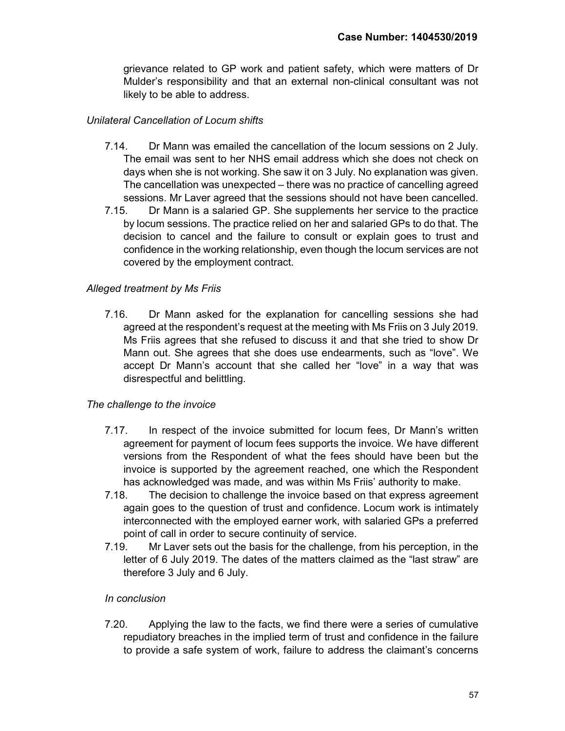grievance related to GP work and patient safety, which were matters of Dr Mulder's responsibility and that an external non-clinical consultant was not likely to be able to address.

# Unilateral Cancellation of Locum shifts

- 7.14. Dr Mann was emailed the cancellation of the locum sessions on 2 July. The email was sent to her NHS email address which she does not check on days when she is not working. She saw it on 3 July. No explanation was given. The cancellation was unexpected – there was no practice of cancelling agreed sessions. Mr Laver agreed that the sessions should not have been cancelled.
- 7.15. Dr Mann is a salaried GP. She supplements her service to the practice by locum sessions. The practice relied on her and salaried GPs to do that. The decision to cancel and the failure to consult or explain goes to trust and confidence in the working relationship, even though the locum services are not covered by the employment contract.

# Alleged treatment by Ms Friis

7.16. Dr Mann asked for the explanation for cancelling sessions she had agreed at the respondent's request at the meeting with Ms Friis on 3 July 2019. Ms Friis agrees that she refused to discuss it and that she tried to show Dr Mann out. She agrees that she does use endearments, such as "love". We accept Dr Mann's account that she called her "love" in a way that was disrespectful and belittling.

## The challenge to the invoice

- 7.17. In respect of the invoice submitted for locum fees, Dr Mann's written agreement for payment of locum fees supports the invoice. We have different versions from the Respondent of what the fees should have been but the invoice is supported by the agreement reached, one which the Respondent has acknowledged was made, and was within Ms Friis' authority to make.
- 7.18. The decision to challenge the invoice based on that express agreement again goes to the question of trust and confidence. Locum work is intimately interconnected with the employed earner work, with salaried GPs a preferred point of call in order to secure continuity of service.
- 7.19. Mr Laver sets out the basis for the challenge, from his perception, in the letter of 6 July 2019. The dates of the matters claimed as the "last straw" are therefore 3 July and 6 July.

## In conclusion

7.20. Applying the law to the facts, we find there were a series of cumulative repudiatory breaches in the implied term of trust and confidence in the failure to provide a safe system of work, failure to address the claimant's concerns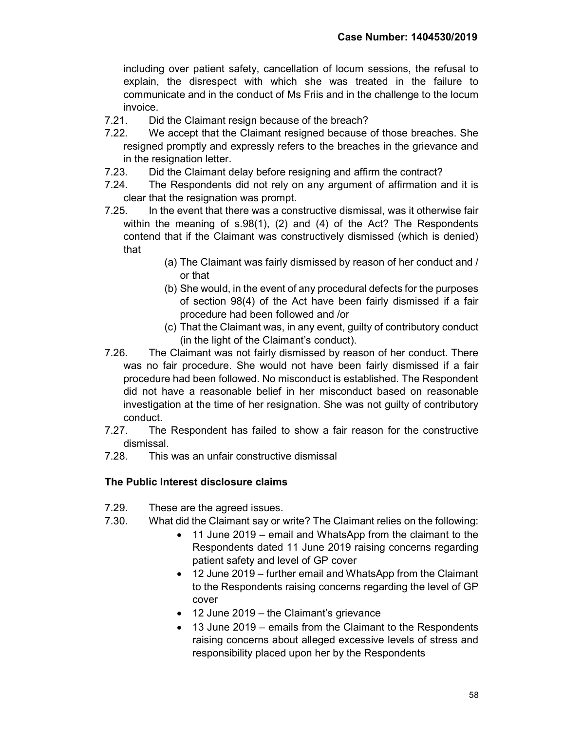including over patient safety, cancellation of locum sessions, the refusal to explain, the disrespect with which she was treated in the failure to communicate and in the conduct of Ms Friis and in the challenge to the locum invoice.

- 7.21. Did the Claimant resign because of the breach?
- 7.22. We accept that the Claimant resigned because of those breaches. She resigned promptly and expressly refers to the breaches in the grievance and in the resignation letter.
- 7.23. Did the Claimant delay before resigning and affirm the contract?
- 7.24. The Respondents did not rely on any argument of affirmation and it is clear that the resignation was prompt.
- 7.25. In the event that there was a constructive dismissal, was it otherwise fair within the meaning of s.98(1), (2) and (4) of the Act? The Respondents contend that if the Claimant was constructively dismissed (which is denied) that
	- (a) The Claimant was fairly dismissed by reason of her conduct and / or that
	- (b) She would, in the event of any procedural defects for the purposes of section 98(4) of the Act have been fairly dismissed if a fair procedure had been followed and /or
	- (c) That the Claimant was, in any event, guilty of contributory conduct (in the light of the Claimant's conduct).
- 7.26. The Claimant was not fairly dismissed by reason of her conduct. There was no fair procedure. She would not have been fairly dismissed if a fair procedure had been followed. No misconduct is established. The Respondent did not have a reasonable belief in her misconduct based on reasonable investigation at the time of her resignation. She was not guilty of contributory conduct.
- 7.27. The Respondent has failed to show a fair reason for the constructive dismissal.
- 7.28. This was an unfair constructive dismissal

# The Public Interest disclosure claims

- 7.29. These are the agreed issues.
- 7.30. What did the Claimant say or write? The Claimant relies on the following:
	- 11 June 2019 email and WhatsApp from the claimant to the Respondents dated 11 June 2019 raising concerns regarding patient safety and level of GP cover
	- 12 June 2019 further email and WhatsApp from the Claimant to the Respondents raising concerns regarding the level of GP cover
	- 12 June 2019 the Claimant's grievance
	- 13 June 2019 emails from the Claimant to the Respondents raising concerns about alleged excessive levels of stress and responsibility placed upon her by the Respondents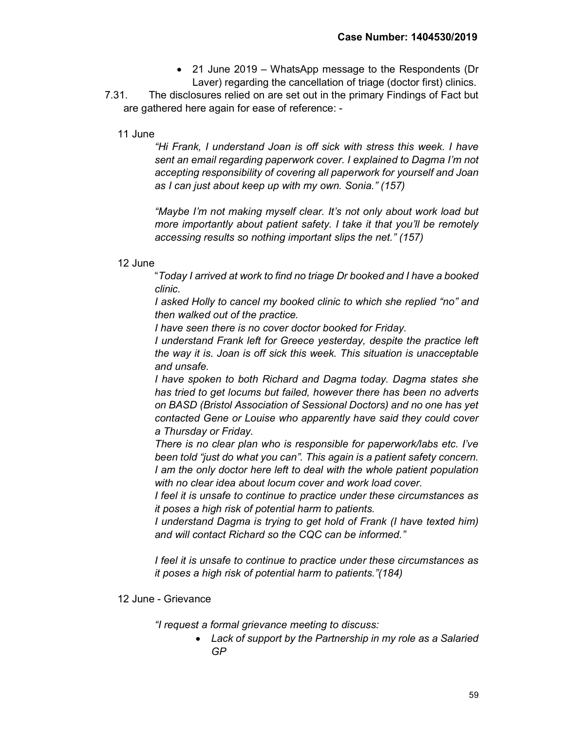- 21 June 2019 WhatsApp message to the Respondents (Dr Laver) regarding the cancellation of triage (doctor first) clinics.
- 7.31. The disclosures relied on are set out in the primary Findings of Fact but are gathered here again for ease of reference: -

# 11 June

"Hi Frank, I understand Joan is off sick with stress this week. I have sent an email regarding paperwork cover. I explained to Dagma I'm not accepting responsibility of covering all paperwork for yourself and Joan as I can just about keep up with my own. Sonia." (157)

"Maybe I'm not making myself clear. It's not only about work load but more importantly about patient safety. I take it that you'll be remotely accessing results so nothing important slips the net." (157)

## 12 June

"Today I arrived at work to find no triage Dr booked and I have a booked clinic.

I asked Holly to cancel my booked clinic to which she replied "no" and then walked out of the practice.

I have seen there is no cover doctor booked for Friday.

I understand Frank left for Greece yesterday, despite the practice left the way it is. Joan is off sick this week. This situation is unacceptable and unsafe.

I have spoken to both Richard and Dagma today. Dagma states she has tried to get locums but failed, however there has been no adverts on BASD (Bristol Association of Sessional Doctors) and no one has yet contacted Gene or Louise who apparently have said they could cover a Thursday or Friday.

There is no clear plan who is responsible for paperwork/labs etc. I've been told "just do what you can". This again is a patient safety concern. I am the only doctor here left to deal with the whole patient population with no clear idea about locum cover and work load cover.

I feel it is unsafe to continue to practice under these circumstances as it poses a high risk of potential harm to patients.

I understand Dagma is trying to get hold of Frank (I have texted him) and will contact Richard so the CQC can be informed."

I feel it is unsafe to continue to practice under these circumstances as it poses a high risk of potential harm to patients."(184)

## 12 June - Grievance

"I request a formal grievance meeting to discuss:

 Lack of support by the Partnership in my role as a Salaried GP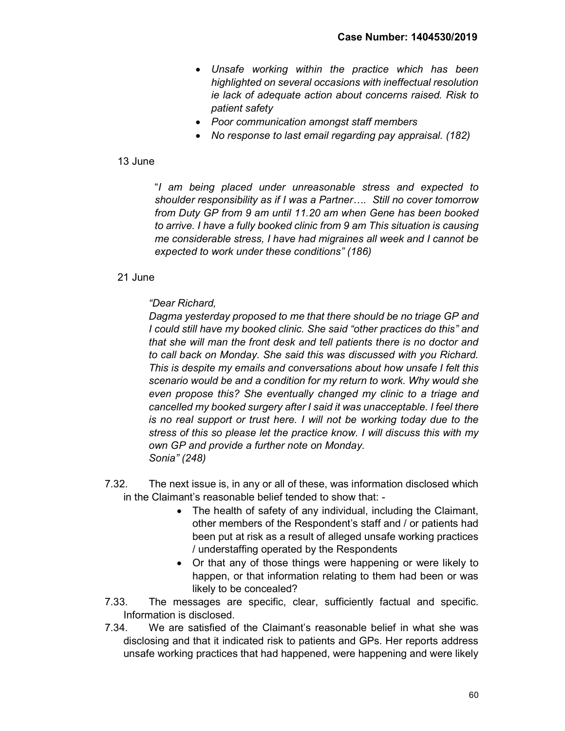- Unsafe working within the practice which has been highlighted on several occasions with ineffectual resolution ie lack of adequate action about concerns raised. Risk to patient safety
- Poor communication amongst staff members
- No response to last email regarding pay appraisal. (182)

#### 13 June

"I am being placed under unreasonable stress and expected to shoulder responsibility as if I was a Partner…. Still no cover tomorrow from Duty GP from 9 am until 11.20 am when Gene has been booked to arrive. I have a fully booked clinic from 9 am This situation is causing me considerable stress, I have had migraines all week and I cannot be expected to work under these conditions" (186)

#### 21 June

## "Dear Richard,

Dagma yesterday proposed to me that there should be no triage GP and I could still have my booked clinic. She said "other practices do this" and that she will man the front desk and tell patients there is no doctor and to call back on Monday. She said this was discussed with you Richard. This is despite my emails and conversations about how unsafe I felt this scenario would be and a condition for my return to work. Why would she even propose this? She eventually changed my clinic to a triage and cancelled my booked surgery after I said it was unacceptable. I feel there is no real support or trust here. I will not be working today due to the stress of this so please let the practice know. I will discuss this with my own GP and provide a further note on Monday. Sonia" (248)

- 7.32. The next issue is, in any or all of these, was information disclosed which in the Claimant's reasonable belief tended to show that: -
	- The health of safety of any individual, including the Claimant, other members of the Respondent's staff and / or patients had been put at risk as a result of alleged unsafe working practices / understaffing operated by the Respondents
	- Or that any of those things were happening or were likely to happen, or that information relating to them had been or was likely to be concealed?
- 7.33. The messages are specific, clear, sufficiently factual and specific. Information is disclosed.
- 7.34. We are satisfied of the Claimant's reasonable belief in what she was disclosing and that it indicated risk to patients and GPs. Her reports address unsafe working practices that had happened, were happening and were likely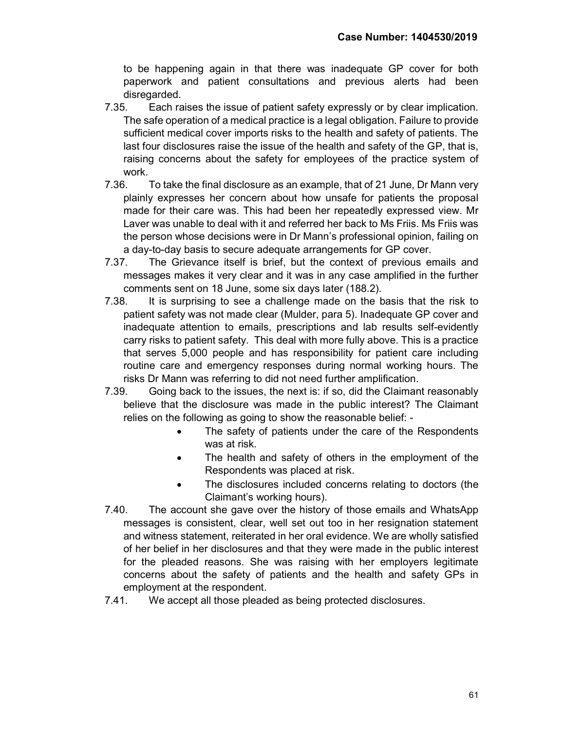to be happening again in that there was inadequate GP cover for both paperwork and patient consultations and previous alerts had been disregarded.

- 7.35. Each raises the issue of patient safety expressly or by clear implication. The safe operation of a medical practice is a legal obligation. Failure to provide sufficient medical cover imports risks to the health and safety of patients. The last four disclosures raise the issue of the health and safety of the GP, that is, raising concerns about the safety for employees of the practice system of work.
- 7.36. To take the final disclosure as an example, that of 21 June, Dr Mann very plainly expresses her concern about how unsafe for patients the proposal made for their care was. This had been her repeatedly expressed view. Mr Laver was unable to deal with it and referred her back to Ms Friis. Ms Friis was the person whose decisions were in Dr Mann's professional opinion, failing on a day-to-day basis to secure adequate arrangements for GP cover.
- 7.37. The Grievance itself is brief, but the context of previous emails and messages makes it very clear and it was in any case amplified in the further comments sent on 18 June, some six days later (188.2).
- 7.38. It is surprising to see a challenge made on the basis that the risk to patient safety was not made clear (Mulder, para 5). Inadequate GP cover and inadequate attention to emails, prescriptions and lab results self-evidently carry risks to patient safety. This deal with more fully above. This is a practice that serves 5,000 people and has responsibility for patient care including routine care and emergency responses during normal working hours. The risks Dr Mann was referring to did not need further amplification.
- 7.39. Going back to the issues, the next is: if so, did the Claimant reasonably believe that the disclosure was made in the public interest? The Claimant relies on the following as going to show the reasonable belief: -
	- The safety of patients under the care of the Respondents was at risk.
	- The health and safety of others in the employment of the Respondents was placed at risk.
	- The disclosures included concerns relating to doctors (the Claimant's working hours).
- 7.40. The account she gave over the history of those emails and WhatsApp messages is consistent, clear, well set out too in her resignation statement and witness statement, reiterated in her oral evidence. We are wholly satisfied of her belief in her disclosures and that they were made in the public interest for the pleaded reasons. She was raising with her employers legitimate concerns about the safety of patients and the health and safety GPs in employment at the respondent.
- 7.41. We accept all those pleaded as being protected disclosures.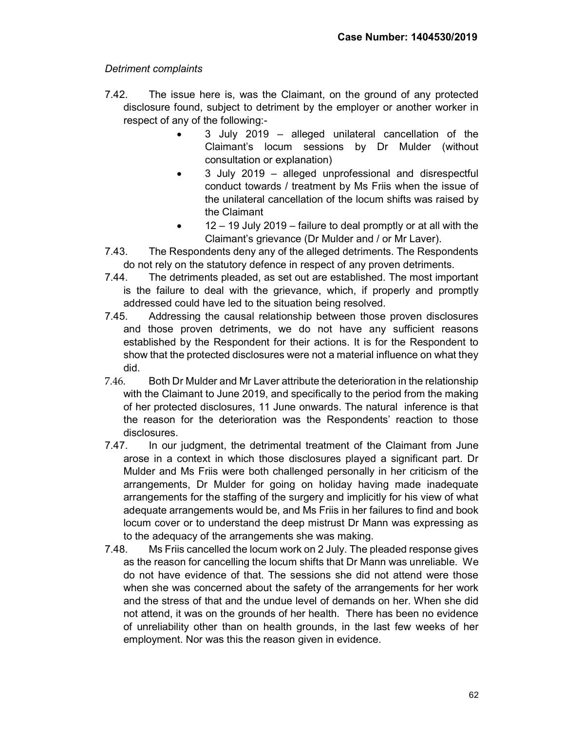# Detriment complaints

- 7.42. The issue here is, was the Claimant, on the ground of any protected disclosure found, subject to detriment by the employer or another worker in respect of any of the following:-
	- 3 July 2019 alleged unilateral cancellation of the Claimant's locum sessions by Dr Mulder (without consultation or explanation)
	- 3 July 2019 alleged unprofessional and disrespectful conduct towards / treatment by Ms Friis when the issue of the unilateral cancellation of the locum shifts was raised by the Claimant
	- $\bullet$  12 19 July 2019 failure to deal promptly or at all with the Claimant's grievance (Dr Mulder and / or Mr Laver).
- 7.43. The Respondents deny any of the alleged detriments. The Respondents do not rely on the statutory defence in respect of any proven detriments.
- 7.44. The detriments pleaded, as set out are established. The most important is the failure to deal with the grievance, which, if properly and promptly addressed could have led to the situation being resolved.
- 7.45. Addressing the causal relationship between those proven disclosures and those proven detriments, we do not have any sufficient reasons established by the Respondent for their actions. It is for the Respondent to show that the protected disclosures were not a material influence on what they did.
- 7.46. Both Dr Mulder and Mr Laver attribute the deterioration in the relationship with the Claimant to June 2019, and specifically to the period from the making of her protected disclosures, 11 June onwards. The natural inference is that the reason for the deterioration was the Respondents' reaction to those disclosures.
- 7.47. In our judgment, the detrimental treatment of the Claimant from June arose in a context in which those disclosures played a significant part. Dr Mulder and Ms Friis were both challenged personally in her criticism of the arrangements, Dr Mulder for going on holiday having made inadequate arrangements for the staffing of the surgery and implicitly for his view of what adequate arrangements would be, and Ms Friis in her failures to find and book locum cover or to understand the deep mistrust Dr Mann was expressing as to the adequacy of the arrangements she was making.
- 7.48. Ms Friis cancelled the locum work on 2 July. The pleaded response gives as the reason for cancelling the locum shifts that Dr Mann was unreliable. We do not have evidence of that. The sessions she did not attend were those when she was concerned about the safety of the arrangements for her work and the stress of that and the undue level of demands on her. When she did not attend, it was on the grounds of her health. There has been no evidence of unreliability other than on health grounds, in the last few weeks of her employment. Nor was this the reason given in evidence.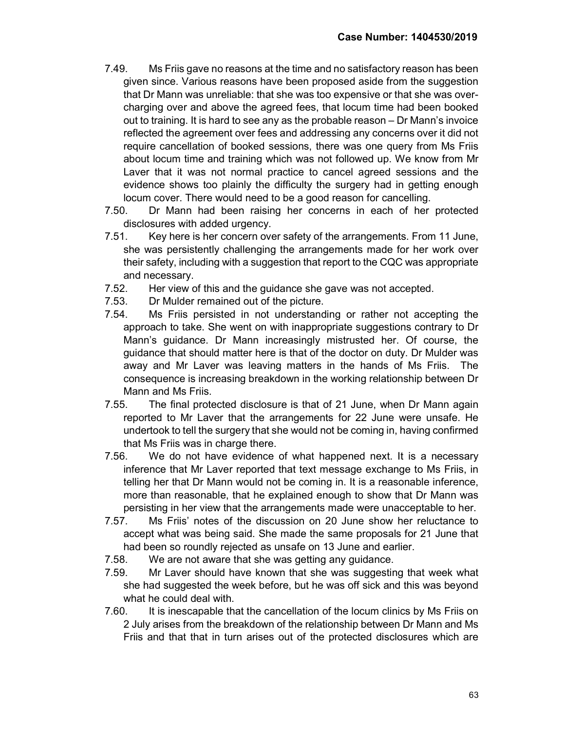- 7.49. Ms Friis gave no reasons at the time and no satisfactory reason has been given since. Various reasons have been proposed aside from the suggestion that Dr Mann was unreliable: that she was too expensive or that she was overcharging over and above the agreed fees, that locum time had been booked out to training. It is hard to see any as the probable reason – Dr Mann's invoice reflected the agreement over fees and addressing any concerns over it did not require cancellation of booked sessions, there was one query from Ms Friis about locum time and training which was not followed up. We know from Mr Laver that it was not normal practice to cancel agreed sessions and the evidence shows too plainly the difficulty the surgery had in getting enough locum cover. There would need to be a good reason for cancelling.
- 7.50. Dr Mann had been raising her concerns in each of her protected disclosures with added urgency.
- 7.51. Key here is her concern over safety of the arrangements. From 11 June, she was persistently challenging the arrangements made for her work over their safety, including with a suggestion that report to the CQC was appropriate and necessary.
- 7.52. Her view of this and the guidance she gave was not accepted.
- 7.53. Dr Mulder remained out of the picture.
- 7.54. Ms Friis persisted in not understanding or rather not accepting the approach to take. She went on with inappropriate suggestions contrary to Dr Mann's guidance. Dr Mann increasingly mistrusted her. Of course, the guidance that should matter here is that of the doctor on duty. Dr Mulder was away and Mr Laver was leaving matters in the hands of Ms Friis. The consequence is increasing breakdown in the working relationship between Dr Mann and Ms Friis.
- 7.55. The final protected disclosure is that of 21 June, when Dr Mann again reported to Mr Laver that the arrangements for 22 June were unsafe. He undertook to tell the surgery that she would not be coming in, having confirmed that Ms Friis was in charge there.
- 7.56. We do not have evidence of what happened next. It is a necessary inference that Mr Laver reported that text message exchange to Ms Friis, in telling her that Dr Mann would not be coming in. It is a reasonable inference, more than reasonable, that he explained enough to show that Dr Mann was persisting in her view that the arrangements made were unacceptable to her.
- 7.57. Ms Friis' notes of the discussion on 20 June show her reluctance to accept what was being said. She made the same proposals for 21 June that had been so roundly rejected as unsafe on 13 June and earlier.
- 7.58. We are not aware that she was getting any guidance.
- 7.59. Mr Laver should have known that she was suggesting that week what she had suggested the week before, but he was off sick and this was beyond what he could deal with.
- 7.60. It is inescapable that the cancellation of the locum clinics by Ms Friis on 2 July arises from the breakdown of the relationship between Dr Mann and Ms Friis and that that in turn arises out of the protected disclosures which are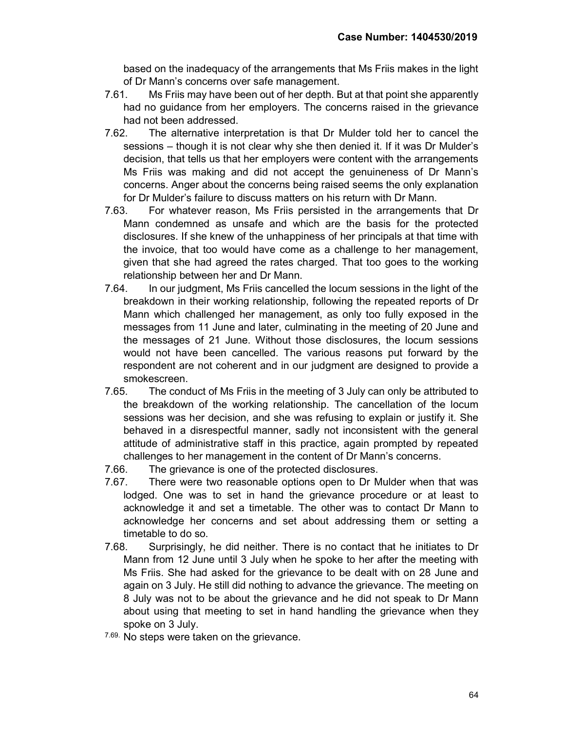based on the inadequacy of the arrangements that Ms Friis makes in the light of Dr Mann's concerns over safe management.

- 7.61. Ms Friis may have been out of her depth. But at that point she apparently had no guidance from her employers. The concerns raised in the grievance had not been addressed.
- 7.62. The alternative interpretation is that Dr Mulder told her to cancel the sessions – though it is not clear why she then denied it. If it was Dr Mulder's decision, that tells us that her employers were content with the arrangements Ms Friis was making and did not accept the genuineness of Dr Mann's concerns. Anger about the concerns being raised seems the only explanation for Dr Mulder's failure to discuss matters on his return with Dr Mann.
- 7.63. For whatever reason, Ms Friis persisted in the arrangements that Dr Mann condemned as unsafe and which are the basis for the protected disclosures. If she knew of the unhappiness of her principals at that time with the invoice, that too would have come as a challenge to her management, given that she had agreed the rates charged. That too goes to the working relationship between her and Dr Mann.
- 7.64. In our judgment, Ms Friis cancelled the locum sessions in the light of the breakdown in their working relationship, following the repeated reports of Dr Mann which challenged her management, as only too fully exposed in the messages from 11 June and later, culminating in the meeting of 20 June and the messages of 21 June. Without those disclosures, the locum sessions would not have been cancelled. The various reasons put forward by the respondent are not coherent and in our judgment are designed to provide a smokescreen.
- 7.65. The conduct of Ms Friis in the meeting of 3 July can only be attributed to the breakdown of the working relationship. The cancellation of the locum sessions was her decision, and she was refusing to explain or justify it. She behaved in a disrespectful manner, sadly not inconsistent with the general attitude of administrative staff in this practice, again prompted by repeated challenges to her management in the content of Dr Mann's concerns.
- 7.66. The grievance is one of the protected disclosures.
- 7.67. There were two reasonable options open to Dr Mulder when that was lodged. One was to set in hand the grievance procedure or at least to acknowledge it and set a timetable. The other was to contact Dr Mann to acknowledge her concerns and set about addressing them or setting a timetable to do so.
- 7.68. Surprisingly, he did neither. There is no contact that he initiates to Dr Mann from 12 June until 3 July when he spoke to her after the meeting with Ms Friis. She had asked for the grievance to be dealt with on 28 June and again on 3 July. He still did nothing to advance the grievance. The meeting on 8 July was not to be about the grievance and he did not speak to Dr Mann about using that meeting to set in hand handling the grievance when they spoke on 3 July.
- 7.69. No steps were taken on the grievance.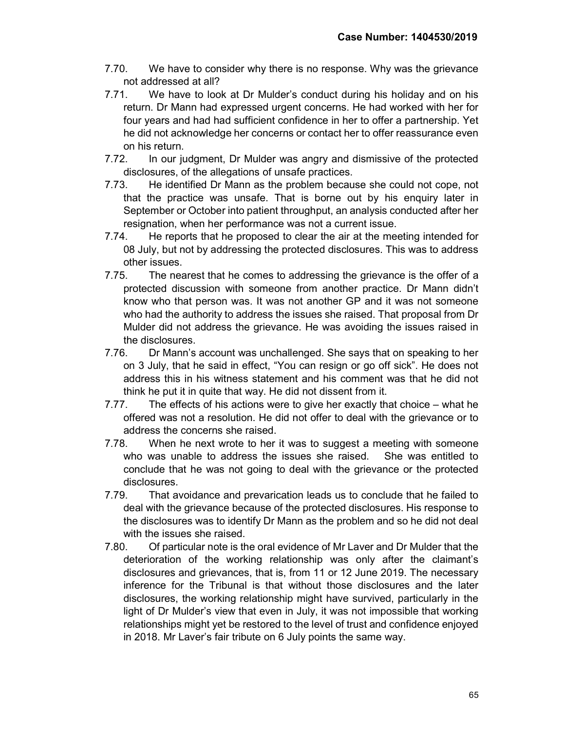- 7.70. We have to consider why there is no response. Why was the grievance not addressed at all?
- 7.71. We have to look at Dr Mulder's conduct during his holiday and on his return. Dr Mann had expressed urgent concerns. He had worked with her for four years and had had sufficient confidence in her to offer a partnership. Yet he did not acknowledge her concerns or contact her to offer reassurance even on his return.
- 7.72. In our judgment, Dr Mulder was angry and dismissive of the protected disclosures, of the allegations of unsafe practices.
- 7.73. He identified Dr Mann as the problem because she could not cope, not that the practice was unsafe. That is borne out by his enquiry later in September or October into patient throughput, an analysis conducted after her resignation, when her performance was not a current issue.
- 7.74. He reports that he proposed to clear the air at the meeting intended for 08 July, but not by addressing the protected disclosures. This was to address other issues.
- 7.75. The nearest that he comes to addressing the grievance is the offer of a protected discussion with someone from another practice. Dr Mann didn't know who that person was. It was not another GP and it was not someone who had the authority to address the issues she raised. That proposal from Dr Mulder did not address the grievance. He was avoiding the issues raised in the disclosures.
- 7.76. Dr Mann's account was unchallenged. She says that on speaking to her on 3 July, that he said in effect, "You can resign or go off sick". He does not address this in his witness statement and his comment was that he did not think he put it in quite that way. He did not dissent from it.
- 7.77. The effects of his actions were to give her exactly that choice what he offered was not a resolution. He did not offer to deal with the grievance or to address the concerns she raised.
- 7.78. When he next wrote to her it was to suggest a meeting with someone who was unable to address the issues she raised. She was entitled to conclude that he was not going to deal with the grievance or the protected disclosures.
- 7.79. That avoidance and prevarication leads us to conclude that he failed to deal with the grievance because of the protected disclosures. His response to the disclosures was to identify Dr Mann as the problem and so he did not deal with the issues she raised.
- 7.80. Of particular note is the oral evidence of Mr Laver and Dr Mulder that the deterioration of the working relationship was only after the claimant's disclosures and grievances, that is, from 11 or 12 June 2019. The necessary inference for the Tribunal is that without those disclosures and the later disclosures, the working relationship might have survived, particularly in the light of Dr Mulder's view that even in July, it was not impossible that working relationships might yet be restored to the level of trust and confidence enjoyed in 2018. Mr Laver's fair tribute on 6 July points the same way.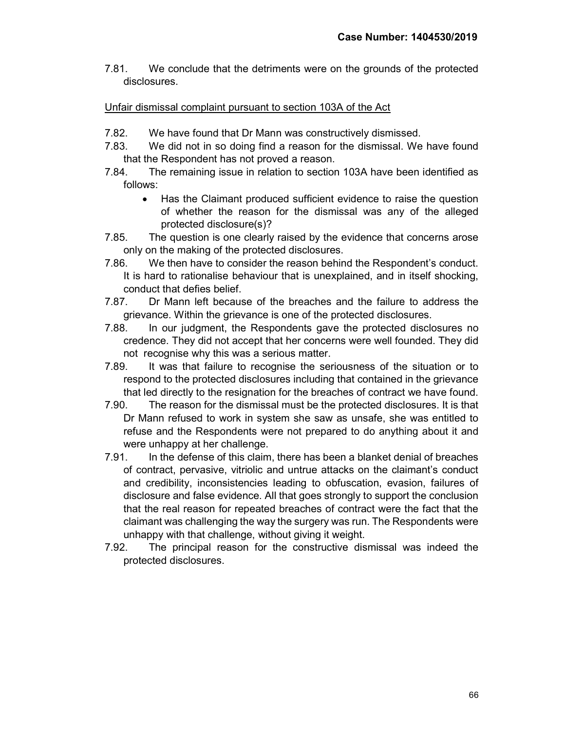7.81. We conclude that the detriments were on the grounds of the protected disclosures.

# Unfair dismissal complaint pursuant to section 103A of the Act

- 7.82. We have found that Dr Mann was constructively dismissed.
- 7.83. We did not in so doing find a reason for the dismissal. We have found that the Respondent has not proved a reason.
- 7.84. The remaining issue in relation to section 103A have been identified as follows:
	- Has the Claimant produced sufficient evidence to raise the question of whether the reason for the dismissal was any of the alleged protected disclosure(s)?
- 7.85. The question is one clearly raised by the evidence that concerns arose only on the making of the protected disclosures.
- 7.86. We then have to consider the reason behind the Respondent's conduct. It is hard to rationalise behaviour that is unexplained, and in itself shocking, conduct that defies belief.
- 7.87. Dr Mann left because of the breaches and the failure to address the grievance. Within the grievance is one of the protected disclosures.
- 7.88. In our judgment, the Respondents gave the protected disclosures no credence. They did not accept that her concerns were well founded. They did not recognise why this was a serious matter.
- 7.89. It was that failure to recognise the seriousness of the situation or to respond to the protected disclosures including that contained in the grievance that led directly to the resignation for the breaches of contract we have found.
- 7.90. The reason for the dismissal must be the protected disclosures. It is that Dr Mann refused to work in system she saw as unsafe, she was entitled to refuse and the Respondents were not prepared to do anything about it and were unhappy at her challenge.
- 7.91. In the defense of this claim, there has been a blanket denial of breaches of contract, pervasive, vitriolic and untrue attacks on the claimant's conduct and credibility, inconsistencies leading to obfuscation, evasion, failures of disclosure and false evidence. All that goes strongly to support the conclusion that the real reason for repeated breaches of contract were the fact that the claimant was challenging the way the surgery was run. The Respondents were unhappy with that challenge, without giving it weight.
- 7.92. The principal reason for the constructive dismissal was indeed the protected disclosures.